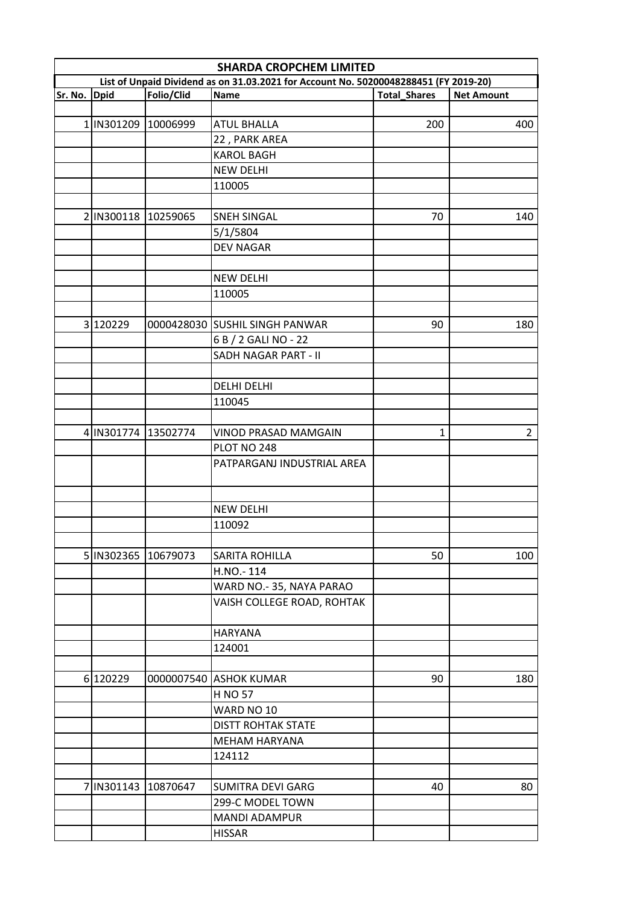|         | <b>SHARDA CROPCHEM LIMITED</b><br>List of Unpaid Dividend as on 31.03.2021 for Account No. 50200048288451 (FY 2019-20) |            |                                |                     |                   |  |  |
|---------|------------------------------------------------------------------------------------------------------------------------|------------|--------------------------------|---------------------|-------------------|--|--|
|         |                                                                                                                        |            |                                |                     |                   |  |  |
| Sr. No. | <b>Dpid</b>                                                                                                            | Folio/Clid | <b>Name</b>                    | <b>Total Shares</b> | <b>Net Amount</b> |  |  |
|         |                                                                                                                        |            |                                |                     |                   |  |  |
|         | 1 IN301209 10006999                                                                                                    |            | <b>ATUL BHALLA</b>             | 200                 | 400               |  |  |
|         |                                                                                                                        |            | 22, PARK AREA                  |                     |                   |  |  |
|         |                                                                                                                        |            | <b>KAROL BAGH</b>              |                     |                   |  |  |
|         |                                                                                                                        |            | <b>NEW DELHI</b>               |                     |                   |  |  |
|         |                                                                                                                        |            | 110005                         |                     |                   |  |  |
|         |                                                                                                                        |            |                                |                     |                   |  |  |
|         | 2 IN300118 10259065                                                                                                    |            | <b>SNEH SINGAL</b>             | 70                  | 140               |  |  |
|         |                                                                                                                        |            | 5/1/5804                       |                     |                   |  |  |
|         |                                                                                                                        |            | <b>DEV NAGAR</b>               |                     |                   |  |  |
|         |                                                                                                                        |            |                                |                     |                   |  |  |
|         |                                                                                                                        |            | <b>NEW DELHI</b>               |                     |                   |  |  |
|         |                                                                                                                        |            | 110005                         |                     |                   |  |  |
|         |                                                                                                                        |            |                                |                     |                   |  |  |
|         | 3 120229                                                                                                               |            | 0000428030 SUSHIL SINGH PANWAR | 90                  | 180               |  |  |
|         |                                                                                                                        |            | 6 B / 2 GALI NO - 22           |                     |                   |  |  |
|         |                                                                                                                        |            | SADH NAGAR PART - II           |                     |                   |  |  |
|         |                                                                                                                        |            |                                |                     |                   |  |  |
|         |                                                                                                                        |            | <b>DELHI DELHI</b>             |                     |                   |  |  |
|         |                                                                                                                        |            | 110045                         |                     |                   |  |  |
|         |                                                                                                                        |            |                                |                     |                   |  |  |
|         | 4 IN301774 13502774                                                                                                    |            | VINOD PRASAD MAMGAIN           | $\mathbf{1}$        | $\overline{2}$    |  |  |
|         |                                                                                                                        |            | PLOT NO 248                    |                     |                   |  |  |
|         |                                                                                                                        |            | PATPARGANJ INDUSTRIAL AREA     |                     |                   |  |  |
|         |                                                                                                                        |            |                                |                     |                   |  |  |
|         |                                                                                                                        |            | <b>NEW DELHI</b>               |                     |                   |  |  |
|         |                                                                                                                        |            | 110092                         |                     |                   |  |  |
|         |                                                                                                                        |            |                                |                     |                   |  |  |
|         |                                                                                                                        |            |                                |                     |                   |  |  |
|         | 5 IN302365 10679073                                                                                                    |            | <b>SARITA ROHILLA</b>          | 50                  | 100               |  |  |
|         |                                                                                                                        |            | H.NO.-114                      |                     |                   |  |  |
|         |                                                                                                                        |            | WARD NO.-35, NAYA PARAO        |                     |                   |  |  |
|         |                                                                                                                        |            | VAISH COLLEGE ROAD, ROHTAK     |                     |                   |  |  |
|         |                                                                                                                        |            | <b>HARYANA</b>                 |                     |                   |  |  |
|         |                                                                                                                        |            | 124001                         |                     |                   |  |  |
|         |                                                                                                                        |            |                                |                     |                   |  |  |
|         | 6 120229                                                                                                               |            | 0000007540 ASHOK KUMAR         | 90                  | 180               |  |  |
|         |                                                                                                                        |            | H NO 57                        |                     |                   |  |  |
|         |                                                                                                                        |            | WARD NO 10                     |                     |                   |  |  |
|         |                                                                                                                        |            | <b>DISTT ROHTAK STATE</b>      |                     |                   |  |  |
|         |                                                                                                                        |            | MEHAM HARYANA                  |                     |                   |  |  |
|         |                                                                                                                        |            | 124112                         |                     |                   |  |  |
|         |                                                                                                                        |            |                                |                     |                   |  |  |
|         | 7 IN301143 10870647                                                                                                    |            | <b>SUMITRA DEVI GARG</b>       | 40                  | 80                |  |  |
|         |                                                                                                                        |            | 299-C MODEL TOWN               |                     |                   |  |  |
|         |                                                                                                                        |            | MANDI ADAMPUR                  |                     |                   |  |  |
|         |                                                                                                                        |            | <b>HISSAR</b>                  |                     |                   |  |  |
|         |                                                                                                                        |            |                                |                     |                   |  |  |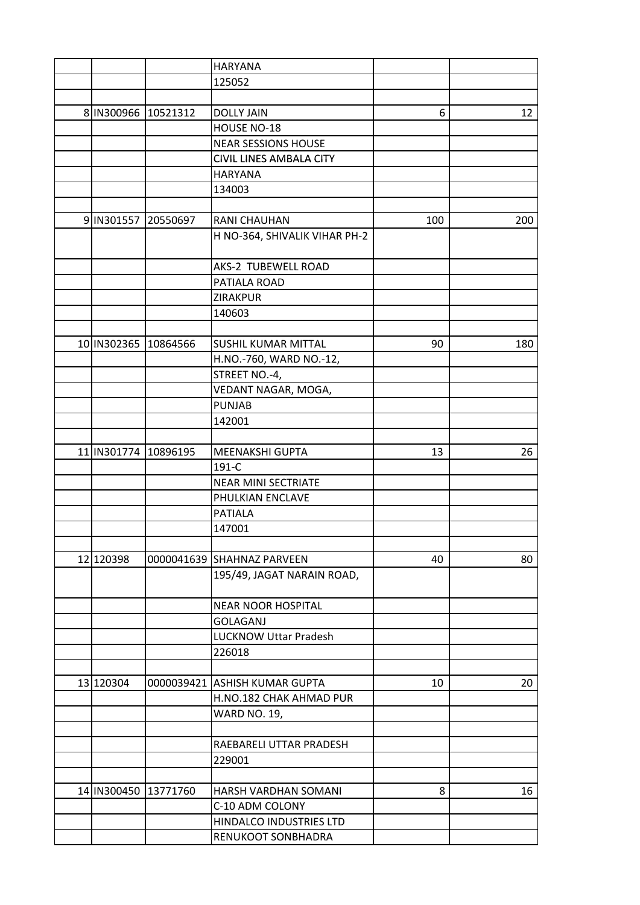|                      | <b>HARYANA</b>                |     |     |
|----------------------|-------------------------------|-----|-----|
|                      | 125052                        |     |     |
|                      |                               |     |     |
| 8 IN300966 10521312  | <b>DOLLY JAIN</b>             | 6   | 12  |
|                      | HOUSE NO-18                   |     |     |
|                      | <b>NEAR SESSIONS HOUSE</b>    |     |     |
|                      | CIVIL LINES AMBALA CITY       |     |     |
|                      | <b>HARYANA</b>                |     |     |
|                      | 134003                        |     |     |
|                      |                               |     |     |
| 9 IN301557 20550697  | RANI CHAUHAN                  | 100 | 200 |
|                      | H NO-364, SHIVALIK VIHAR PH-2 |     |     |
|                      |                               |     |     |
|                      | AKS-2 TUBEWELL ROAD           |     |     |
|                      | PATIALA ROAD                  |     |     |
|                      | ZIRAKPUR                      |     |     |
|                      | 140603                        |     |     |
|                      |                               |     |     |
| 10 IN302365 10864566 | <b>SUSHIL KUMAR MITTAL</b>    | 90  | 180 |
|                      |                               |     |     |
|                      | H.NO.-760, WARD NO.-12,       |     |     |
|                      | STREET NO.-4,                 |     |     |
|                      | VEDANT NAGAR, MOGA,           |     |     |
|                      | <b>PUNJAB</b>                 |     |     |
|                      | 142001                        |     |     |
|                      |                               |     |     |
| 11 IN301774 10896195 | <b>MEENAKSHI GUPTA</b>        | 13  | 26  |
|                      | 191-C                         |     |     |
|                      | <b>NEAR MINI SECTRIATE</b>    |     |     |
|                      | PHULKIAN ENCLAVE              |     |     |
|                      | <b>PATIALA</b>                |     |     |
|                      | 147001                        |     |     |
|                      |                               |     |     |
| 12 120398            | 0000041639 SHAHNAZ PARVEEN    | 40  | 80  |
|                      | 195/49, JAGAT NARAIN ROAD,    |     |     |
|                      |                               |     |     |
|                      | <b>NEAR NOOR HOSPITAL</b>     |     |     |
|                      | <b>GOLAGANJ</b>               |     |     |
|                      | <b>LUCKNOW Uttar Pradesh</b>  |     |     |
|                      | 226018                        |     |     |
|                      |                               |     |     |
| 13 120304            | 0000039421 ASHISH KUMAR GUPTA | 10  | 20  |
|                      | H.NO.182 CHAK AHMAD PUR       |     |     |
|                      | <b>WARD NO. 19,</b>           |     |     |
|                      |                               |     |     |
|                      | RAEBARELI UTTAR PRADESH       |     |     |
|                      | 229001                        |     |     |
|                      |                               |     |     |
| 14 IN300450 13771760 | HARSH VARDHAN SOMANI          | 8   | 16  |
|                      | C-10 ADM COLONY               |     |     |
|                      | HINDALCO INDUSTRIES LTD       |     |     |
|                      | RENUKOOT SONBHADRA            |     |     |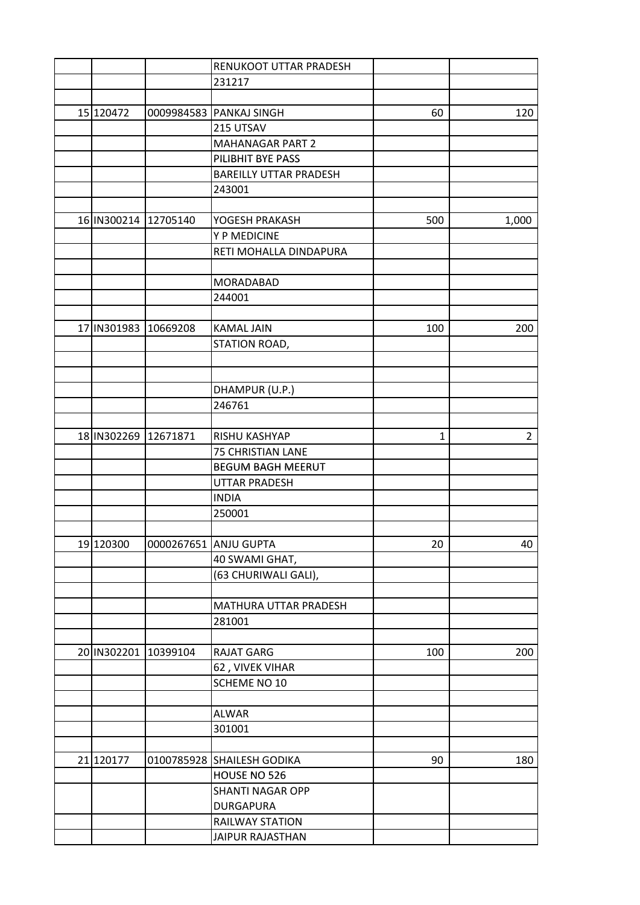|                       | RENUKOOT UTTAR PRADESH        |              |                |
|-----------------------|-------------------------------|--------------|----------------|
|                       | 231217                        |              |                |
|                       |                               |              |                |
| 15 120472             | 0009984583 PANKAJ SINGH       | 60           | 120            |
|                       | 215 UTSAV                     |              |                |
|                       | <b>MAHANAGAR PART 2</b>       |              |                |
|                       | PILIBHIT BYE PASS             |              |                |
|                       | <b>BAREILLY UTTAR PRADESH</b> |              |                |
|                       | 243001                        |              |                |
|                       |                               |              |                |
| 16 IN300214 12705140  | YOGESH PRAKASH                | 500          | 1,000          |
|                       | Y P MEDICINE                  |              |                |
|                       | RETI MOHALLA DINDAPURA        |              |                |
|                       |                               |              |                |
|                       |                               |              |                |
|                       | MORADABAD                     |              |                |
|                       | 244001                        |              |                |
|                       |                               |              |                |
| 17 IN301983 10669208  | <b>KAMAL JAIN</b>             | 100          | 200            |
|                       | STATION ROAD,                 |              |                |
|                       |                               |              |                |
|                       |                               |              |                |
|                       | DHAMPUR (U.P.)                |              |                |
|                       | 246761                        |              |                |
|                       |                               |              |                |
| 18 IN 302269 12671871 | RISHU KASHYAP                 | $\mathbf{1}$ | $\overline{2}$ |
|                       | 75 CHRISTIAN LANE             |              |                |
|                       | <b>BEGUM BAGH MEERUT</b>      |              |                |
|                       | <b>UTTAR PRADESH</b>          |              |                |
|                       | <b>INDIA</b>                  |              |                |
|                       | 250001                        |              |                |
|                       |                               |              |                |
| 19 120300             | 0000267651 ANJU GUPTA         | 20           | 40             |
|                       | 40 SWAMI GHAT,                |              |                |
|                       | (63 CHURIWALI GALI),          |              |                |
|                       |                               |              |                |
|                       | MATHURA UTTAR PRADESH         |              |                |
|                       | 281001                        |              |                |
|                       |                               |              |                |
| 20 IN302201 10399104  | <b>RAJAT GARG</b>             | 100          | 200            |
|                       | 62, VIVEK VIHAR               |              |                |
|                       | SCHEME NO 10                  |              |                |
|                       |                               |              |                |
|                       | <b>ALWAR</b>                  |              |                |
|                       |                               |              |                |
|                       | 301001                        |              |                |
|                       |                               |              |                |
| 21 120177             | 0100785928 SHAILESH GODIKA    | 90           | 180            |
|                       | HOUSE NO 526                  |              |                |
|                       | <b>SHANTI NAGAR OPP</b>       |              |                |
|                       | <b>DURGAPURA</b>              |              |                |
|                       | <b>RAILWAY STATION</b>        |              |                |
|                       | JAIPUR RAJASTHAN              |              |                |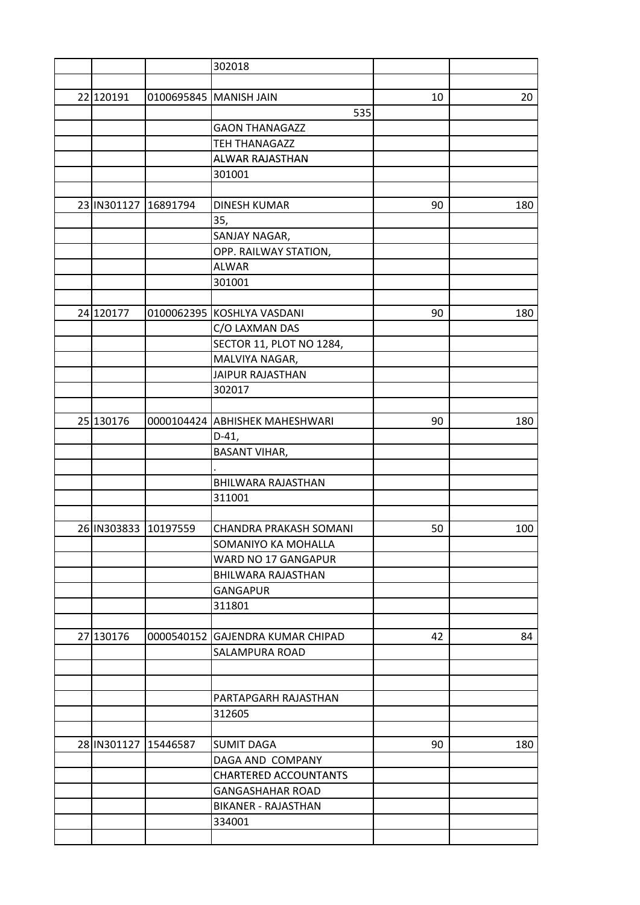|                      |            | 302018                         |    |     |
|----------------------|------------|--------------------------------|----|-----|
|                      |            |                                |    |     |
| 22 120191            | 0100695845 | <b>MANISH JAIN</b>             | 10 | 20  |
|                      |            | 535                            |    |     |
|                      |            | <b>GAON THANAGAZZ</b>          |    |     |
|                      |            | <b>TEH THANAGAZZ</b>           |    |     |
|                      |            | ALWAR RAJASTHAN                |    |     |
|                      |            | 301001                         |    |     |
|                      |            |                                |    |     |
| 23 IN301127          | 16891794   | <b>DINESH KUMAR</b>            | 90 | 180 |
|                      |            | 35,                            |    |     |
|                      |            | SANJAY NAGAR,                  |    |     |
|                      |            | OPP. RAILWAY STATION,          |    |     |
|                      |            | <b>ALWAR</b>                   |    |     |
|                      |            | 301001                         |    |     |
|                      |            |                                |    |     |
| 24 120177            |            | 0100062395 KOSHLYA VASDANI     | 90 | 180 |
|                      |            | C/O LAXMAN DAS                 |    |     |
|                      |            | SECTOR 11, PLOT NO 1284,       |    |     |
|                      |            | MALVIYA NAGAR,                 |    |     |
|                      |            | <b>JAIPUR RAJASTHAN</b>        |    |     |
|                      |            | 302017                         |    |     |
|                      |            |                                |    |     |
| 25 130176            |            | 0000104424 ABHISHEK MAHESHWARI | 90 | 180 |
|                      |            | $D-41,$                        |    |     |
|                      |            | <b>BASANT VIHAR,</b>           |    |     |
|                      |            |                                |    |     |
|                      |            | BHILWARA RAJASTHAN             |    |     |
|                      |            | 311001                         |    |     |
|                      |            |                                |    |     |
| 26 IN303833 10197559 |            | <b>CHANDRA PRAKASH SOMANI</b>  | 50 | 100 |
|                      |            | SOMANIYO KA MOHALLA            |    |     |
|                      |            | WARD NO 17 GANGAPUR            |    |     |
|                      |            | <b>BHILWARA RAJASTHAN</b>      |    |     |
|                      |            | <b>GANGAPUR</b>                |    |     |
|                      |            | 311801                         |    |     |
|                      |            |                                |    |     |
| 27 130176            | 0000540152 | <b>GAJENDRA KUMAR CHIPAD</b>   | 42 | 84  |
|                      |            | SALAMPURA ROAD                 |    |     |
|                      |            |                                |    |     |
|                      |            |                                |    |     |
|                      |            | PARTAPGARH RAJASTHAN           |    |     |
|                      |            | 312605                         |    |     |
|                      |            |                                |    |     |
| 28 IN301127 15446587 |            | <b>SUMIT DAGA</b>              | 90 | 180 |
|                      |            | DAGA AND COMPANY               |    |     |
|                      |            | <b>CHARTERED ACCOUNTANTS</b>   |    |     |
|                      |            | <b>GANGASHAHAR ROAD</b>        |    |     |
|                      |            | BIKANER - RAJASTHAN            |    |     |
|                      |            | 334001                         |    |     |
|                      |            |                                |    |     |
|                      |            |                                |    |     |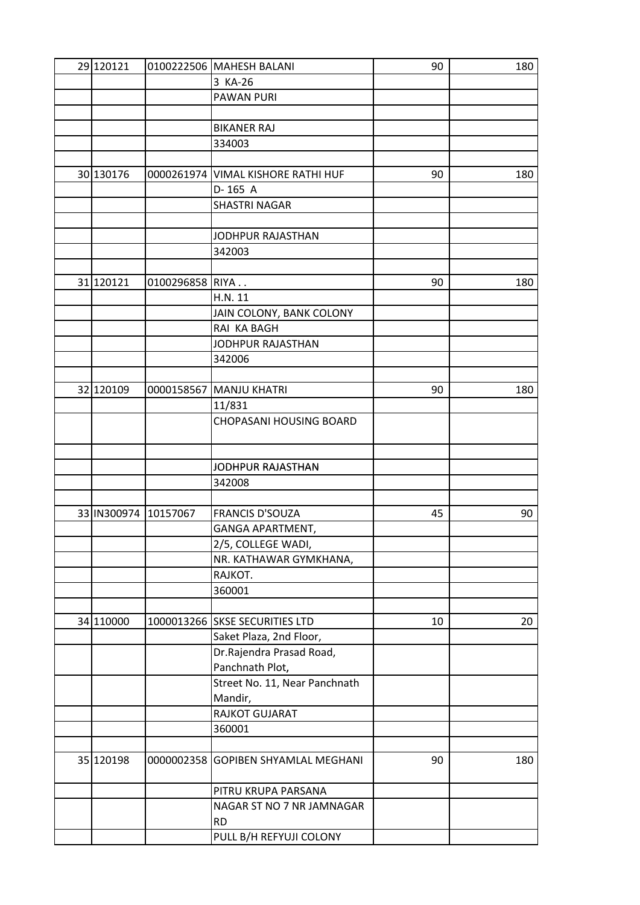| 3 KA-26<br><b>PAWAN PURI</b><br><b>BIKANER RAJ</b><br>334003<br>30 130176<br>0000261974 VIMAL KISHORE RATHI HUF<br>90<br>180<br>D-165 A<br><b>SHASTRI NAGAR</b><br>JODHPUR RAJASTHAN<br>342003<br>31 120121<br>0100296858 RIYA<br>90<br>180<br>H.N. 11<br>JAIN COLONY, BANK COLONY<br>RAI KA BAGH<br>JODHPUR RAJASTHAN<br>342006<br>32 120109<br>0000158567 MANJU KHATRI<br>90<br>180<br>11/831<br>CHOPASANI HOUSING BOARD<br>JODHPUR RAJASTHAN<br>342008<br>33 IN300974 10157067<br><b>FRANCIS D'SOUZA</b><br>45<br>90<br>GANGA APARTMENT,<br>2/5, COLLEGE WADI,<br>NR. KATHAWAR GYMKHANA,<br>RAJKOT.<br>360001<br>34 110000<br>1000013266 SKSE SECURITIES LTD<br>20<br>10<br>Saket Plaza, 2nd Floor,<br>Dr.Rajendra Prasad Road,<br>Panchnath Plot,<br>Street No. 11, Near Panchnath<br>Mandir,<br>RAJKOT GUJARAT<br>360001<br>35 120198<br>0000002358<br><b>GOPIBEN SHYAMLAL MEGHANI</b><br>90<br>180<br>PITRU KRUPA PARSANA<br>NAGAR ST NO 7 NR JAMNAGAR<br><b>RD</b><br>PULL B/H REFYUJI COLONY | 29 120121 | 0100222506 MAHESH BALANI | 90 | 180 |
|------------------------------------------------------------------------------------------------------------------------------------------------------------------------------------------------------------------------------------------------------------------------------------------------------------------------------------------------------------------------------------------------------------------------------------------------------------------------------------------------------------------------------------------------------------------------------------------------------------------------------------------------------------------------------------------------------------------------------------------------------------------------------------------------------------------------------------------------------------------------------------------------------------------------------------------------------------------------------------------------------|-----------|--------------------------|----|-----|
|                                                                                                                                                                                                                                                                                                                                                                                                                                                                                                                                                                                                                                                                                                                                                                                                                                                                                                                                                                                                      |           |                          |    |     |
|                                                                                                                                                                                                                                                                                                                                                                                                                                                                                                                                                                                                                                                                                                                                                                                                                                                                                                                                                                                                      |           |                          |    |     |
|                                                                                                                                                                                                                                                                                                                                                                                                                                                                                                                                                                                                                                                                                                                                                                                                                                                                                                                                                                                                      |           |                          |    |     |
|                                                                                                                                                                                                                                                                                                                                                                                                                                                                                                                                                                                                                                                                                                                                                                                                                                                                                                                                                                                                      |           |                          |    |     |
|                                                                                                                                                                                                                                                                                                                                                                                                                                                                                                                                                                                                                                                                                                                                                                                                                                                                                                                                                                                                      |           |                          |    |     |
|                                                                                                                                                                                                                                                                                                                                                                                                                                                                                                                                                                                                                                                                                                                                                                                                                                                                                                                                                                                                      |           |                          |    |     |
|                                                                                                                                                                                                                                                                                                                                                                                                                                                                                                                                                                                                                                                                                                                                                                                                                                                                                                                                                                                                      |           |                          |    |     |
|                                                                                                                                                                                                                                                                                                                                                                                                                                                                                                                                                                                                                                                                                                                                                                                                                                                                                                                                                                                                      |           |                          |    |     |
|                                                                                                                                                                                                                                                                                                                                                                                                                                                                                                                                                                                                                                                                                                                                                                                                                                                                                                                                                                                                      |           |                          |    |     |
|                                                                                                                                                                                                                                                                                                                                                                                                                                                                                                                                                                                                                                                                                                                                                                                                                                                                                                                                                                                                      |           |                          |    |     |
|                                                                                                                                                                                                                                                                                                                                                                                                                                                                                                                                                                                                                                                                                                                                                                                                                                                                                                                                                                                                      |           |                          |    |     |
|                                                                                                                                                                                                                                                                                                                                                                                                                                                                                                                                                                                                                                                                                                                                                                                                                                                                                                                                                                                                      |           |                          |    |     |
|                                                                                                                                                                                                                                                                                                                                                                                                                                                                                                                                                                                                                                                                                                                                                                                                                                                                                                                                                                                                      |           |                          |    |     |
|                                                                                                                                                                                                                                                                                                                                                                                                                                                                                                                                                                                                                                                                                                                                                                                                                                                                                                                                                                                                      |           |                          |    |     |
|                                                                                                                                                                                                                                                                                                                                                                                                                                                                                                                                                                                                                                                                                                                                                                                                                                                                                                                                                                                                      |           |                          |    |     |
|                                                                                                                                                                                                                                                                                                                                                                                                                                                                                                                                                                                                                                                                                                                                                                                                                                                                                                                                                                                                      |           |                          |    |     |
|                                                                                                                                                                                                                                                                                                                                                                                                                                                                                                                                                                                                                                                                                                                                                                                                                                                                                                                                                                                                      |           |                          |    |     |
|                                                                                                                                                                                                                                                                                                                                                                                                                                                                                                                                                                                                                                                                                                                                                                                                                                                                                                                                                                                                      |           |                          |    |     |
|                                                                                                                                                                                                                                                                                                                                                                                                                                                                                                                                                                                                                                                                                                                                                                                                                                                                                                                                                                                                      |           |                          |    |     |
|                                                                                                                                                                                                                                                                                                                                                                                                                                                                                                                                                                                                                                                                                                                                                                                                                                                                                                                                                                                                      |           |                          |    |     |
|                                                                                                                                                                                                                                                                                                                                                                                                                                                                                                                                                                                                                                                                                                                                                                                                                                                                                                                                                                                                      |           |                          |    |     |
|                                                                                                                                                                                                                                                                                                                                                                                                                                                                                                                                                                                                                                                                                                                                                                                                                                                                                                                                                                                                      |           |                          |    |     |
|                                                                                                                                                                                                                                                                                                                                                                                                                                                                                                                                                                                                                                                                                                                                                                                                                                                                                                                                                                                                      |           |                          |    |     |
|                                                                                                                                                                                                                                                                                                                                                                                                                                                                                                                                                                                                                                                                                                                                                                                                                                                                                                                                                                                                      |           |                          |    |     |
|                                                                                                                                                                                                                                                                                                                                                                                                                                                                                                                                                                                                                                                                                                                                                                                                                                                                                                                                                                                                      |           |                          |    |     |
|                                                                                                                                                                                                                                                                                                                                                                                                                                                                                                                                                                                                                                                                                                                                                                                                                                                                                                                                                                                                      |           |                          |    |     |
|                                                                                                                                                                                                                                                                                                                                                                                                                                                                                                                                                                                                                                                                                                                                                                                                                                                                                                                                                                                                      |           |                          |    |     |
|                                                                                                                                                                                                                                                                                                                                                                                                                                                                                                                                                                                                                                                                                                                                                                                                                                                                                                                                                                                                      |           |                          |    |     |
|                                                                                                                                                                                                                                                                                                                                                                                                                                                                                                                                                                                                                                                                                                                                                                                                                                                                                                                                                                                                      |           |                          |    |     |
|                                                                                                                                                                                                                                                                                                                                                                                                                                                                                                                                                                                                                                                                                                                                                                                                                                                                                                                                                                                                      |           |                          |    |     |
|                                                                                                                                                                                                                                                                                                                                                                                                                                                                                                                                                                                                                                                                                                                                                                                                                                                                                                                                                                                                      |           |                          |    |     |
|                                                                                                                                                                                                                                                                                                                                                                                                                                                                                                                                                                                                                                                                                                                                                                                                                                                                                                                                                                                                      |           |                          |    |     |
|                                                                                                                                                                                                                                                                                                                                                                                                                                                                                                                                                                                                                                                                                                                                                                                                                                                                                                                                                                                                      |           |                          |    |     |
|                                                                                                                                                                                                                                                                                                                                                                                                                                                                                                                                                                                                                                                                                                                                                                                                                                                                                                                                                                                                      |           |                          |    |     |
|                                                                                                                                                                                                                                                                                                                                                                                                                                                                                                                                                                                                                                                                                                                                                                                                                                                                                                                                                                                                      |           |                          |    |     |
|                                                                                                                                                                                                                                                                                                                                                                                                                                                                                                                                                                                                                                                                                                                                                                                                                                                                                                                                                                                                      |           |                          |    |     |
|                                                                                                                                                                                                                                                                                                                                                                                                                                                                                                                                                                                                                                                                                                                                                                                                                                                                                                                                                                                                      |           |                          |    |     |
|                                                                                                                                                                                                                                                                                                                                                                                                                                                                                                                                                                                                                                                                                                                                                                                                                                                                                                                                                                                                      |           |                          |    |     |
|                                                                                                                                                                                                                                                                                                                                                                                                                                                                                                                                                                                                                                                                                                                                                                                                                                                                                                                                                                                                      |           |                          |    |     |
|                                                                                                                                                                                                                                                                                                                                                                                                                                                                                                                                                                                                                                                                                                                                                                                                                                                                                                                                                                                                      |           |                          |    |     |
|                                                                                                                                                                                                                                                                                                                                                                                                                                                                                                                                                                                                                                                                                                                                                                                                                                                                                                                                                                                                      |           |                          |    |     |
|                                                                                                                                                                                                                                                                                                                                                                                                                                                                                                                                                                                                                                                                                                                                                                                                                                                                                                                                                                                                      |           |                          |    |     |
|                                                                                                                                                                                                                                                                                                                                                                                                                                                                                                                                                                                                                                                                                                                                                                                                                                                                                                                                                                                                      |           |                          |    |     |
|                                                                                                                                                                                                                                                                                                                                                                                                                                                                                                                                                                                                                                                                                                                                                                                                                                                                                                                                                                                                      |           |                          |    |     |
|                                                                                                                                                                                                                                                                                                                                                                                                                                                                                                                                                                                                                                                                                                                                                                                                                                                                                                                                                                                                      |           |                          |    |     |
|                                                                                                                                                                                                                                                                                                                                                                                                                                                                                                                                                                                                                                                                                                                                                                                                                                                                                                                                                                                                      |           |                          |    |     |
|                                                                                                                                                                                                                                                                                                                                                                                                                                                                                                                                                                                                                                                                                                                                                                                                                                                                                                                                                                                                      |           |                          |    |     |
|                                                                                                                                                                                                                                                                                                                                                                                                                                                                                                                                                                                                                                                                                                                                                                                                                                                                                                                                                                                                      |           |                          |    |     |
|                                                                                                                                                                                                                                                                                                                                                                                                                                                                                                                                                                                                                                                                                                                                                                                                                                                                                                                                                                                                      |           |                          |    |     |
|                                                                                                                                                                                                                                                                                                                                                                                                                                                                                                                                                                                                                                                                                                                                                                                                                                                                                                                                                                                                      |           |                          |    |     |
|                                                                                                                                                                                                                                                                                                                                                                                                                                                                                                                                                                                                                                                                                                                                                                                                                                                                                                                                                                                                      |           |                          |    |     |
|                                                                                                                                                                                                                                                                                                                                                                                                                                                                                                                                                                                                                                                                                                                                                                                                                                                                                                                                                                                                      |           |                          |    |     |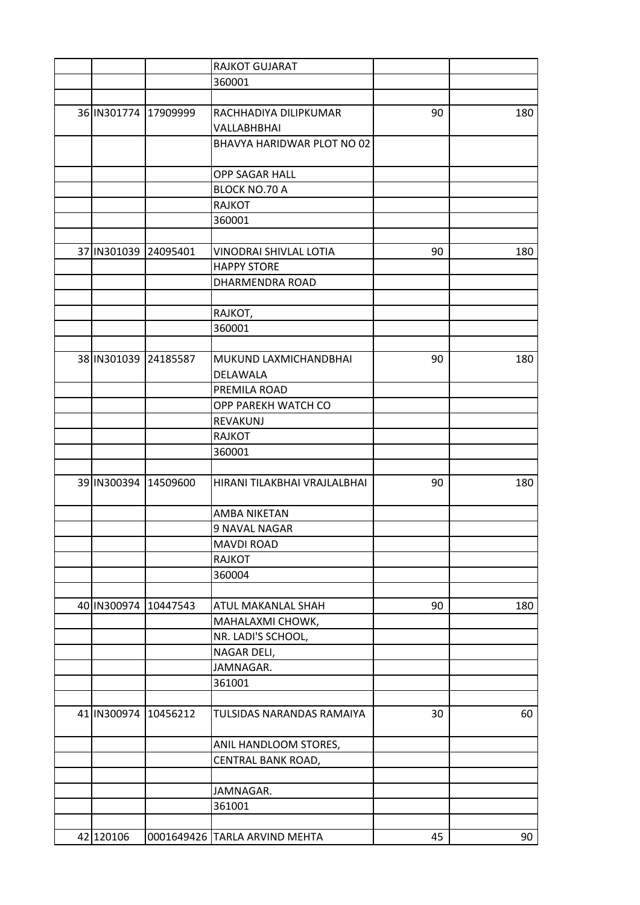|                      |          | RAJKOT GUJARAT                |    |     |
|----------------------|----------|-------------------------------|----|-----|
|                      |          | 360001                        |    |     |
|                      |          |                               |    |     |
| 36 IN301774 17909999 |          | RACHHADIYA DILIPKUMAR         | 90 | 180 |
|                      |          | VALLABHBHAI                   |    |     |
|                      |          | BHAVYA HARIDWAR PLOT NO 02    |    |     |
|                      |          |                               |    |     |
|                      |          | OPP SAGAR HALL                |    |     |
|                      |          | <b>BLOCK NO.70 A</b>          |    |     |
|                      |          | <b>RAJKOT</b>                 |    |     |
|                      |          | 360001                        |    |     |
|                      |          |                               |    |     |
| 37 IN301039          | 24095401 | VINODRAI SHIVLAL LOTIA        | 90 | 180 |
|                      |          | <b>HAPPY STORE</b>            |    |     |
|                      |          | <b>DHARMENDRA ROAD</b>        |    |     |
|                      |          |                               |    |     |
|                      |          | RAJKOT,                       |    |     |
|                      |          | 360001                        |    |     |
|                      |          |                               |    |     |
| 38 IN301039 24185587 |          | MUKUND LAXMICHANDBHAI         | 90 | 180 |
|                      |          | DELAWALA                      |    |     |
|                      |          | PREMILA ROAD                  |    |     |
|                      |          | OPP PAREKH WATCH CO           |    |     |
|                      |          | REVAKUNJ                      |    |     |
|                      |          | RAJKOT                        |    |     |
|                      |          | 360001                        |    |     |
|                      |          |                               |    |     |
| 39 IN300394 14509600 |          | HIRANI TILAKBHAI VRAJLALBHAI  | 90 | 180 |
|                      |          |                               |    |     |
|                      |          | AMBA NIKETAN                  |    |     |
|                      |          | 9 NAVAL NAGAR                 |    |     |
|                      |          | <b>MAVDI ROAD</b>             |    |     |
|                      |          | <b>RAJKOT</b>                 |    |     |
|                      |          | 360004                        |    |     |
|                      |          |                               |    |     |
| 40 IN300974 10447543 |          | ATUL MAKANLAL SHAH            | 90 | 180 |
|                      |          | MAHALAXMI CHOWK,              |    |     |
|                      |          | NR. LADI'S SCHOOL,            |    |     |
|                      |          | NAGAR DELI,                   |    |     |
|                      |          | JAMNAGAR.                     |    |     |
|                      |          | 361001                        |    |     |
|                      |          |                               |    |     |
| 41 IN300974 10456212 |          | TULSIDAS NARANDAS RAMAIYA     | 30 | 60  |
|                      |          |                               |    |     |
|                      |          | ANIL HANDLOOM STORES,         |    |     |
|                      |          | CENTRAL BANK ROAD,            |    |     |
|                      |          |                               |    |     |
|                      |          | JAMNAGAR.                     |    |     |
|                      |          | 361001                        |    |     |
|                      |          |                               |    |     |
| 42 120106            |          | 0001649426 TARLA ARVIND MEHTA | 45 | 90  |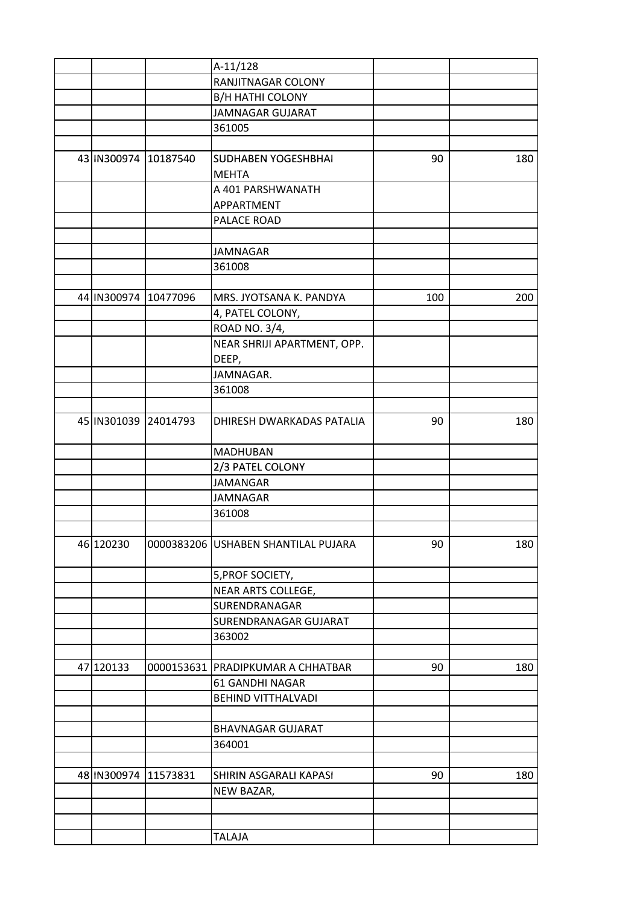|                      | $A-11/128$                          |     |     |
|----------------------|-------------------------------------|-----|-----|
|                      | RANJITNAGAR COLONY                  |     |     |
|                      | <b>B/H HATHI COLONY</b>             |     |     |
|                      | <b>JAMNAGAR GUJARAT</b>             |     |     |
|                      | 361005                              |     |     |
|                      |                                     |     |     |
| 43 IN300974 10187540 | SUDHABEN YOGESHBHAI                 | 90  | 180 |
|                      | <b>MEHTA</b>                        |     |     |
|                      | A 401 PARSHWANATH                   |     |     |
|                      | APPARTMENT                          |     |     |
|                      | PALACE ROAD                         |     |     |
|                      |                                     |     |     |
|                      | <b>JAMNAGAR</b>                     |     |     |
|                      | 361008                              |     |     |
|                      |                                     |     |     |
| 44 IN300974 10477096 | MRS. JYOTSANA K. PANDYA             | 100 | 200 |
|                      | 4, PATEL COLONY,                    |     |     |
|                      | ROAD NO. 3/4,                       |     |     |
|                      | NEAR SHRIJI APARTMENT, OPP.         |     |     |
|                      | DEEP,                               |     |     |
|                      | JAMNAGAR.                           |     |     |
|                      | 361008                              |     |     |
|                      |                                     |     |     |
| 45 IN301039 24014793 | DHIRESH DWARKADAS PATALIA           | 90  | 180 |
|                      | MADHUBAN                            |     |     |
|                      | 2/3 PATEL COLONY                    |     |     |
|                      | <b>JAMANGAR</b>                     |     |     |
|                      | <b>JAMNAGAR</b>                     |     |     |
|                      | 361008                              |     |     |
|                      |                                     |     |     |
| 46 120230            | 0000383206 USHABEN SHANTILAL PUJARA | 90  | 180 |
|                      | 5, PROF SOCIETY,                    |     |     |
|                      | NEAR ARTS COLLEGE,                  |     |     |
|                      | SURENDRANAGAR                       |     |     |
|                      | SURENDRANAGAR GUJARAT               |     |     |
|                      | 363002                              |     |     |
|                      |                                     |     |     |
| 47 120133            | 0000153631   PRADIPKUMAR A CHHATBAR | 90  | 180 |
|                      | 61 GANDHI NAGAR                     |     |     |
|                      | <b>BEHIND VITTHALVADI</b>           |     |     |
|                      |                                     |     |     |
|                      | <b>BHAVNAGAR GUJARAT</b>            |     |     |
|                      | 364001                              |     |     |
|                      |                                     |     |     |
| 48 IN300974 11573831 | SHIRIN ASGARALI KAPASI              | 90  | 180 |
|                      | NEW BAZAR,                          |     |     |
|                      |                                     |     |     |
|                      |                                     |     |     |
|                      | TALAJA                              |     |     |
|                      |                                     |     |     |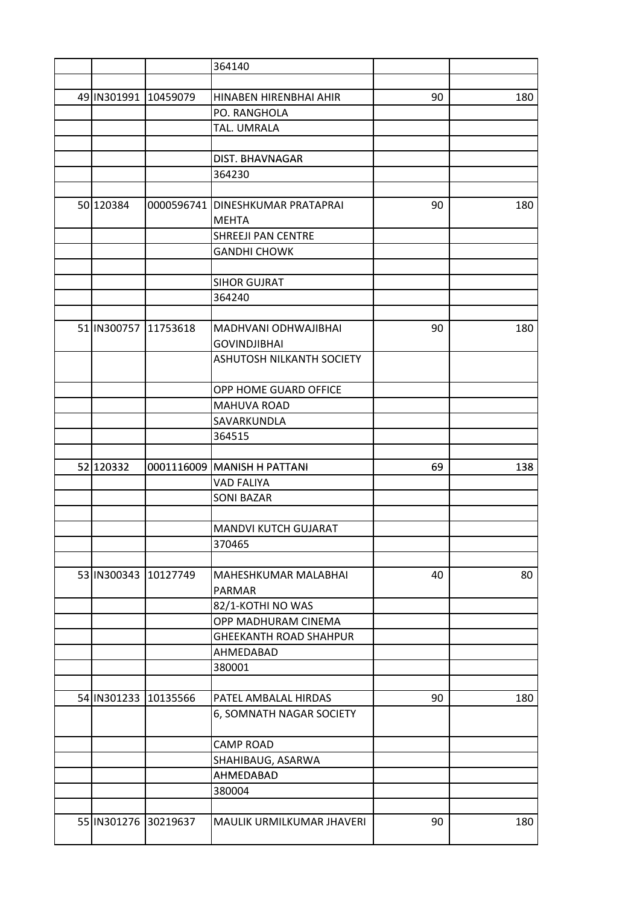|                      | 364140                           |    |     |
|----------------------|----------------------------------|----|-----|
|                      |                                  |    |     |
| 49 IN301991 10459079 | HINABEN HIRENBHAI AHIR           | 90 | 180 |
|                      | PO. RANGHOLA                     |    |     |
|                      | TAL. UMRALA                      |    |     |
|                      |                                  |    |     |
|                      | DIST. BHAVNAGAR                  |    |     |
|                      | 364230                           |    |     |
|                      |                                  |    |     |
| 50 120384            | 0000596741 DINESHKUMAR PRATAPRAI | 90 | 180 |
|                      | <b>MEHTA</b>                     |    |     |
|                      | <b>SHREEJI PAN CENTRE</b>        |    |     |
|                      | <b>GANDHI CHOWK</b>              |    |     |
|                      |                                  |    |     |
|                      | <b>SIHOR GUJRAT</b>              |    |     |
|                      | 364240                           |    |     |
|                      |                                  |    |     |
| 51 IN300757 11753618 | MADHVANI ODHWAJIBHAI             | 90 | 180 |
|                      | <b>GOVINDJIBHAI</b>              |    |     |
|                      | <b>ASHUTOSH NILKANTH SOCIETY</b> |    |     |
|                      |                                  |    |     |
|                      | OPP HOME GUARD OFFICE            |    |     |
|                      | MAHUVA ROAD                      |    |     |
|                      | SAVARKUNDLA                      |    |     |
|                      | 364515                           |    |     |
|                      |                                  |    |     |
| 52 120332            | 0001116009 MANISH H PATTANI      | 69 | 138 |
|                      | <b>VAD FALIYA</b>                |    |     |
|                      | <b>SONI BAZAR</b>                |    |     |
|                      |                                  |    |     |
|                      | <b>MANDVI KUTCH GUJARAT</b>      |    |     |
|                      | 370465                           |    |     |
|                      |                                  |    |     |
| 53 IN300343 10127749 | MAHESHKUMAR MALABHAI             | 40 | 80  |
|                      | PARMAR                           |    |     |
|                      | 82/1-KOTHI NO WAS                |    |     |
|                      | OPP MADHURAM CINEMA              |    |     |
|                      | <b>GHEEKANTH ROAD SHAHPUR</b>    |    |     |
|                      | AHMEDABAD                        |    |     |
|                      | 380001                           |    |     |
|                      |                                  |    |     |
| 54 IN301233 10135566 | PATEL AMBALAL HIRDAS             | 90 | 180 |
|                      | 6, SOMNATH NAGAR SOCIETY         |    |     |
|                      |                                  |    |     |
|                      | <b>CAMP ROAD</b>                 |    |     |
|                      | SHAHIBAUG, ASARWA                |    |     |
|                      | AHMEDABAD                        |    |     |
|                      | 380004                           |    |     |
|                      |                                  |    |     |
| 55 IN301276 30219637 | MAULIK URMILKUMAR JHAVERI        | 90 | 180 |
|                      |                                  |    |     |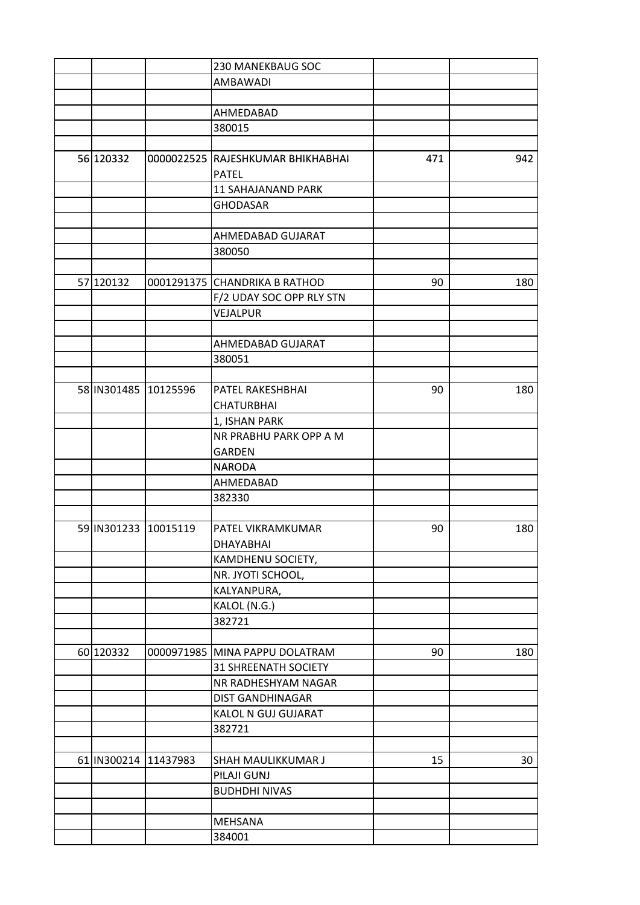|                      |            | 230 MANEKBAUG SOC                 |     |     |
|----------------------|------------|-----------------------------------|-----|-----|
|                      |            | AMBAWADI                          |     |     |
|                      |            |                                   |     |     |
|                      |            | AHMEDABAD                         |     |     |
|                      |            | 380015                            |     |     |
|                      |            |                                   |     |     |
| 56 120332            |            | 0000022525 RAJESHKUMAR BHIKHABHAI | 471 | 942 |
|                      |            | <b>PATEL</b>                      |     |     |
|                      |            | <b>11 SAHAJANAND PARK</b>         |     |     |
|                      |            | <b>GHODASAR</b>                   |     |     |
|                      |            |                                   |     |     |
|                      |            | AHMEDABAD GUJARAT                 |     |     |
|                      |            | 380050                            |     |     |
|                      |            |                                   |     |     |
| 57 120132            |            | 0001291375 CHANDRIKA B RATHOD     | 90  | 180 |
|                      |            | F/2 UDAY SOC OPP RLY STN          |     |     |
|                      |            |                                   |     |     |
|                      |            | VEJALPUR                          |     |     |
|                      |            |                                   |     |     |
|                      |            | AHMEDABAD GUJARAT                 |     |     |
|                      |            | 380051                            |     |     |
|                      |            |                                   |     |     |
| 58 IN301485 10125596 |            | PATEL RAKESHBHAI                  | 90  | 180 |
|                      |            | <b>CHATURBHAI</b>                 |     |     |
|                      |            | 1, ISHAN PARK                     |     |     |
|                      |            | NR PRABHU PARK OPP A M            |     |     |
|                      |            | <b>GARDEN</b>                     |     |     |
|                      |            | <b>NARODA</b>                     |     |     |
|                      |            | AHMEDABAD                         |     |     |
|                      |            | 382330                            |     |     |
|                      |            |                                   |     |     |
| 59 IN301233 10015119 |            | PATEL VIKRAMKUMAR                 | 90  | 180 |
|                      |            | DHAYABHAI                         |     |     |
|                      |            | KAMDHENU SOCIETY,                 |     |     |
|                      |            | NR. JYOTI SCHOOL,                 |     |     |
|                      |            | KALYANPURA,                       |     |     |
|                      |            | KALOL (N.G.)                      |     |     |
|                      |            | 382721                            |     |     |
|                      |            |                                   |     |     |
| 60 120332            | 0000971985 | MINA PAPPU DOLATRAM               | 90  | 180 |
|                      |            | <b>31 SHREENATH SOCIETY</b>       |     |     |
|                      |            | NR RADHESHYAM NAGAR               |     |     |
|                      |            |                                   |     |     |
|                      |            | <b>DIST GANDHINAGAR</b>           |     |     |
|                      |            | KALOL N GUJ GUJARAT               |     |     |
|                      |            | 382721                            |     |     |
|                      |            |                                   |     |     |
| 61 IN300214 11437983 |            | SHAH MAULIKKUMAR J                | 15  | 30  |
|                      |            | PILAJI GUNJ                       |     |     |
|                      |            | <b>BUDHDHI NIVAS</b>              |     |     |
|                      |            |                                   |     |     |
|                      |            | <b>MEHSANA</b>                    |     |     |
|                      |            | 384001                            |     |     |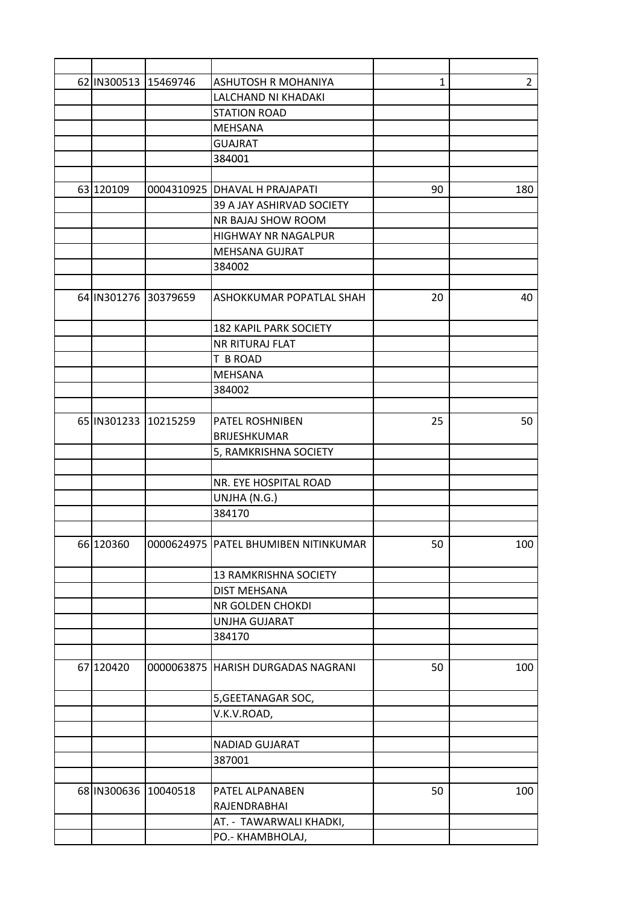| 62 IN300513 15469746 | ASHUTOSH R MOHANIYA                  | 1  | $\overline{2}$ |
|----------------------|--------------------------------------|----|----------------|
|                      | LALCHAND NI KHADAKI                  |    |                |
|                      | <b>STATION ROAD</b>                  |    |                |
|                      | <b>MEHSANA</b>                       |    |                |
|                      | <b>GUAJRAT</b>                       |    |                |
|                      | 384001                               |    |                |
|                      |                                      |    |                |
| 63 120109            | 0004310925 DHAVAL H PRAJAPATI        | 90 | 180            |
|                      | 39 A JAY ASHIRVAD SOCIETY            |    |                |
|                      | NR BAJAJ SHOW ROOM                   |    |                |
|                      | HIGHWAY NR NAGALPUR                  |    |                |
|                      | MEHSANA GUJRAT                       |    |                |
|                      | 384002                               |    |                |
|                      |                                      |    |                |
| 64 IN301276 30379659 | ASHOKKUMAR POPATLAL SHAH             | 20 | 40             |
|                      | <b>182 KAPIL PARK SOCIETY</b>        |    |                |
|                      | <b>NR RITURAJ FLAT</b>               |    |                |
|                      | T B ROAD                             |    |                |
|                      | <b>MEHSANA</b>                       |    |                |
|                      | 384002                               |    |                |
|                      |                                      |    |                |
| 65 IN301233 10215259 | PATEL ROSHNIBEN                      | 25 | 50             |
|                      | <b>BRIJESHKUMAR</b>                  |    |                |
|                      |                                      |    |                |
|                      | 5, RAMKRISHNA SOCIETY                |    |                |
|                      | NR. EYE HOSPITAL ROAD                |    |                |
|                      |                                      |    |                |
|                      | UNJHA (N.G.)                         |    |                |
|                      | 384170                               |    |                |
| 66 120360            | 0000624975 PATEL BHUMIBEN NITINKUMAR | 50 | 100            |
|                      | 13 RAMKRISHNA SOCIETY                |    |                |
|                      | <b>DIST MEHSANA</b>                  |    |                |
|                      | NR GOLDEN CHOKDI                     |    |                |
|                      | <b>UNJHA GUJARAT</b>                 |    |                |
|                      | 384170                               |    |                |
|                      |                                      |    |                |
| 67 120420            | 0000063875 HARISH DURGADAS NAGRANI   | 50 | 100            |
|                      | 5, GEETANAGAR SOC,                   |    |                |
|                      | V.K.V.ROAD,                          |    |                |
|                      |                                      |    |                |
|                      | NADIAD GUJARAT                       |    |                |
|                      | 387001                               |    |                |
|                      |                                      |    |                |
| 68 IN300636 10040518 | PATEL ALPANABEN                      | 50 | 100            |
|                      | RAJENDRABHAI                         |    |                |
|                      | AT. - TAWARWALI KHADKI,              |    |                |
|                      | PO.- KHAMBHOLAJ,                     |    |                |
|                      |                                      |    |                |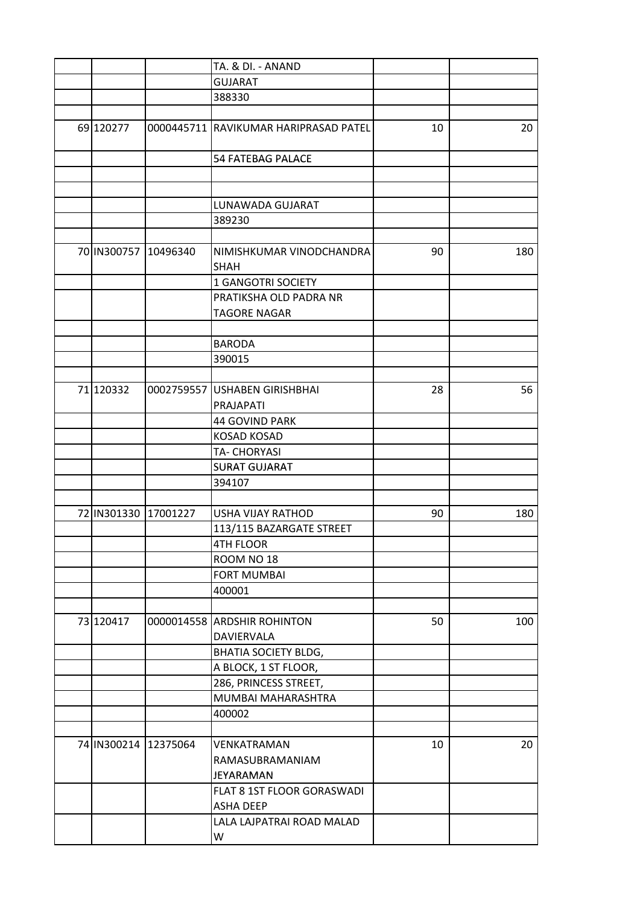|                      | TA. & DI. - ANAND                     |    |     |
|----------------------|---------------------------------------|----|-----|
|                      | <b>GUJARAT</b>                        |    |     |
|                      | 388330                                |    |     |
|                      |                                       |    |     |
| 69 120277            | 0000445711 RAVIKUMAR HARIPRASAD PATEL | 10 | 20  |
|                      | <b>54 FATEBAG PALACE</b>              |    |     |
|                      |                                       |    |     |
|                      |                                       |    |     |
|                      | LUNAWADA GUJARAT                      |    |     |
|                      | 389230                                |    |     |
|                      |                                       |    |     |
| 70 IN300757 10496340 | NIMISHKUMAR VINODCHANDRA              |    | 180 |
|                      |                                       | 90 |     |
|                      | <b>SHAH</b>                           |    |     |
|                      | <b>1 GANGOTRI SOCIETY</b>             |    |     |
|                      | PRATIKSHA OLD PADRA NR                |    |     |
|                      | <b>TAGORE NAGAR</b>                   |    |     |
|                      |                                       |    |     |
|                      | <b>BARODA</b>                         |    |     |
|                      | 390015                                |    |     |
|                      |                                       |    |     |
| 71 120332            | 0002759557 USHABEN GIRISHBHAI         | 28 | 56  |
|                      | PRAJAPATI                             |    |     |
|                      | <b>44 GOVIND PARK</b>                 |    |     |
|                      | <b>KOSAD KOSAD</b>                    |    |     |
|                      | <b>TA- CHORYASI</b>                   |    |     |
|                      | <b>SURAT GUJARAT</b>                  |    |     |
|                      | 394107                                |    |     |
|                      |                                       |    |     |
|                      |                                       |    | 180 |
| 72 IN301330 17001227 | <b>USHA VIJAY RATHOD</b>              | 90 |     |
|                      | 113/115 BAZARGATE STREET              |    |     |
|                      | 4TH FLOOR                             |    |     |
|                      | ROOM NO 18                            |    |     |
|                      | <b>FORT MUMBAI</b>                    |    |     |
|                      | 400001                                |    |     |
|                      |                                       |    |     |
| 73 120417            | 0000014558 ARDSHIR ROHINTON           | 50 | 100 |
|                      | DAVIERVALA                            |    |     |
|                      | BHATIA SOCIETY BLDG,                  |    |     |
|                      | A BLOCK, 1 ST FLOOR,                  |    |     |
|                      | 286, PRINCESS STREET,                 |    |     |
|                      | MUMBAI MAHARASHTRA                    |    |     |
|                      | 400002                                |    |     |
|                      |                                       |    |     |
| 74 IN300214 12375064 | VENKATRAMAN                           | 10 | 20  |
|                      | RAMASUBRAMANIAM                       |    |     |
|                      | JEYARAMAN                             |    |     |
|                      | FLAT 8 1ST FLOOR GORASWADI            |    |     |
|                      | <b>ASHA DEEP</b>                      |    |     |
|                      |                                       |    |     |
|                      | LALA LAJPATRAI ROAD MALAD             |    |     |
|                      | W                                     |    |     |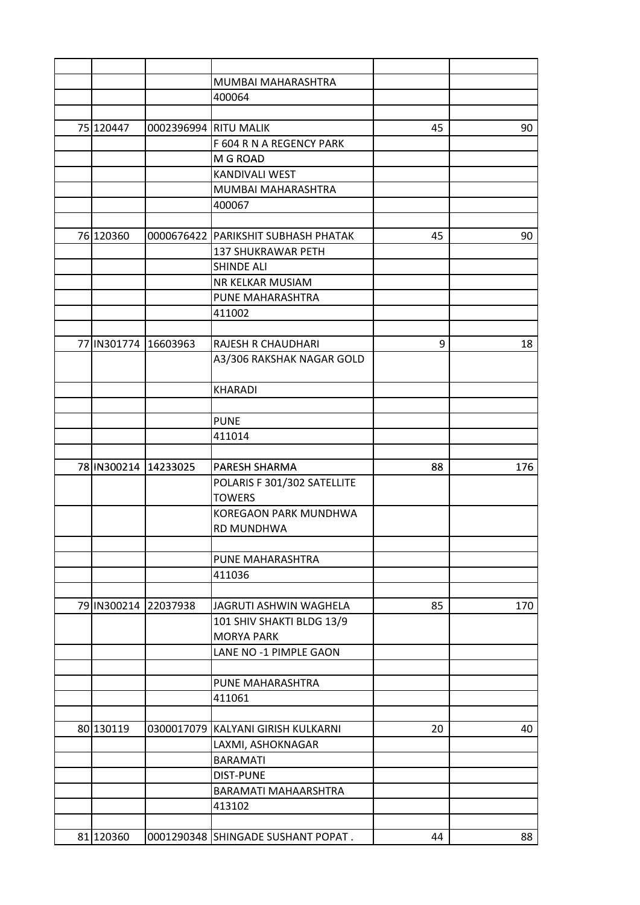|                      |                       | MUMBAI MAHARASHTRA                  |    |     |
|----------------------|-----------------------|-------------------------------------|----|-----|
|                      |                       | 400064                              |    |     |
|                      |                       |                                     |    |     |
| 75 120447            | 0002396994 RITU MALIK |                                     | 45 | 90  |
|                      |                       | F 604 R N A REGENCY PARK            |    |     |
|                      |                       | M G ROAD                            |    |     |
|                      |                       | <b>KANDIVALI WEST</b>               |    |     |
|                      |                       | MUMBAI MAHARASHTRA                  |    |     |
|                      |                       | 400067                              |    |     |
|                      |                       |                                     |    |     |
| 76 120360            |                       | 0000676422 PARIKSHIT SUBHASH PHATAK | 45 | 90  |
|                      |                       | <b>137 SHUKRAWAR PETH</b>           |    |     |
|                      |                       | <b>SHINDE ALI</b>                   |    |     |
|                      |                       | NR KELKAR MUSIAM                    |    |     |
|                      |                       | PUNE MAHARASHTRA                    |    |     |
|                      |                       | 411002                              |    |     |
|                      |                       |                                     |    |     |
| 77 IN301774          | 16603963              | <b>RAJESH R CHAUDHARI</b>           | 9  | 18  |
|                      |                       | A3/306 RAKSHAK NAGAR GOLD           |    |     |
|                      |                       | <b>KHARADI</b>                      |    |     |
|                      |                       |                                     |    |     |
|                      |                       | <b>PUNE</b>                         |    |     |
|                      |                       | 411014                              |    |     |
|                      |                       |                                     |    |     |
| 78 IN300214 14233025 |                       | PARESH SHARMA                       | 88 | 176 |
|                      |                       | POLARIS F 301/302 SATELLITE         |    |     |
|                      |                       | <b>TOWERS</b>                       |    |     |
|                      |                       | <b>KOREGAON PARK MUNDHWA</b>        |    |     |
|                      |                       | RD MUNDHWA                          |    |     |
|                      |                       |                                     |    |     |
|                      |                       | PUNE MAHARASHTRA                    |    |     |
|                      |                       | 411036                              |    |     |
|                      |                       |                                     |    |     |
| 79 IN300214 22037938 |                       | JAGRUTI ASHWIN WAGHELA              | 85 | 170 |
|                      |                       | 101 SHIV SHAKTI BLDG 13/9           |    |     |
|                      |                       | <b>MORYA PARK</b>                   |    |     |
|                      |                       | LANE NO -1 PIMPLE GAON              |    |     |
|                      |                       | PUNE MAHARASHTRA                    |    |     |
|                      |                       | 411061                              |    |     |
|                      |                       |                                     |    |     |
| 80 130119            | 0300017079            | <b>KALYANI GIRISH KULKARNI</b>      | 20 | 40  |
|                      |                       | LAXMI, ASHOKNAGAR                   |    |     |
|                      |                       | <b>BARAMATI</b>                     |    |     |
|                      |                       | <b>DIST-PUNE</b>                    |    |     |
|                      |                       | BARAMATI MAHAARSHTRA                |    |     |
|                      |                       | 413102                              |    |     |
|                      |                       |                                     |    |     |
| 81 120360            |                       | 0001290348 SHINGADE SUSHANT POPAT.  | 44 | 88  |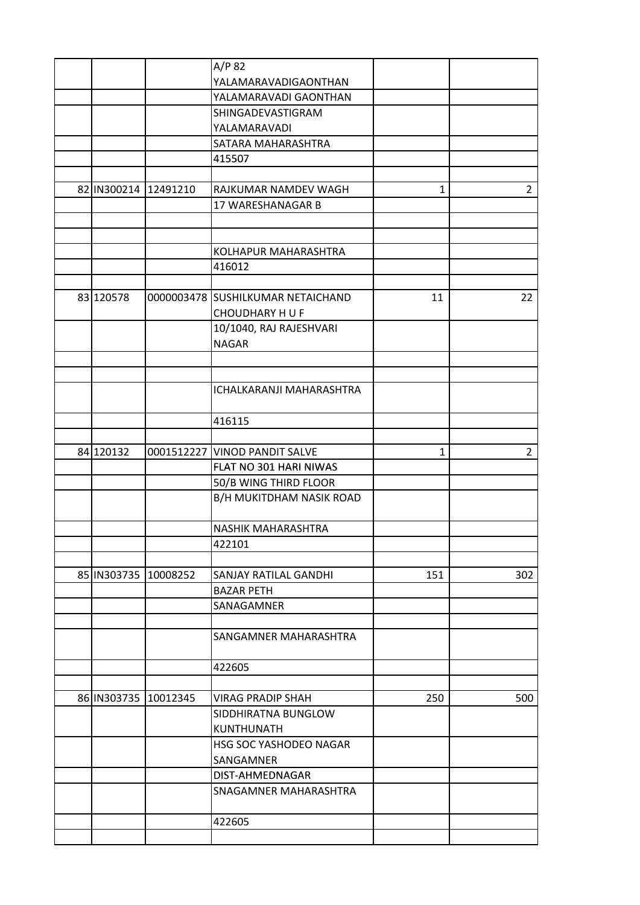|                      |                      | A/P 82                            |              |                |
|----------------------|----------------------|-----------------------------------|--------------|----------------|
|                      |                      | YALAMARAVADIGAONTHAN              |              |                |
|                      |                      | YALAMARAVADI GAONTHAN             |              |                |
|                      |                      | SHINGADEVASTIGRAM                 |              |                |
|                      |                      | YALAMARAVADI                      |              |                |
|                      |                      | SATARA MAHARASHTRA                |              |                |
|                      |                      | 415507                            |              |                |
|                      |                      |                                   |              |                |
| 82 IN300214 12491210 |                      | RAJKUMAR NAMDEV WAGH              | 1            | $\overline{2}$ |
|                      |                      | 17 WARESHANAGAR B                 |              |                |
|                      |                      |                                   |              |                |
|                      |                      |                                   |              |                |
|                      |                      | KOLHAPUR MAHARASHTRA              |              |                |
|                      |                      | 416012                            |              |                |
|                      |                      |                                   |              |                |
| 83 120578            |                      | 0000003478 SUSHILKUMAR NETAICHAND | 11           | 22             |
|                      |                      | <b>CHOUDHARY HU F</b>             |              |                |
|                      |                      | 10/1040, RAJ RAJESHVARI           |              |                |
|                      |                      | <b>NAGAR</b>                      |              |                |
|                      |                      |                                   |              |                |
|                      |                      |                                   |              |                |
|                      |                      | ICHALKARANJI MAHARASHTRA          |              |                |
|                      |                      |                                   |              |                |
|                      |                      | 416115                            |              |                |
|                      |                      |                                   |              |                |
| 84 120132            |                      | 0001512227 VINOD PANDIT SALVE     | $\mathbf{1}$ | $\overline{2}$ |
|                      |                      | FLAT NO 301 HARI NIWAS            |              |                |
|                      |                      | 50/B WING THIRD FLOOR             |              |                |
|                      |                      | B/H MUKITDHAM NASIK ROAD          |              |                |
|                      |                      |                                   |              |                |
|                      |                      | NASHIK MAHARASHTRA                |              |                |
|                      |                      | 422101                            |              |                |
|                      |                      |                                   |              |                |
|                      | 85 IN303735 10008252 | SANJAY RATILAL GANDHI             | 151          | 302            |
|                      |                      | <b>BAZAR PETH</b>                 |              |                |
|                      |                      | SANAGAMNER                        |              |                |
|                      |                      |                                   |              |                |
|                      |                      | SANGAMNER MAHARASHTRA             |              |                |
|                      |                      |                                   |              |                |
|                      |                      | 422605                            |              |                |
|                      |                      |                                   |              |                |
| 86 IN303735 10012345 |                      | <b>VIRAG PRADIP SHAH</b>          | 250          | 500            |
|                      |                      | SIDDHIRATNA BUNGLOW               |              |                |
|                      |                      | <b>KUNTHUNATH</b>                 |              |                |
|                      |                      | HSG SOC YASHODEO NAGAR            |              |                |
|                      |                      |                                   |              |                |
|                      |                      | SANGAMNER<br>DIST-AHMEDNAGAR      |              |                |
|                      |                      |                                   |              |                |
|                      |                      | SNAGAMNER MAHARASHTRA             |              |                |
|                      |                      |                                   |              |                |
|                      |                      | 422605                            |              |                |
|                      |                      |                                   |              |                |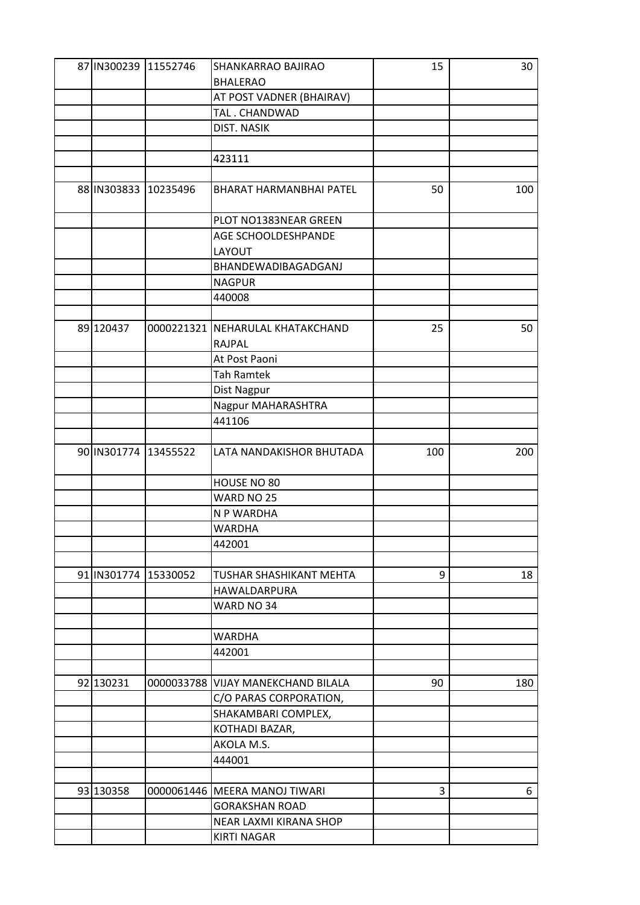| 87 IN300239 11552746  | SHANKARRAO BAJIRAO                                | 15  | 30  |
|-----------------------|---------------------------------------------------|-----|-----|
|                       | <b>BHALERAO</b>                                   |     |     |
|                       | AT POST VADNER (BHAIRAV)                          |     |     |
|                       | TAL. CHANDWAD                                     |     |     |
|                       | DIST. NASIK                                       |     |     |
|                       |                                                   |     |     |
|                       | 423111                                            |     |     |
|                       |                                                   |     |     |
| 88 IN 303833 10235496 | BHARAT HARMANBHAI PATEL                           | 50  | 100 |
|                       | PLOT NO1383NEAR GREEN                             |     |     |
|                       | AGE SCHOOLDESHPANDE                               |     |     |
|                       | LAYOUT                                            |     |     |
|                       | BHANDEWADIBAGADGANJ                               |     |     |
|                       | <b>NAGPUR</b>                                     |     |     |
|                       | 440008                                            |     |     |
|                       |                                                   |     |     |
| 89 120437             | 0000221321 NEHARULAL KHATAKCHAND<br><b>RAJPAL</b> | 25  | 50  |
|                       | At Post Paoni                                     |     |     |
|                       | <b>Tah Ramtek</b>                                 |     |     |
|                       | Dist Nagpur                                       |     |     |
|                       | Nagpur MAHARASHTRA                                |     |     |
|                       | 441106                                            |     |     |
|                       |                                                   |     |     |
| 90 IN301774 13455522  | LATA NANDAKISHOR BHUTADA                          | 100 | 200 |
|                       |                                                   |     |     |
|                       | HOUSE NO 80                                       |     |     |
|                       | WARD NO 25                                        |     |     |
|                       | N P WARDHA                                        |     |     |
|                       | <b>WARDHA</b>                                     |     |     |
|                       |                                                   |     |     |
|                       | 442001                                            |     |     |
|                       |                                                   | 9   |     |
| 91 IN301774 15330052  | TUSHAR SHASHIKANT MEHTA                           |     | 18  |
|                       | HAWALDARPURA                                      |     |     |
|                       | WARD NO 34                                        |     |     |
|                       |                                                   |     |     |
|                       | <b>WARDHA</b>                                     |     |     |
|                       | 442001                                            |     |     |
|                       |                                                   |     |     |
| 92 130231             | 0000033788 VIJAY MANEKCHAND BILALA                | 90  | 180 |
|                       | C/O PARAS CORPORATION,                            |     |     |
|                       | SHAKAMBARI COMPLEX,                               |     |     |
|                       | KOTHADI BAZAR,                                    |     |     |
|                       | AKOLA M.S.                                        |     |     |
|                       | 444001                                            |     |     |
|                       |                                                   |     |     |
| 93 130358             | 0000061446 MEERA MANOJ TIWARI                     | 3   | 6   |
|                       | <b>GORAKSHAN ROAD</b>                             |     |     |
|                       | NEAR LAXMI KIRANA SHOP                            |     |     |
|                       | <b>KIRTI NAGAR</b>                                |     |     |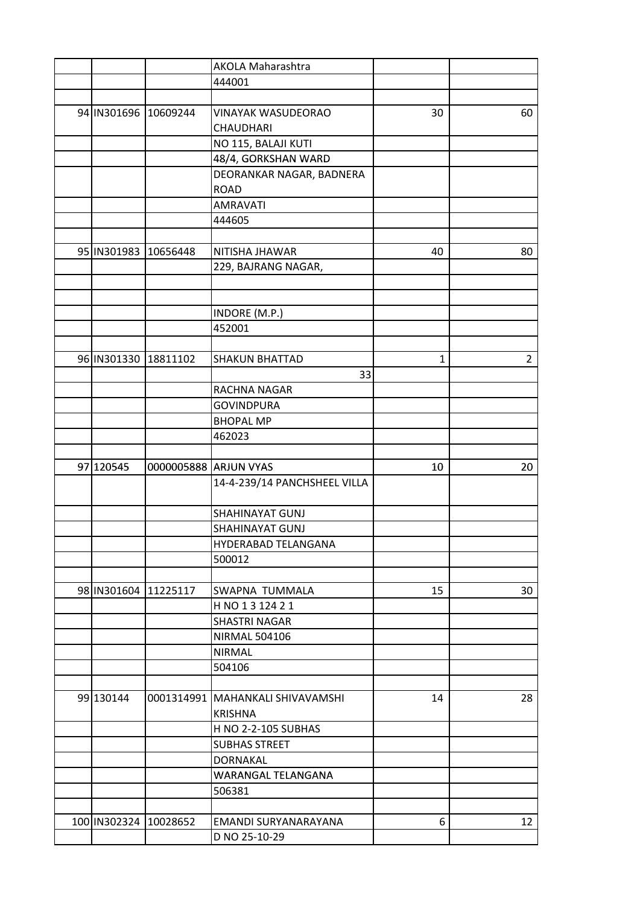|                       |          | <b>AKOLA Maharashtra</b>           |              |                |
|-----------------------|----------|------------------------------------|--------------|----------------|
|                       |          | 444001                             |              |                |
|                       |          |                                    |              |                |
| 94 IN301696 10609244  |          | <b>VINAYAK WASUDEORAO</b>          | 30           | 60             |
|                       |          | <b>CHAUDHARI</b>                   |              |                |
|                       |          | NO 115, BALAJI KUTI                |              |                |
|                       |          | 48/4, GORKSHAN WARD                |              |                |
|                       |          | DEORANKAR NAGAR, BADNERA           |              |                |
|                       |          | <b>ROAD</b>                        |              |                |
|                       |          | AMRAVATI                           |              |                |
|                       |          | 444605                             |              |                |
|                       |          |                                    |              |                |
| 95 IN301983 10656448  |          | NITISHA JHAWAR                     | 40           | 80             |
|                       |          | 229, BAJRANG NAGAR,                |              |                |
|                       |          |                                    |              |                |
|                       |          |                                    |              |                |
|                       |          | INDORE (M.P.)                      |              |                |
|                       |          | 452001                             |              |                |
|                       |          |                                    |              |                |
| 96 IN301330           | 18811102 | <b>SHAKUN BHATTAD</b>              | $\mathbf{1}$ | $\overline{2}$ |
|                       |          | 33                                 |              |                |
|                       |          | RACHNA NAGAR                       |              |                |
|                       |          | <b>GOVINDPURA</b>                  |              |                |
|                       |          | <b>BHOPAL MP</b>                   |              |                |
|                       |          | 462023                             |              |                |
|                       |          |                                    |              |                |
| 97 120545             |          | 0000005888 ARJUN VYAS              | 10           | 20             |
|                       |          | 14-4-239/14 PANCHSHEEL VILLA       |              |                |
|                       |          |                                    |              |                |
|                       |          | SHAHINAYAT GUNJ                    |              |                |
|                       |          | SHAHINAYAT GUNJ                    |              |                |
|                       |          | HYDERABAD TELANGANA                |              |                |
|                       |          | 500012                             |              |                |
|                       |          |                                    |              |                |
| 98 IN301604 11225117  |          | SWAPNA TUMMALA                     | 15           | 30             |
|                       |          | H NO 1 3 124 2 1                   |              |                |
|                       |          | <b>SHASTRI NAGAR</b>               |              |                |
|                       |          | <b>NIRMAL 504106</b>               |              |                |
|                       |          | <b>NIRMAL</b>                      |              |                |
|                       |          | 504106                             |              |                |
|                       |          |                                    |              |                |
| 99 130144             |          | 0001314991   MAHANKALI SHIVAVAMSHI | 14           | 28             |
|                       |          | <b>KRISHNA</b>                     |              |                |
|                       |          | H NO 2-2-105 SUBHAS                |              |                |
|                       |          | <b>SUBHAS STREET</b>               |              |                |
|                       |          | <b>DORNAKAL</b>                    |              |                |
|                       |          | WARANGAL TELANGANA                 |              |                |
|                       |          | 506381                             |              |                |
|                       |          |                                    |              |                |
| 100 IN302324 10028652 |          | EMANDI SURYANARAYANA               | 6            | 12             |
|                       |          | D NO 25-10-29                      |              |                |
|                       |          |                                    |              |                |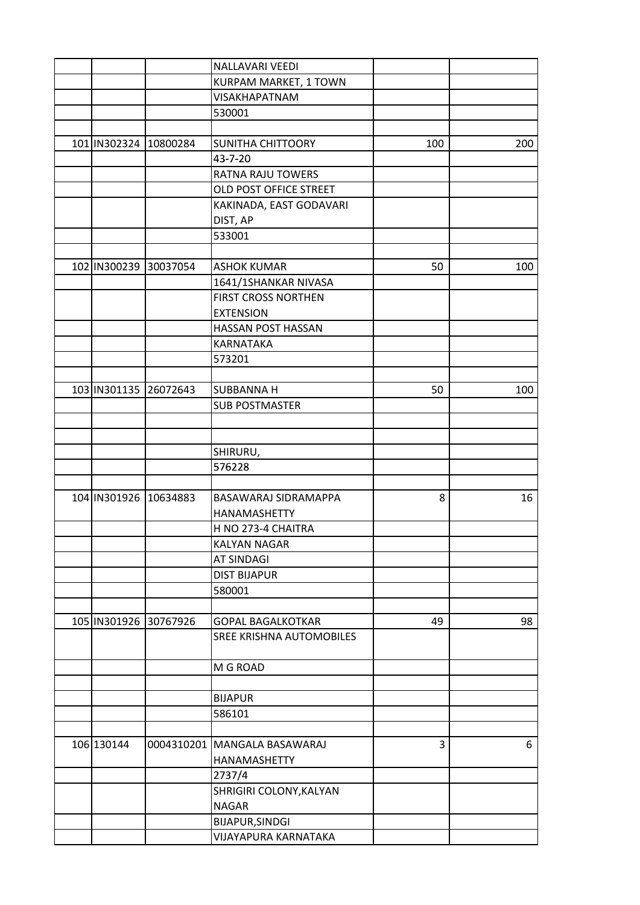|                       |                       | <b>NALLAVARI VEEDI</b>         |     |     |
|-----------------------|-----------------------|--------------------------------|-----|-----|
|                       |                       | KURPAM MARKET, 1 TOWN          |     |     |
|                       |                       | <b>VISAKHAPATNAM</b>           |     |     |
|                       |                       | 530001                         |     |     |
|                       |                       |                                |     |     |
|                       | 101 IN302324 10800284 | SUNITHA CHITTOORY              | 100 | 200 |
|                       |                       | 43-7-20                        |     |     |
|                       |                       | RATNA RAJU TOWERS              |     |     |
|                       |                       | OLD POST OFFICE STREET         |     |     |
|                       |                       | KAKINADA, EAST GODAVARI        |     |     |
|                       |                       | DIST, AP                       |     |     |
|                       |                       | 533001                         |     |     |
|                       |                       |                                |     |     |
|                       | 102 IN300239 30037054 | <b>ASHOK KUMAR</b>             | 50  | 100 |
|                       |                       | 1641/1SHANKAR NIVASA           |     |     |
|                       |                       | FIRST CROSS NORTHEN            |     |     |
|                       |                       | <b>EXTENSION</b>               |     |     |
|                       |                       | HASSAN POST HASSAN             |     |     |
|                       |                       |                                |     |     |
|                       |                       | <b>KARNATAKA</b>               |     |     |
|                       |                       | 573201                         |     |     |
|                       |                       |                                |     |     |
|                       | 103 IN301135 26072643 | <b>SUBBANNA H</b>              | 50  | 100 |
|                       |                       | <b>SUB POSTMASTER</b>          |     |     |
|                       |                       |                                |     |     |
|                       |                       |                                |     |     |
|                       |                       | SHIRURU,                       |     |     |
|                       |                       | 576228                         |     |     |
|                       |                       |                                |     |     |
| 104 IN301926 10634883 |                       | BASAWARAJ SIDRAMAPPA           | 8   | 16  |
|                       |                       | HANAMASHETTY                   |     |     |
|                       |                       | H NO 273-4 CHAITRA             |     |     |
|                       |                       | <b>KALYAN NAGAR</b>            |     |     |
|                       |                       | <b>AT SINDAGI</b>              |     |     |
|                       |                       | <b>DIST BIJAPUR</b>            |     |     |
|                       |                       | 580001                         |     |     |
|                       |                       |                                |     |     |
|                       | 105 IN301926 30767926 | <b>GOPAL BAGALKOTKAR</b>       | 49  | 98  |
|                       |                       | SREE KRISHNA AUTOMOBILES       |     |     |
|                       |                       |                                |     |     |
|                       |                       | M G ROAD                       |     |     |
|                       |                       |                                |     |     |
|                       |                       | <b>BIJAPUR</b>                 |     |     |
|                       |                       | 586101                         |     |     |
|                       |                       |                                |     |     |
| 106 130144            |                       | 0004310201   MANGALA BASAWARAJ | 3   | 6   |
|                       |                       | HANAMASHETTY                   |     |     |
|                       |                       | 2737/4                         |     |     |
|                       |                       | SHRIGIRI COLONY, KALYAN        |     |     |
|                       |                       | <b>NAGAR</b>                   |     |     |
|                       |                       |                                |     |     |
|                       |                       | BIJAPUR, SINDGI                |     |     |
|                       |                       | VIJAYAPURA KARNATAKA           |     |     |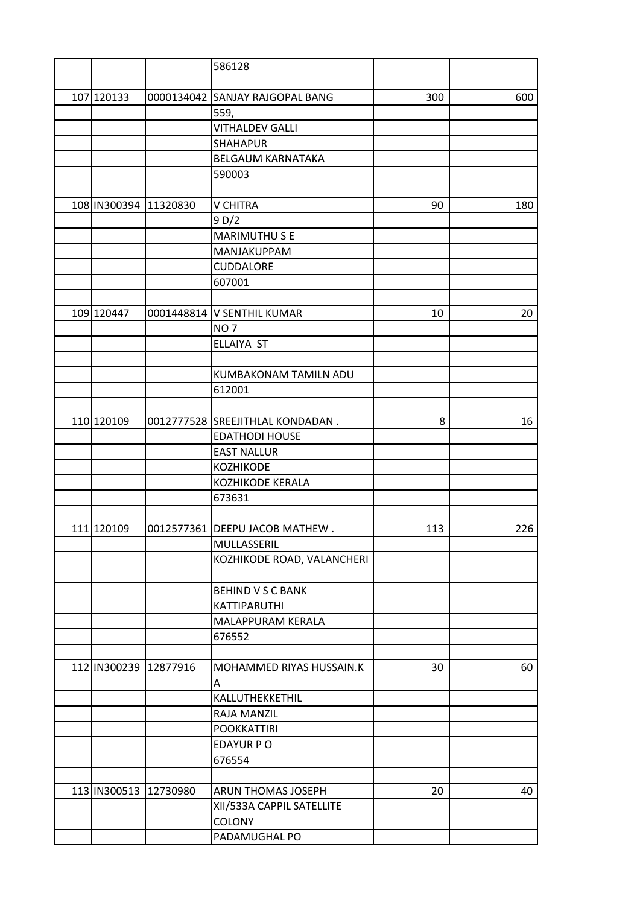|                       |                           | 586128                           |     |     |
|-----------------------|---------------------------|----------------------------------|-----|-----|
|                       |                           |                                  |     |     |
| 107 120133            |                           | 0000134042 SANJAY RAJGOPAL BANG  | 300 | 600 |
|                       |                           | 559,                             |     |     |
|                       |                           | <b>VITHALDEV GALLI</b>           |     |     |
|                       |                           | <b>SHAHAPUR</b>                  |     |     |
|                       |                           | <b>BELGAUM KARNATAKA</b>         |     |     |
|                       |                           | 590003                           |     |     |
|                       |                           |                                  |     |     |
| 108 IN300394 11320830 |                           | <b>V CHITRA</b>                  | 90  | 180 |
|                       |                           | 9D/2                             |     |     |
|                       |                           | <b>MARIMUTHUSE</b>               |     |     |
|                       |                           | MANJAKUPPAM                      |     |     |
|                       |                           | CUDDALORE                        |     |     |
|                       |                           | 607001                           |     |     |
|                       |                           |                                  |     |     |
| 109 120447            |                           | 0001448814 V SENTHIL KUMAR       | 10  | 20  |
|                       |                           | NO <sub>7</sub>                  |     |     |
|                       |                           | <b>ELLAIYA ST</b>                |     |     |
|                       |                           |                                  |     |     |
|                       |                           | KUMBAKONAM TAMILN ADU            |     |     |
|                       |                           | 612001                           |     |     |
|                       |                           |                                  |     |     |
| 110 120109            |                           | 0012777528 SREEJITHLAL KONDADAN. | 8   | 16  |
|                       |                           | <b>EDATHODI HOUSE</b>            |     |     |
|                       |                           |                                  |     |     |
|                       |                           | <b>EAST NALLUR</b>               |     |     |
|                       |                           | <b>KOZHIKODE</b>                 |     |     |
|                       |                           | <b>KOZHIKODE KERALA</b>          |     |     |
|                       |                           | 673631                           |     |     |
|                       |                           |                                  |     |     |
| 111 120109            |                           | 0012577361 DEEPU JACOB MATHEW.   | 113 | 226 |
|                       |                           | MULLASSERIL                      |     |     |
|                       |                           | KOZHIKODE ROAD, VALANCHERI       |     |     |
|                       |                           |                                  |     |     |
|                       |                           | <b>BEHIND V S C BANK</b>         |     |     |
|                       |                           | KATTIPARUTHI                     |     |     |
|                       |                           | MALAPPURAM KERALA                |     |     |
|                       |                           | 676552                           |     |     |
|                       |                           |                                  |     |     |
|                       | 112   IN300239   12877916 | MOHAMMED RIYAS HUSSAIN.K         | 30  | 60  |
|                       |                           | Α                                |     |     |
|                       |                           | KALLUTHEKKETHIL                  |     |     |
|                       |                           | RAJA MANZIL                      |     |     |
|                       |                           | <b>POOKKATTIRI</b>               |     |     |
|                       |                           | <b>EDAYUR PO</b>                 |     |     |
|                       |                           | 676554                           |     |     |
|                       |                           |                                  |     |     |
|                       | 113 IN300513 12730980     | <b>ARUN THOMAS JOSEPH</b>        | 20  | 40  |
|                       |                           | XII/533A CAPPIL SATELLITE        |     |     |
|                       |                           | <b>COLONY</b>                    |     |     |
|                       |                           | PADAMUGHAL PO                    |     |     |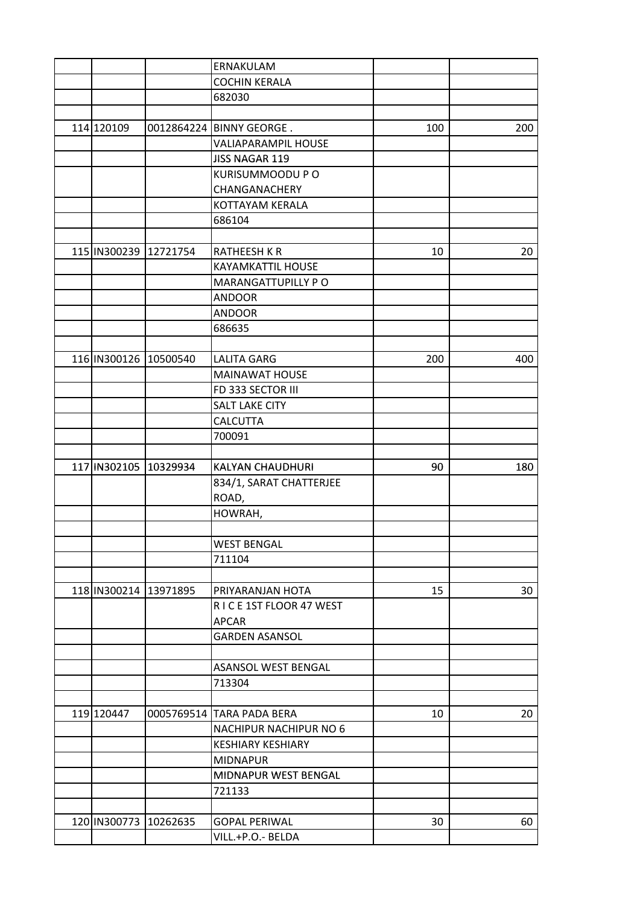|                       | ERNAKULAM                  |     |     |
|-----------------------|----------------------------|-----|-----|
|                       | <b>COCHIN KERALA</b>       |     |     |
|                       | 682030                     |     |     |
|                       |                            |     |     |
| 114 120109            | 0012864224 BINNY GEORGE.   | 100 | 200 |
|                       | <b>VALIAPARAMPIL HOUSE</b> |     |     |
|                       | <b>JISS NAGAR 119</b>      |     |     |
|                       | KURISUMMOODU P O           |     |     |
|                       | CHANGANACHERY              |     |     |
|                       | KOTTAYAM KERALA            |     |     |
|                       | 686104                     |     |     |
|                       |                            |     |     |
| 115 IN300239 12721754 | <b>RATHEESH K R</b>        | 10  | 20  |
|                       | <b>KAYAMKATTIL HOUSE</b>   |     |     |
|                       | MARANGATTUPILLY PO         |     |     |
|                       | <b>ANDOOR</b>              |     |     |
|                       | <b>ANDOOR</b>              |     |     |
|                       | 686635                     |     |     |
|                       |                            |     |     |
| 116 IN300126 10500540 | <b>LALITA GARG</b>         | 200 | 400 |
|                       | <b>MAINAWAT HOUSE</b>      |     |     |
|                       | FD 333 SECTOR III          |     |     |
|                       | <b>SALT LAKE CITY</b>      |     |     |
|                       | <b>CALCUTTA</b>            |     |     |
|                       | 700091                     |     |     |
|                       |                            |     |     |
| 117 IN302105 10329934 | <b>KALYAN CHAUDHURI</b>    | 90  | 180 |
|                       | 834/1, SARAT CHATTERJEE    |     |     |
|                       | ROAD,                      |     |     |
|                       | HOWRAH,                    |     |     |
|                       |                            |     |     |
|                       | WEST BENGAL                |     |     |
|                       | 711104                     |     |     |
|                       |                            |     |     |
| 118 IN300214 13971895 | PRIYARANJAN HOTA           | 15  | 30  |
|                       | RICE 1ST FLOOR 47 WEST     |     |     |
|                       | <b>APCAR</b>               |     |     |
|                       | <b>GARDEN ASANSOL</b>      |     |     |
|                       |                            |     |     |
|                       | ASANSOL WEST BENGAL        |     |     |
|                       | 713304                     |     |     |
|                       |                            |     |     |
| 119 120447            | 0005769514 TARA PADA BERA  | 10  | 20  |
|                       | NACHIPUR NACHIPUR NO 6     |     |     |
|                       | <b>KESHIARY KESHIARY</b>   |     |     |
|                       | <b>MIDNAPUR</b>            |     |     |
|                       | MIDNAPUR WEST BENGAL       |     |     |
|                       | 721133                     |     |     |
|                       |                            |     |     |
| 120 IN300773 10262635 | <b>GOPAL PERIWAL</b>       | 30  | 60  |
|                       | VILL.+P.O.- BELDA          |     |     |
|                       |                            |     |     |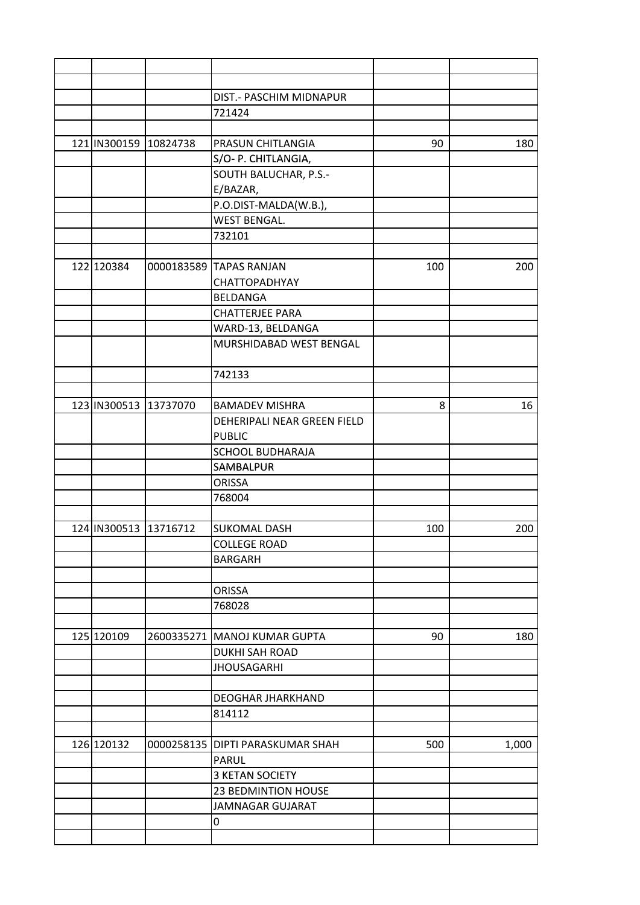|                       | DIST.- PASCHIM MIDNAPUR            |     |       |
|-----------------------|------------------------------------|-----|-------|
|                       | 721424                             |     |       |
|                       |                                    |     |       |
| 121 IN300159 10824738 | PRASUN CHITLANGIA                  | 90  | 180   |
|                       | S/O- P. CHITLANGIA,                |     |       |
|                       | SOUTH BALUCHAR, P.S.-              |     |       |
|                       | E/BAZAR,                           |     |       |
|                       | P.O.DIST-MALDA(W.B.),              |     |       |
|                       | <b>WEST BENGAL.</b>                |     |       |
|                       | 732101                             |     |       |
|                       |                                    |     |       |
| 122 120384            | 0000183589 TAPAS RANJAN            | 100 | 200   |
|                       | <b>CHATTOPADHYAY</b>               |     |       |
|                       | BELDANGA                           |     |       |
|                       | <b>CHATTERJEE PARA</b>             |     |       |
|                       | WARD-13, BELDANGA                  |     |       |
|                       | MURSHIDABAD WEST BENGAL            |     |       |
|                       |                                    |     |       |
|                       | 742133                             |     |       |
|                       |                                    |     |       |
| 123 IN300513 13737070 | <b>BAMADEV MISHRA</b>              | 8   | 16    |
|                       | DEHERIPALI NEAR GREEN FIELD        |     |       |
|                       | <b>PUBLIC</b>                      |     |       |
|                       | <b>SCHOOL BUDHARAJA</b>            |     |       |
|                       | <b>SAMBALPUR</b>                   |     |       |
|                       | <b>ORISSA</b>                      |     |       |
|                       | 768004                             |     |       |
|                       |                                    |     |       |
| 124 IN300513 13716712 | <b>SUKOMAL DASH</b>                | 100 | 200   |
|                       | <b>COLLEGE ROAD</b>                |     |       |
|                       | <b>BARGARH</b>                     |     |       |
|                       |                                    |     |       |
|                       | <b>ORISSA</b>                      |     |       |
|                       | 768028                             |     |       |
|                       |                                    |     |       |
| 125 120109            | 2600335271 MANOJ KUMAR GUPTA       | 90  | 180   |
|                       | <b>DUKHI SAH ROAD</b>              |     |       |
|                       | <b>JHOUSAGARHI</b>                 |     |       |
|                       |                                    |     |       |
|                       | <b>DEOGHAR JHARKHAND</b>           |     |       |
|                       | 814112                             |     |       |
|                       |                                    |     |       |
| 126 120132            | 0000258135   DIPTI PARASKUMAR SHAH | 500 | 1,000 |
|                       | PARUL                              |     |       |
|                       | <b>3 KETAN SOCIETY</b>             |     |       |
|                       | 23 BEDMINTION HOUSE                |     |       |
|                       | JAMNAGAR GUJARAT                   |     |       |
|                       | 0                                  |     |       |
|                       |                                    |     |       |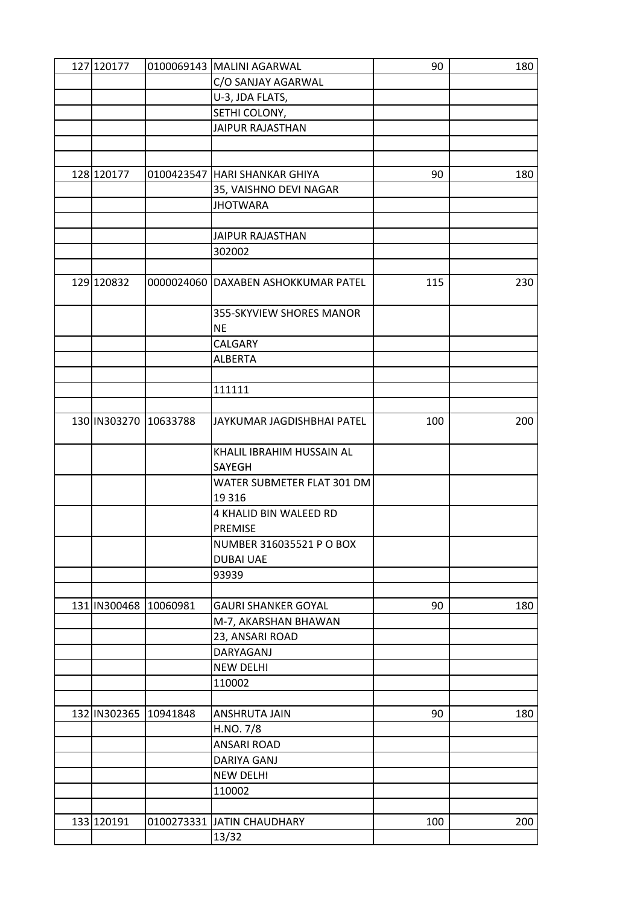| 127 120177            |                       | 0100069143 MALINI AGARWAL           | 90  | 180 |
|-----------------------|-----------------------|-------------------------------------|-----|-----|
|                       |                       | C/O SANJAY AGARWAL                  |     |     |
|                       |                       | U-3, JDA FLATS,                     |     |     |
|                       |                       | SETHI COLONY,                       |     |     |
|                       |                       | <b>JAIPUR RAJASTHAN</b>             |     |     |
|                       |                       |                                     |     |     |
|                       |                       |                                     |     |     |
| 128 120177            |                       | 0100423547   HARI SHANKAR GHIYA     | 90  | 180 |
|                       |                       | 35, VAISHNO DEVI NAGAR              |     |     |
|                       |                       | <b>JHOTWARA</b>                     |     |     |
|                       |                       |                                     |     |     |
|                       |                       | JAIPUR RAJASTHAN                    |     |     |
|                       |                       | 302002                              |     |     |
|                       |                       |                                     |     |     |
| 129 120832            |                       | 0000024060 DAXABEN ASHOKKUMAR PATEL | 115 | 230 |
|                       |                       | 355-SKYVIEW SHORES MANOR            |     |     |
|                       |                       | <b>NE</b>                           |     |     |
|                       |                       | CALGARY                             |     |     |
|                       |                       | <b>ALBERTA</b>                      |     |     |
|                       |                       |                                     |     |     |
|                       |                       | 111111                              |     |     |
|                       |                       |                                     |     |     |
| 130 IN303270 10633788 |                       | JAYKUMAR JAGDISHBHAI PATEL          | 100 | 200 |
|                       |                       |                                     |     |     |
|                       |                       | KHALIL IBRAHIM HUSSAIN AL           |     |     |
|                       |                       | SAYEGH                              |     |     |
|                       |                       | WATER SUBMETER FLAT 301 DM          |     |     |
|                       |                       | 19 3 16                             |     |     |
|                       |                       | 4 KHALID BIN WALEED RD              |     |     |
|                       |                       | <b>PREMISE</b>                      |     |     |
|                       |                       | NUMBER 316035521 P O BOX            |     |     |
|                       |                       | <b>DUBAI UAE</b>                    |     |     |
|                       |                       | 93939                               |     |     |
|                       |                       |                                     |     |     |
| 131 IN300468 10060981 |                       | <b>GAURI SHANKER GOYAL</b>          | 90  | 180 |
|                       |                       | M-7, AKARSHAN BHAWAN                |     |     |
|                       |                       | 23, ANSARI ROAD                     |     |     |
|                       |                       | DARYAGANJ                           |     |     |
|                       |                       | <b>NEW DELHI</b>                    |     |     |
|                       |                       | 110002                              |     |     |
|                       |                       |                                     |     |     |
|                       | 132 IN302365 10941848 | ANSHRUTA JAIN                       | 90  | 180 |
|                       |                       | H.NO. 7/8                           |     |     |
|                       |                       | <b>ANSARI ROAD</b>                  |     |     |
|                       |                       | DARIYA GANJ                         |     |     |
|                       |                       | <b>NEW DELHI</b>                    |     |     |
|                       |                       | 110002                              |     |     |
|                       |                       |                                     |     |     |
| 133 120191            |                       | 0100273331 JATIN CHAUDHARY          | 100 | 200 |
|                       |                       | 13/32                               |     |     |
|                       |                       |                                     |     |     |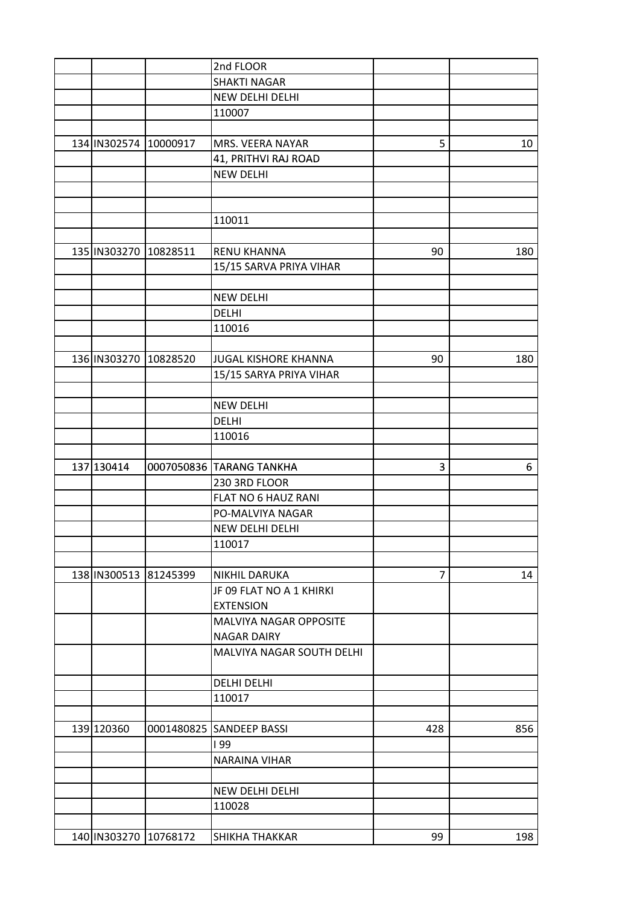|                       | 2nd FLOOR                   |                |     |
|-----------------------|-----------------------------|----------------|-----|
|                       | <b>SHAKTI NAGAR</b>         |                |     |
|                       | NEW DELHI DELHI             |                |     |
|                       | 110007                      |                |     |
|                       |                             |                |     |
| 134 IN302574 10000917 | MRS. VEERA NAYAR            | 5              | 10  |
|                       | 41, PRITHVI RAJ ROAD        |                |     |
|                       | <b>NEW DELHI</b>            |                |     |
|                       |                             |                |     |
|                       |                             |                |     |
|                       | 110011                      |                |     |
|                       |                             |                |     |
| 135 IN303270 10828511 | <b>RENU KHANNA</b>          | 90             | 180 |
|                       | 15/15 SARVA PRIYA VIHAR     |                |     |
|                       |                             |                |     |
|                       | <b>NEW DELHI</b>            |                |     |
|                       | <b>DELHI</b>                |                |     |
|                       | 110016                      |                |     |
|                       |                             |                |     |
| 136 IN303270 10828520 | <b>JUGAL KISHORE KHANNA</b> | 90             | 180 |
|                       | 15/15 SARYA PRIYA VIHAR     |                |     |
|                       |                             |                |     |
|                       | <b>NEW DELHI</b>            |                |     |
|                       | <b>DELHI</b>                |                |     |
|                       | 110016                      |                |     |
|                       |                             |                |     |
| 137 130414            | 0007050836 TARANG TANKHA    | 3              | 6   |
|                       | 230 3RD FLOOR               |                |     |
|                       | FLAT NO 6 HAUZ RANI         |                |     |
|                       | PO-MALVIYA NAGAR            |                |     |
|                       | NEW DELHI DELHI             |                |     |
|                       | 110017                      |                |     |
|                       |                             |                |     |
| 138 IN300513 81245399 | <b>NIKHIL DARUKA</b>        | $\overline{7}$ | 14  |
|                       | JF 09 FLAT NO A 1 KHIRKI    |                |     |
|                       | <b>EXTENSION</b>            |                |     |
|                       | MALVIYA NAGAR OPPOSITE      |                |     |
|                       | <b>NAGAR DAIRY</b>          |                |     |
|                       | MALVIYA NAGAR SOUTH DELHI   |                |     |
|                       |                             |                |     |
|                       | <b>DELHI DELHI</b>          |                |     |
|                       | 110017                      |                |     |
|                       |                             |                |     |
| 139 120360            | 0001480825 SANDEEP BASSI    | 428            | 856 |
|                       | <b>199</b>                  |                |     |
|                       | <b>NARAINA VIHAR</b>        |                |     |
|                       |                             |                |     |
|                       | NEW DELHI DELHI             |                |     |
|                       | 110028                      |                |     |
|                       |                             |                |     |
| 140 IN303270 10768172 | SHIKHA THAKKAR              | 99             | 198 |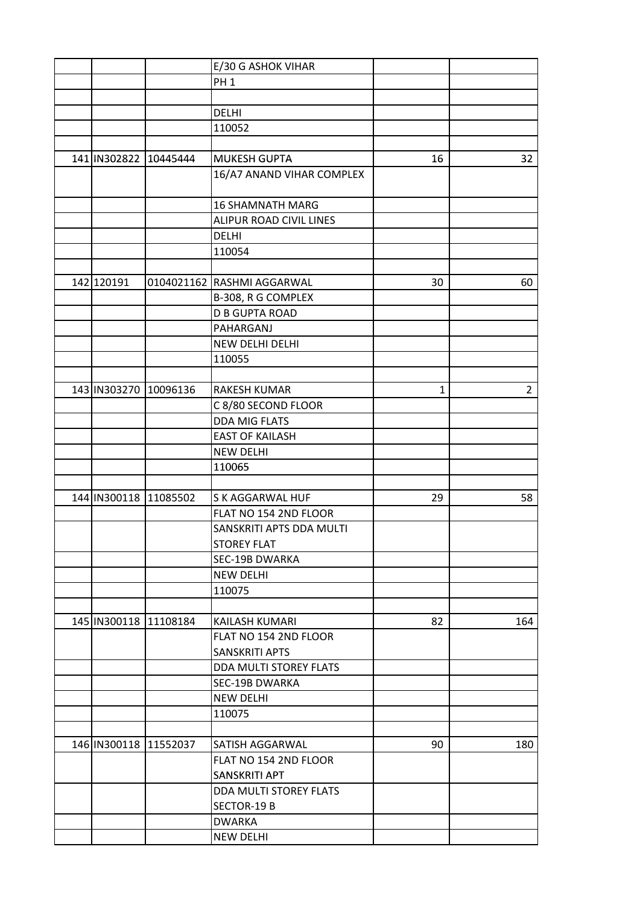|                       | E/30 G ASHOK VIHAR         |    |                |
|-----------------------|----------------------------|----|----------------|
|                       | PH <sub>1</sub>            |    |                |
|                       |                            |    |                |
|                       | <b>DELHI</b>               |    |                |
|                       | 110052                     |    |                |
|                       |                            |    |                |
| 141 IN302822 10445444 | <b>MUKESH GUPTA</b>        | 16 | 32             |
|                       | 16/A7 ANAND VIHAR COMPLEX  |    |                |
|                       |                            |    |                |
|                       | <b>16 SHAMNATH MARG</b>    |    |                |
|                       | ALIPUR ROAD CIVIL LINES    |    |                |
|                       | <b>DELHI</b>               |    |                |
|                       | 110054                     |    |                |
|                       |                            |    |                |
|                       | 0104021162 RASHMI AGGARWAL |    |                |
| 142 120191            |                            | 30 | 60             |
|                       | B-308, R G COMPLEX         |    |                |
|                       | <b>D B GUPTA ROAD</b>      |    |                |
|                       | PAHARGANJ                  |    |                |
|                       | NEW DELHI DELHI            |    |                |
|                       | 110055                     |    |                |
|                       |                            |    |                |
| 143 IN303270 10096136 | <b>RAKESH KUMAR</b>        | 1  | $\overline{2}$ |
|                       | C 8/80 SECOND FLOOR        |    |                |
|                       | <b>DDA MIG FLATS</b>       |    |                |
|                       | <b>EAST OF KAILASH</b>     |    |                |
|                       | <b>NEW DELHI</b>           |    |                |
|                       | 110065                     |    |                |
|                       |                            |    |                |
| 144 IN300118 11085502 | S K AGGARWAL HUF           | 29 | 58             |
|                       | FLAT NO 154 2ND FLOOR      |    |                |
|                       | SANSKRITI APTS DDA MULTI   |    |                |
|                       | <b>STOREY FLAT</b>         |    |                |
|                       | SEC-19B DWARKA             |    |                |
|                       | <b>NEW DELHI</b>           |    |                |
|                       | 110075                     |    |                |
|                       |                            |    |                |
| 145 IN300118 11108184 | KAILASH KUMARI             | 82 | 164            |
|                       | FLAT NO 154 2ND FLOOR      |    |                |
|                       | <b>SANSKRITI APTS</b>      |    |                |
|                       | DDA MULTI STOREY FLATS     |    |                |
|                       |                            |    |                |
|                       | <b>SEC-19B DWARKA</b>      |    |                |
|                       | <b>NEW DELHI</b>           |    |                |
|                       | 110075                     |    |                |
|                       |                            |    |                |
| 146 IN300118 11552037 | SATISH AGGARWAL            | 90 | 180            |
|                       | FLAT NO 154 2ND FLOOR      |    |                |
|                       | SANSKRITI APT              |    |                |
|                       | DDA MULTI STOREY FLATS     |    |                |
|                       | SECTOR-19 B                |    |                |
|                       | <b>DWARKA</b>              |    |                |
|                       | <b>NEW DELHI</b>           |    |                |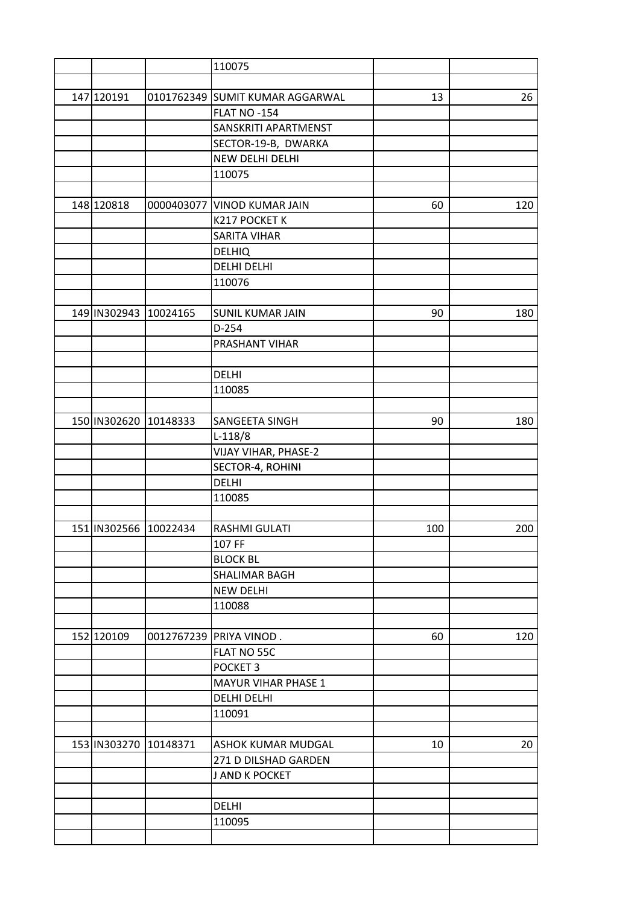|                       | 110075                          |     |     |
|-----------------------|---------------------------------|-----|-----|
|                       |                                 |     |     |
| 147 120191            | 0101762349 SUMIT KUMAR AGGARWAL | 13  | 26  |
|                       | FLAT NO -154                    |     |     |
|                       | SANSKRITI APARTMENST            |     |     |
|                       | SECTOR-19-B, DWARKA             |     |     |
|                       | NEW DELHI DELHI                 |     |     |
|                       | 110075                          |     |     |
|                       |                                 |     |     |
| 148 120818            | 0000403077 VINOD KUMAR JAIN     | 60  | 120 |
|                       | K217 POCKET K                   |     |     |
|                       | <b>SARITA VIHAR</b>             |     |     |
|                       | <b>DELHIQ</b>                   |     |     |
|                       | <b>DELHI DELHI</b>              |     |     |
|                       | 110076                          |     |     |
|                       |                                 |     |     |
| 149 IN302943 10024165 | <b>SUNIL KUMAR JAIN</b>         | 90  | 180 |
|                       | $D-254$                         |     |     |
|                       | PRASHANT VIHAR                  |     |     |
|                       |                                 |     |     |
|                       | DELHI                           |     |     |
|                       | 110085                          |     |     |
|                       |                                 |     |     |
| 150 IN302620 10148333 | SANGEETA SINGH                  | 90  | 180 |
|                       | $L-118/8$                       |     |     |
|                       |                                 |     |     |
|                       | VIJAY VIHAR, PHASE-2            |     |     |
|                       | SECTOR-4, ROHINI                |     |     |
|                       | <b>DELHI</b>                    |     |     |
|                       | 110085                          |     |     |
| 151 IN302566 10022434 | <b>RASHMI GULATI</b>            | 100 | 200 |
|                       |                                 |     |     |
|                       | 107 FF<br><b>BLOCK BL</b>       |     |     |
|                       |                                 |     |     |
|                       | SHALIMAR BAGH                   |     |     |
|                       | <b>NEW DELHI</b>                |     |     |
|                       | 110088                          |     |     |
|                       |                                 |     |     |
| 152 120109            | 0012767239 PRIYA VINOD.         | 60  | 120 |
|                       | FLAT NO 55C                     |     |     |
|                       | POCKET <sub>3</sub>             |     |     |
|                       | <b>MAYUR VIHAR PHASE 1</b>      |     |     |
|                       | DELHI DELHI                     |     |     |
|                       | 110091                          |     |     |
|                       |                                 |     |     |
| 153 IN303270 10148371 | <b>ASHOK KUMAR MUDGAL</b>       | 10  | 20  |
|                       | 271 D DILSHAD GARDEN            |     |     |
|                       | J AND K POCKET                  |     |     |
|                       |                                 |     |     |
|                       | <b>DELHI</b>                    |     |     |
|                       | 110095                          |     |     |
|                       |                                 |     |     |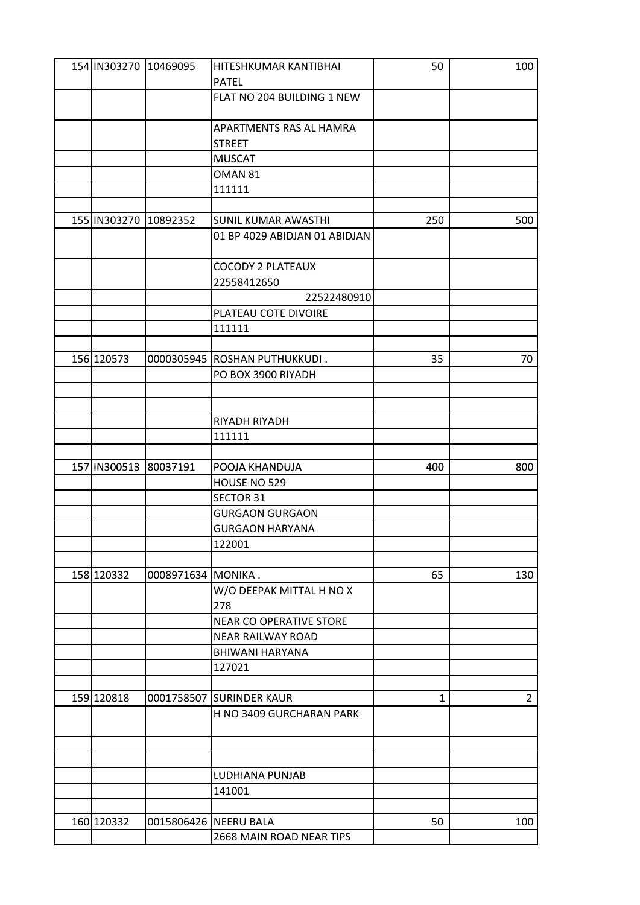| 154 IN303270 10469095 |                    | HITESHKUMAR KANTIBHAI                                | 50  | 100            |
|-----------------------|--------------------|------------------------------------------------------|-----|----------------|
|                       |                    | <b>PATEL</b>                                         |     |                |
|                       |                    | FLAT NO 204 BUILDING 1 NEW                           |     |                |
|                       |                    |                                                      |     |                |
|                       |                    | APARTMENTS RAS AL HAMRA                              |     |                |
|                       |                    | <b>STREET</b>                                        |     |                |
|                       |                    | <b>MUSCAT</b>                                        |     |                |
|                       |                    | OMAN 81                                              |     |                |
|                       |                    | 111111                                               |     |                |
|                       |                    |                                                      |     |                |
| 155 IN303270 10892352 |                    | SUNIL KUMAR AWASTHI                                  | 250 | 500            |
|                       |                    | 01 BP 4029 ABIDJAN 01 ABIDJAN                        |     |                |
|                       |                    |                                                      |     |                |
|                       |                    | <b>COCODY 2 PLATEAUX</b>                             |     |                |
|                       |                    | 22558412650                                          |     |                |
|                       |                    | 22522480910                                          |     |                |
|                       |                    | PLATEAU COTE DIVOIRE                                 |     |                |
|                       |                    | 111111                                               |     |                |
|                       |                    |                                                      |     |                |
| 156 120573            |                    | 0000305945 ROSHAN PUTHUKKUDI.                        | 35  | 70             |
|                       |                    | PO BOX 3900 RIYADH                                   |     |                |
|                       |                    |                                                      |     |                |
|                       |                    |                                                      |     |                |
|                       |                    | RIYADH RIYADH                                        |     |                |
|                       |                    | 111111                                               |     |                |
|                       |                    |                                                      |     |                |
| 157 IN300513 80037191 |                    | POOJA KHANDUJA                                       | 400 | 800            |
|                       |                    | HOUSE NO 529                                         |     |                |
|                       |                    | SECTOR 31                                            |     |                |
|                       |                    | <b>GURGAON GURGAON</b>                               |     |                |
|                       |                    | <b>GURGAON HARYANA</b>                               |     |                |
|                       |                    | 122001                                               |     |                |
|                       |                    |                                                      |     |                |
| 158 120332            | 0008971634 MONIKA. |                                                      | 65  | 130            |
|                       |                    | W/O DEEPAK MITTAL H NO X                             |     |                |
|                       |                    | 278                                                  |     |                |
|                       |                    | NEAR CO OPERATIVE STORE                              |     |                |
|                       |                    | <b>NEAR RAILWAY ROAD</b>                             |     |                |
|                       |                    | <b>BHIWANI HARYANA</b>                               |     |                |
|                       |                    | 127021                                               |     |                |
|                       |                    |                                                      |     |                |
| 159 120818            |                    |                                                      |     | $\overline{2}$ |
|                       |                    | 0001758507 SURINDER KAUR<br>H NO 3409 GURCHARAN PARK | 1   |                |
|                       |                    |                                                      |     |                |
|                       |                    |                                                      |     |                |
|                       |                    |                                                      |     |                |
|                       |                    |                                                      |     |                |
|                       |                    | LUDHIANA PUNJAB                                      |     |                |
|                       |                    | 141001                                               |     |                |
|                       |                    |                                                      |     |                |
| 160 120332            |                    | 0015806426 NEERU BALA                                | 50  | 100            |
|                       |                    | 2668 MAIN ROAD NEAR TIPS                             |     |                |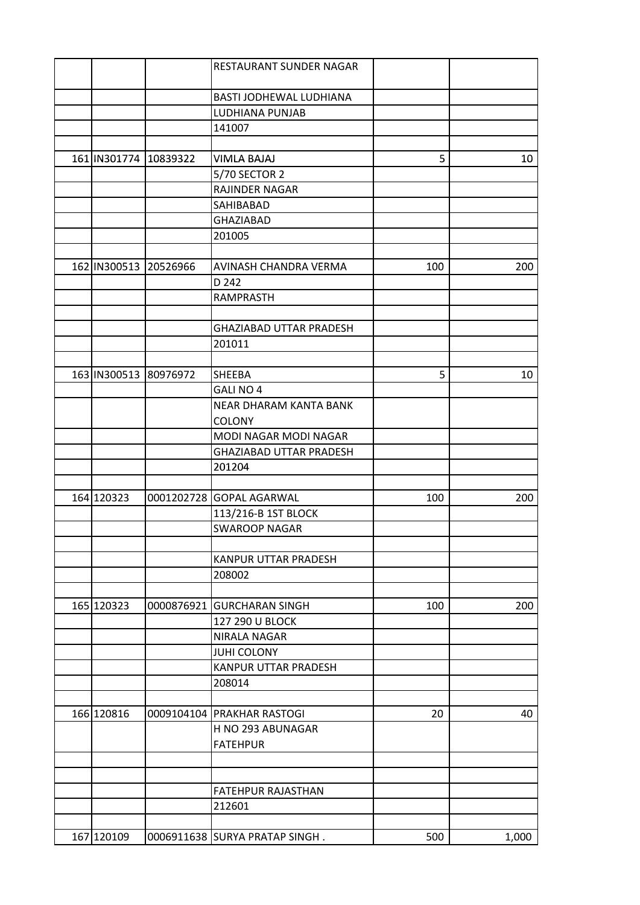|                       |                       | RESTAURANT SUNDER NAGAR        |     |       |
|-----------------------|-----------------------|--------------------------------|-----|-------|
|                       |                       | BASTI JODHEWAL LUDHIANA        |     |       |
|                       |                       | LUDHIANA PUNJAB                |     |       |
|                       |                       | 141007                         |     |       |
|                       |                       |                                |     |       |
| 161 IN301774 10839322 |                       | <b>VIMLA BAJAJ</b>             | 5   | 10    |
|                       |                       | 5/70 SECTOR 2                  |     |       |
|                       |                       | RAJINDER NAGAR                 |     |       |
|                       |                       | SAHIBABAD                      |     |       |
|                       |                       | <b>GHAZIABAD</b>               |     |       |
|                       |                       | 201005                         |     |       |
|                       |                       |                                |     |       |
|                       | 162 IN300513 20526966 | AVINASH CHANDRA VERMA          | 100 | 200   |
|                       |                       | D 242                          |     |       |
|                       |                       | <b>RAMPRASTH</b>               |     |       |
|                       |                       |                                |     |       |
|                       |                       | <b>GHAZIABAD UTTAR PRADESH</b> |     |       |
|                       |                       | 201011                         |     |       |
|                       |                       |                                |     |       |
| 163 IN300513 80976972 |                       | <b>SHEEBA</b>                  | 5   | 10    |
|                       |                       | GALI NO 4                      |     |       |
|                       |                       | NEAR DHARAM KANTA BANK         |     |       |
|                       |                       | <b>COLONY</b>                  |     |       |
|                       |                       | MODI NAGAR MODI NAGAR          |     |       |
|                       |                       | <b>GHAZIABAD UTTAR PRADESH</b> |     |       |
|                       |                       | 201204                         |     |       |
|                       |                       |                                |     |       |
| 164 120323            |                       | 0001202728 GOPAL AGARWAL       | 100 | 200   |
|                       |                       | 113/216-B 1ST BLOCK            |     |       |
|                       |                       | <b>SWAROOP NAGAR</b>           |     |       |
|                       |                       |                                |     |       |
|                       |                       | KANPUR UTTAR PRADESH           |     |       |
|                       |                       | 208002                         |     |       |
|                       |                       |                                |     |       |
| 165 120323            |                       | 0000876921 GURCHARAN SINGH     | 100 | 200   |
|                       |                       | 127 290 U BLOCK                |     |       |
|                       |                       | NIRALA NAGAR                   |     |       |
|                       |                       | <b>JUHI COLONY</b>             |     |       |
|                       |                       | KANPUR UTTAR PRADESH           |     |       |
|                       |                       | 208014                         |     |       |
|                       |                       |                                |     |       |
| 166 120816            |                       | 0009104104 PRAKHAR RASTOGI     | 20  | 40    |
|                       |                       | H NO 293 ABUNAGAR              |     |       |
|                       |                       | <b>FATEHPUR</b>                |     |       |
|                       |                       |                                |     |       |
|                       |                       |                                |     |       |
|                       |                       | FATEHPUR RAJASTHAN             |     |       |
|                       |                       | 212601                         |     |       |
|                       |                       |                                |     |       |
| 167 120109            |                       | 0006911638 SURYA PRATAP SINGH. | 500 | 1,000 |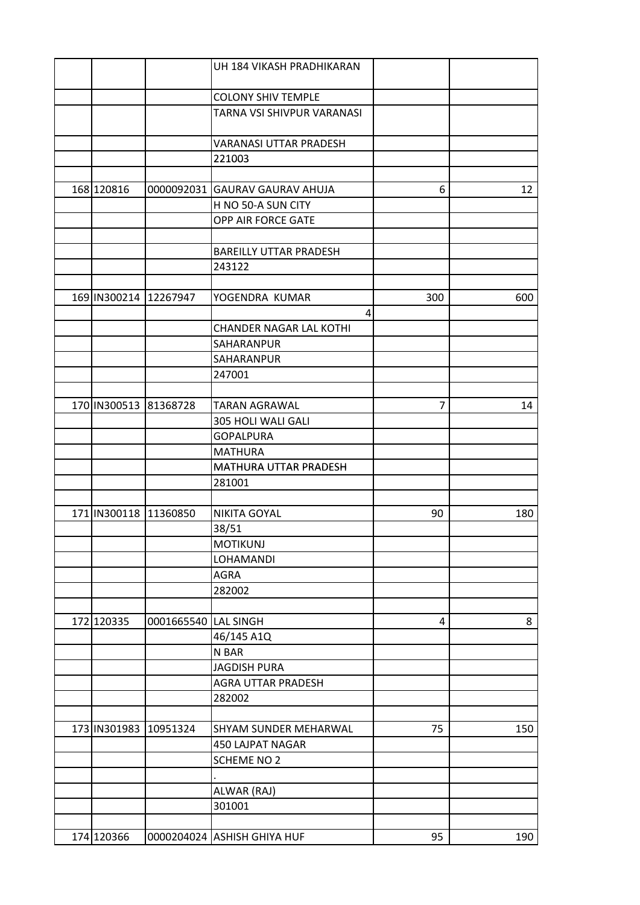|                       |                      | UH 184 VIKASH PRADHIKARAN      |     |     |
|-----------------------|----------------------|--------------------------------|-----|-----|
|                       |                      | <b>COLONY SHIV TEMPLE</b>      |     |     |
|                       |                      | TARNA VSI SHIVPUR VARANASI     |     |     |
|                       |                      |                                |     |     |
|                       |                      | VARANASI UTTAR PRADESH         |     |     |
|                       |                      | 221003                         |     |     |
|                       |                      |                                |     |     |
| 168 120816            |                      | 0000092031 GAURAV GAURAV AHUJA | 6   | 12  |
|                       |                      | H NO 50-A SUN CITY             |     |     |
|                       |                      | OPP AIR FORCE GATE             |     |     |
|                       |                      |                                |     |     |
|                       |                      | <b>BAREILLY UTTAR PRADESH</b>  |     |     |
|                       |                      | 243122                         |     |     |
|                       |                      |                                |     |     |
| 169 IN300214 12267947 |                      | YOGENDRA KUMAR                 | 300 | 600 |
|                       |                      | 4                              |     |     |
|                       |                      | <b>CHANDER NAGAR LAL KOTHI</b> |     |     |
|                       |                      | SAHARANPUR                     |     |     |
|                       |                      | SAHARANPUR                     |     |     |
|                       |                      | 247001                         |     |     |
|                       |                      |                                |     |     |
| 170 IN300513 81368728 |                      | <b>TARAN AGRAWAL</b>           | 7   | 14  |
|                       |                      | 305 HOLI WALI GALI             |     |     |
|                       |                      | <b>GOPALPURA</b>               |     |     |
|                       |                      | <b>MATHURA</b>                 |     |     |
|                       |                      | MATHURA UTTAR PRADESH          |     |     |
|                       |                      | 281001                         |     |     |
|                       |                      |                                |     |     |
| 171 IN300118 11360850 |                      | <b>NIKITA GOYAL</b>            | 90  | 180 |
|                       |                      | 38/51                          |     |     |
|                       |                      | <b>MOTIKUNJ</b>                |     |     |
|                       |                      | LOHAMANDI                      |     |     |
|                       |                      | AGRA                           |     |     |
|                       |                      | 282002                         |     |     |
|                       |                      |                                |     |     |
| 172 120335            | 0001665540 LAL SINGH |                                | 4   | 8   |
|                       |                      | 46/145 A1Q                     |     |     |
|                       |                      | N BAR                          |     |     |
|                       |                      | <b>JAGDISH PURA</b>            |     |     |
|                       |                      | AGRA UTTAR PRADESH             |     |     |
|                       |                      | 282002                         |     |     |
|                       |                      |                                |     |     |
| 173 IN301983 10951324 |                      | SHYAM SUNDER MEHARWAL          | 75  | 150 |
|                       |                      | 450 LAJPAT NAGAR               |     |     |
|                       |                      | <b>SCHEME NO 2</b>             |     |     |
|                       |                      |                                |     |     |
|                       |                      | ALWAR (RAJ)                    |     |     |
|                       |                      | 301001                         |     |     |
|                       |                      |                                |     |     |
| 174 120366            |                      | 0000204024 ASHISH GHIYA HUF    | 95  | 190 |
|                       |                      |                                |     |     |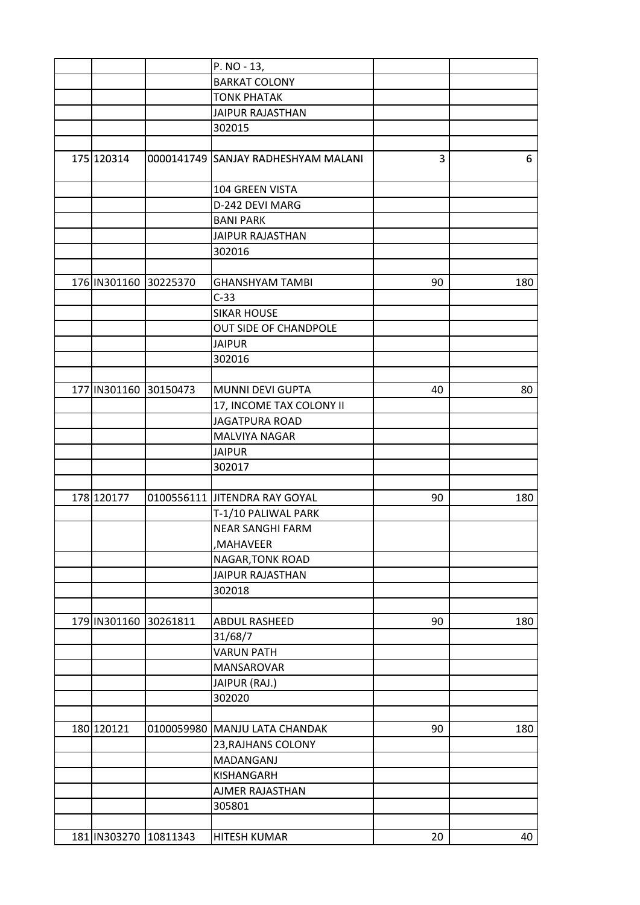|                         |                           | P. NO - 13,                         |    |     |
|-------------------------|---------------------------|-------------------------------------|----|-----|
|                         |                           | <b>BARKAT COLONY</b>                |    |     |
|                         |                           | <b>TONK PHATAK</b>                  |    |     |
|                         |                           | <b>JAIPUR RAJASTHAN</b>             |    |     |
|                         |                           | 302015                              |    |     |
|                         |                           |                                     |    |     |
| 175 120314              |                           | 0000141749 SANJAY RADHESHYAM MALANI | 3  | 6   |
|                         |                           | 104 GREEN VISTA                     |    |     |
|                         |                           | D-242 DEVI MARG                     |    |     |
|                         |                           | <b>BANI PARK</b>                    |    |     |
|                         |                           | <b>JAIPUR RAJASTHAN</b>             |    |     |
|                         |                           | 302016                              |    |     |
|                         |                           |                                     |    |     |
| 176   IN301160 30225370 |                           | <b>GHANSHYAM TAMBI</b>              | 90 | 180 |
|                         |                           | $C-33$                              |    |     |
|                         |                           | <b>SIKAR HOUSE</b>                  |    |     |
|                         |                           | OUT SIDE OF CHANDPOLE               |    |     |
|                         |                           | <b>JAIPUR</b>                       |    |     |
|                         |                           | 302016                              |    |     |
|                         |                           |                                     |    |     |
|                         |                           |                                     |    |     |
| 177 IN301160 30150473   |                           | MUNNI DEVI GUPTA                    | 40 | 80  |
|                         |                           | 17, INCOME TAX COLONY II            |    |     |
|                         |                           | <b>JAGATPURA ROAD</b>               |    |     |
|                         |                           | MALVIYA NAGAR                       |    |     |
|                         |                           | <b>JAIPUR</b>                       |    |     |
|                         |                           | 302017                              |    |     |
|                         |                           |                                     |    |     |
| 178 120177              |                           | 0100556111 JITENDRA RAY GOYAL       | 90 | 180 |
|                         |                           | T-1/10 PALIWAL PARK                 |    |     |
|                         |                           | <b>NEAR SANGHI FARM</b>             |    |     |
|                         |                           | ,MAHAVEER                           |    |     |
|                         |                           | NAGAR, TONK ROAD                    |    |     |
|                         |                           | <b>JAIPUR RAJASTHAN</b>             |    |     |
|                         |                           | 302018                              |    |     |
|                         |                           |                                     |    |     |
| 179 IN301160 30261811   |                           | ABDUL RASHEED                       | 90 | 180 |
|                         |                           | 31/68/7                             |    |     |
|                         |                           | <b>VARUN PATH</b>                   |    |     |
|                         |                           | <b>MANSAROVAR</b>                   |    |     |
|                         |                           | JAIPUR (RAJ.)                       |    |     |
|                         |                           | 302020                              |    |     |
|                         |                           |                                     |    |     |
| 180 120121              |                           | 0100059980 MANJU LATA CHANDAK       | 90 | 180 |
|                         |                           | 23, RAJHANS COLONY                  |    |     |
|                         |                           | MADANGANJ                           |    |     |
|                         |                           | KISHANGARH                          |    |     |
|                         |                           | AJMER RAJASTHAN                     |    |     |
|                         |                           | 305801                              |    |     |
|                         |                           |                                     |    |     |
|                         |                           |                                     |    |     |
|                         | 181   IN303270   10811343 | <b>HITESH KUMAR</b>                 | 20 | 40  |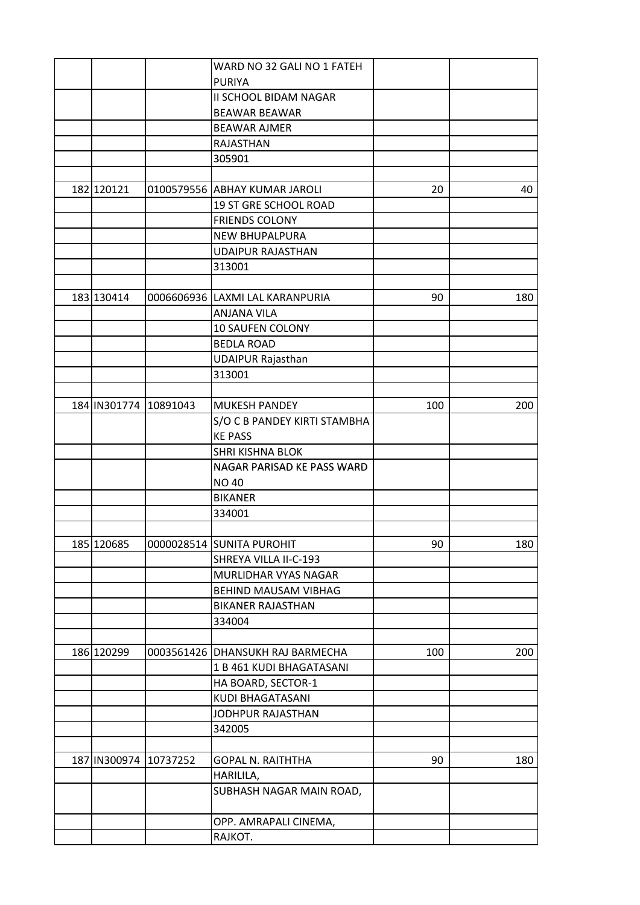|                       | WARD NO 32 GALI NO 1 FATEH            |     |     |
|-----------------------|---------------------------------------|-----|-----|
|                       | <b>PURIYA</b>                         |     |     |
|                       | II SCHOOL BIDAM NAGAR                 |     |     |
|                       | <b>BEAWAR BEAWAR</b>                  |     |     |
|                       | <b>BEAWAR AJMER</b>                   |     |     |
|                       | RAJASTHAN                             |     |     |
|                       | 305901                                |     |     |
|                       |                                       |     |     |
| 182 120121            | 0100579556 ABHAY KUMAR JAROLI         | 20  | 40  |
|                       | 19 ST GRE SCHOOL ROAD                 |     |     |
|                       | <b>FRIENDS COLONY</b>                 |     |     |
|                       | <b>NEW BHUPALPURA</b>                 |     |     |
|                       | <b>UDAIPUR RAJASTHAN</b>              |     |     |
|                       | 313001                                |     |     |
|                       |                                       |     |     |
| 183 130414            | 0006606936 LAXMI LAL KARANPURIA       | 90  | 180 |
|                       | ANJANA VILA                           |     |     |
|                       |                                       |     |     |
|                       | 10 SAUFEN COLONY<br><b>BEDLA ROAD</b> |     |     |
|                       |                                       |     |     |
|                       | <b>UDAIPUR Rajasthan</b>              |     |     |
|                       | 313001                                |     |     |
|                       |                                       |     |     |
| 184 IN301774 10891043 | <b>MUKESH PANDEY</b>                  | 100 | 200 |
|                       | S/O C B PANDEY KIRTI STAMBHA          |     |     |
|                       | <b>KE PASS</b>                        |     |     |
|                       | SHRI KISHNA BLOK                      |     |     |
|                       | NAGAR PARISAD KE PASS WARD            |     |     |
|                       | <b>NO 40</b>                          |     |     |
|                       | <b>BIKANER</b>                        |     |     |
|                       | 334001                                |     |     |
|                       |                                       |     |     |
| 185 120685            | 0000028514 SUNITA PUROHIT             | 90  | 180 |
|                       | SHREYA VILLA II-C-193                 |     |     |
|                       | MURLIDHAR VYAS NAGAR                  |     |     |
|                       | BEHIND MAUSAM VIBHAG                  |     |     |
|                       | <b>BIKANER RAJASTHAN</b>              |     |     |
|                       | 334004                                |     |     |
|                       |                                       |     |     |
| 186 120299            | 0003561426   DHANSUKH RAJ BARMECHA    | 100 | 200 |
|                       | 1 B 461 KUDI BHAGATASANI              |     |     |
|                       | HA BOARD, SECTOR-1                    |     |     |
|                       | KUDI BHAGATASANI                      |     |     |
|                       | JODHPUR RAJASTHAN                     |     |     |
|                       | 342005                                |     |     |
|                       |                                       |     |     |
| 187 IN300974 10737252 | <b>GOPAL N. RAITHTHA</b>              | 90  | 180 |
|                       | HARILILA,                             |     |     |
|                       | SUBHASH NAGAR MAIN ROAD,              |     |     |
|                       |                                       |     |     |
|                       | OPP. AMRAPALI CINEMA,                 |     |     |
|                       | RAJKOT.                               |     |     |
|                       |                                       |     |     |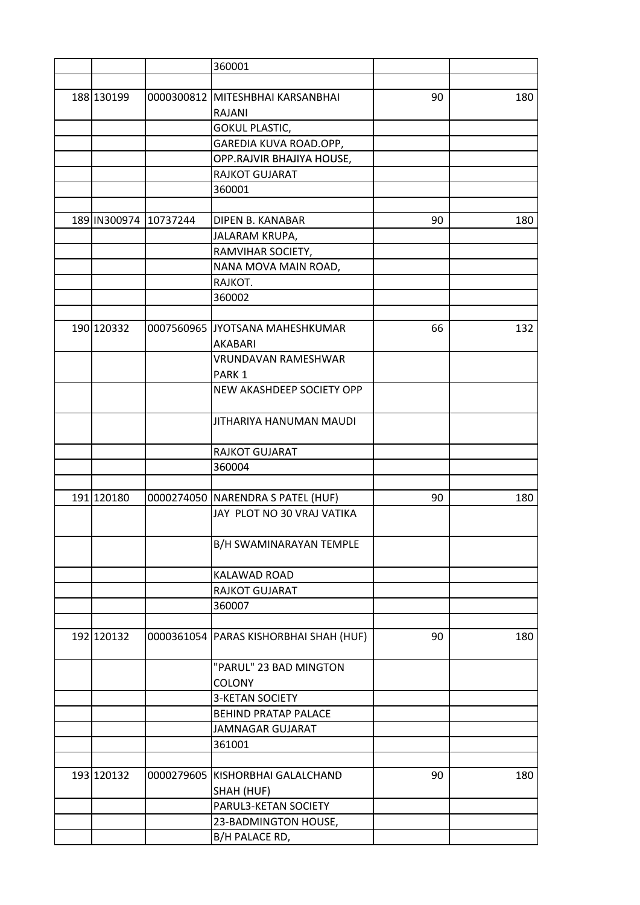|            |                       | 360001                            |    |     |
|------------|-----------------------|-----------------------------------|----|-----|
|            |                       |                                   |    |     |
| 188 130199 |                       | 0000300812 MITESHBHAI KARSANBHAI  | 90 | 180 |
|            |                       | RAJANI                            |    |     |
|            |                       | <b>GOKUL PLASTIC,</b>             |    |     |
|            |                       | GAREDIA KUVA ROAD.OPP,            |    |     |
|            |                       | OPP.RAJVIR BHAJIYA HOUSE,         |    |     |
|            |                       | RAJKOT GUJARAT                    |    |     |
|            |                       | 360001                            |    |     |
|            |                       |                                   |    |     |
|            | 189 IN300974 10737244 | DIPEN B. KANABAR                  | 90 | 180 |
|            |                       | JALARAM KRUPA,                    |    |     |
|            |                       | RAMVIHAR SOCIETY,                 |    |     |
|            |                       | NANA MOVA MAIN ROAD,              |    |     |
|            |                       | RAJKOT.                           |    |     |
|            |                       | 360002                            |    |     |
|            |                       |                                   |    |     |
| 190 120332 |                       | 0007560965 JYOTSANA MAHESHKUMAR   | 66 | 132 |
|            |                       | AKABARI                           |    |     |
|            |                       | <b>VRUNDAVAN RAMESHWAR</b>        |    |     |
|            |                       | PARK <sub>1</sub>                 |    |     |
|            |                       | NEW AKASHDEEP SOCIETY OPP         |    |     |
|            |                       |                                   |    |     |
|            |                       | JITHARIYA HANUMAN MAUDI           |    |     |
|            |                       |                                   |    |     |
|            |                       | RAJKOT GUJARAT                    |    |     |
|            |                       | 360004                            |    |     |
|            |                       |                                   |    |     |
| 191 120180 |                       | 0000274050 NARENDRA S PATEL (HUF) | 90 | 180 |
|            |                       | JAY PLOT NO 30 VRAJ VATIKA        |    |     |
|            |                       |                                   |    |     |
|            |                       | B/H SWAMINARAYAN TEMPLE           |    |     |
|            |                       |                                   |    |     |
|            |                       | KALAWAD ROAD                      |    |     |
|            |                       | RAJKOT GUJARAT                    |    |     |
|            |                       | 360007                            |    |     |
|            |                       |                                   |    |     |
| 192 120132 | 0000361054            | PARAS KISHORBHAI SHAH (HUF)       | 90 | 180 |
|            |                       | "PARUL" 23 BAD MINGTON            |    |     |
|            |                       | <b>COLONY</b>                     |    |     |
|            |                       | <b>3-KETAN SOCIETY</b>            |    |     |
|            |                       | <b>BEHIND PRATAP PALACE</b>       |    |     |
|            |                       | JAMNAGAR GUJARAT                  |    |     |
|            |                       | 361001                            |    |     |
|            |                       |                                   |    |     |
| 193 120132 |                       | 0000279605 KISHORBHAI GALALCHAND  | 90 | 180 |
|            |                       | SHAH (HUF)                        |    |     |
|            |                       | PARUL3-KETAN SOCIETY              |    |     |
|            |                       | 23-BADMINGTON HOUSE,              |    |     |
|            |                       | B/H PALACE RD,                    |    |     |
|            |                       |                                   |    |     |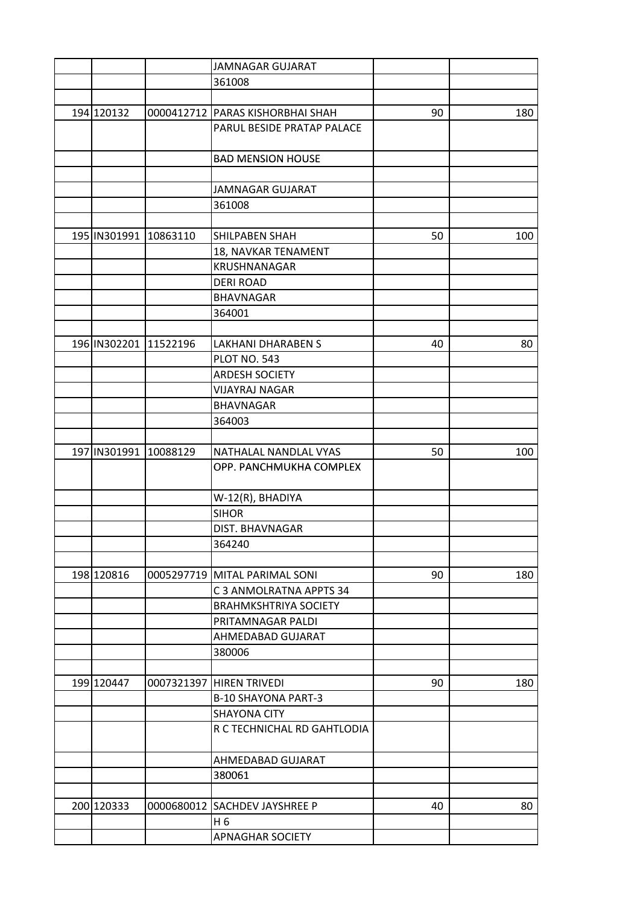|            |                       | <b>JAMNAGAR GUJARAT</b>          |    |     |
|------------|-----------------------|----------------------------------|----|-----|
|            |                       | 361008                           |    |     |
|            |                       |                                  |    |     |
| 194 120132 |                       | 0000412712 PARAS KISHORBHAI SHAH | 90 | 180 |
|            |                       | PARUL BESIDE PRATAP PALACE       |    |     |
|            |                       |                                  |    |     |
|            |                       | <b>BAD MENSION HOUSE</b>         |    |     |
|            |                       |                                  |    |     |
|            |                       | <b>JAMNAGAR GUJARAT</b>          |    |     |
|            |                       | 361008                           |    |     |
|            |                       |                                  |    |     |
|            | 195 IN301991 10863110 | SHILPABEN SHAH                   | 50 | 100 |
|            |                       | 18, NAVKAR TENAMENT              |    |     |
|            |                       | KRUSHNANAGAR                     |    |     |
|            |                       | <b>DERI ROAD</b>                 |    |     |
|            |                       | <b>BHAVNAGAR</b>                 |    |     |
|            |                       | 364001                           |    |     |
|            |                       |                                  |    |     |
|            | 196 IN302201 11522196 | <b>LAKHANI DHARABEN S</b>        |    |     |
|            |                       |                                  | 40 | 80  |
|            |                       | <b>PLOT NO. 543</b>              |    |     |
|            |                       | <b>ARDESH SOCIETY</b>            |    |     |
|            |                       | <b>VIJAYRAJ NAGAR</b>            |    |     |
|            |                       | <b>BHAVNAGAR</b>                 |    |     |
|            |                       | 364003                           |    |     |
|            |                       |                                  |    |     |
|            | 197 IN301991 10088129 | NATHALAL NANDLAL VYAS            | 50 | 100 |
|            |                       | OPP. PANCHMUKHA COMPLEX          |    |     |
|            |                       |                                  |    |     |
|            |                       | W-12(R), BHADIYA                 |    |     |
|            |                       | <b>SIHOR</b>                     |    |     |
|            |                       | DIST. BHAVNAGAR                  |    |     |
|            |                       | 364240                           |    |     |
|            |                       |                                  |    |     |
| 198 120816 |                       | 0005297719 MITAL PARIMAL SONI    | 90 | 180 |
|            |                       | C 3 ANMOLRATNA APPTS 34          |    |     |
|            |                       | <b>BRAHMKSHTRIYA SOCIETY</b>     |    |     |
|            |                       | PRITAMNAGAR PALDI                |    |     |
|            |                       | AHMEDABAD GUJARAT                |    |     |
|            |                       | 380006                           |    |     |
|            |                       |                                  |    |     |
| 199 120447 |                       | 0007321397 HIREN TRIVEDI         | 90 | 180 |
|            |                       | <b>B-10 SHAYONA PART-3</b>       |    |     |
|            |                       | <b>SHAYONA CITY</b>              |    |     |
|            |                       | R C TECHNICHAL RD GAHTLODIA      |    |     |
|            |                       |                                  |    |     |
|            |                       | AHMEDABAD GUJARAT                |    |     |
|            |                       | 380061                           |    |     |
|            |                       |                                  |    |     |
| 200 120333 |                       | 0000680012 SACHDEV JAYSHREE P    | 40 | 80  |
|            |                       | H 6                              |    |     |
|            |                       | <b>APNAGHAR SOCIETY</b>          |    |     |
|            |                       |                                  |    |     |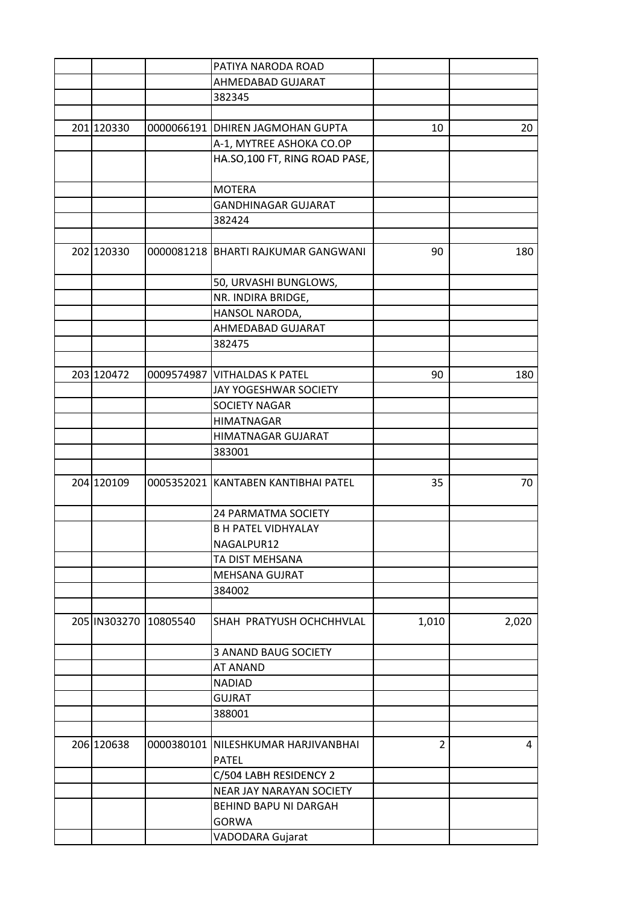|                       | PATIYA NARODA ROAD                    |                |       |
|-----------------------|---------------------------------------|----------------|-------|
|                       | AHMEDABAD GUJARAT                     |                |       |
|                       | 382345                                |                |       |
|                       |                                       |                |       |
| 201 120330            | 0000066191 DHIREN JAGMOHAN GUPTA      | 10             | 20    |
|                       | A-1, MYTREE ASHOKA CO.OP              |                |       |
|                       | HA.SO,100 FT, RING ROAD PASE,         |                |       |
|                       |                                       |                |       |
|                       | <b>MOTERA</b>                         |                |       |
|                       | <b>GANDHINAGAR GUJARAT</b>            |                |       |
|                       | 382424                                |                |       |
|                       |                                       |                |       |
| 202 120330            | 0000081218   BHARTI RAJKUMAR GANGWANI | 90             | 180   |
|                       |                                       |                |       |
|                       | 50, URVASHI BUNGLOWS,                 |                |       |
|                       | NR. INDIRA BRIDGE,                    |                |       |
|                       | HANSOL NARODA,                        |                |       |
|                       | AHMEDABAD GUJARAT                     |                |       |
|                       | 382475                                |                |       |
|                       |                                       |                |       |
| 203 120472            | 0009574987 VITHALDAS K PATEL          | 90             | 180   |
|                       | JAY YOGESHWAR SOCIETY                 |                |       |
|                       | <b>SOCIETY NAGAR</b>                  |                |       |
|                       | <b>HIMATNAGAR</b>                     |                |       |
|                       |                                       |                |       |
|                       | HIMATNAGAR GUJARAT                    |                |       |
|                       | 383001                                |                |       |
|                       |                                       |                |       |
| 204 120109            | 0005352021 KANTABEN KANTIBHAI PATEL   | 35             | 70    |
|                       |                                       |                |       |
|                       | <b>24 PARMATMA SOCIETY</b>            |                |       |
|                       | <b>B H PATEL VIDHYALAY</b>            |                |       |
|                       | NAGALPUR12                            |                |       |
|                       | TA DIST MEHSANA                       |                |       |
|                       | MEHSANA GUJRAT                        |                |       |
|                       | 384002                                |                |       |
|                       |                                       |                |       |
| 205 IN303270 10805540 | SHAH PRATYUSH OCHCHHVLAL              | 1,010          | 2,020 |
|                       |                                       |                |       |
|                       | <b>3 ANAND BAUG SOCIETY</b>           |                |       |
|                       | <b>AT ANAND</b>                       |                |       |
|                       | <b>NADIAD</b>                         |                |       |
|                       | <b>GUJRAT</b>                         |                |       |
|                       | 388001                                |                |       |
|                       |                                       |                |       |
| 206 120638            | 0000380101 NILESHKUMAR HARJIVANBHAI   | $\overline{2}$ | 4     |
|                       | <b>PATEL</b>                          |                |       |
|                       | C/504 LABH RESIDENCY 2                |                |       |
|                       | NEAR JAY NARAYAN SOCIETY              |                |       |
|                       | BEHIND BAPU NI DARGAH                 |                |       |
|                       | <b>GORWA</b>                          |                |       |
|                       | VADODARA Gujarat                      |                |       |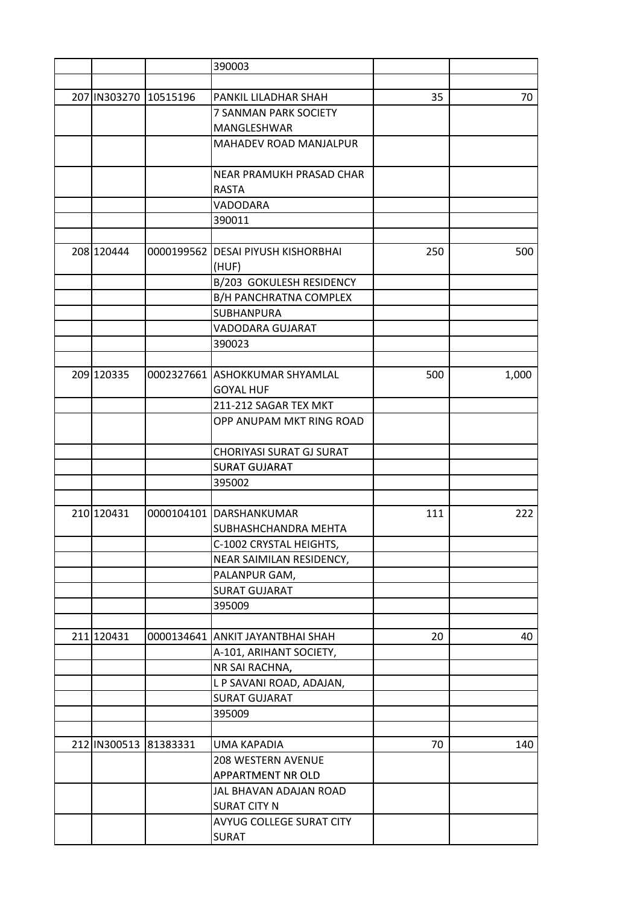|                       | 390003                             |     |       |
|-----------------------|------------------------------------|-----|-------|
|                       |                                    |     |       |
| 207 IN303270 10515196 | PANKIL LILADHAR SHAH               | 35  | 70    |
|                       | 7 SANMAN PARK SOCIETY              |     |       |
|                       | MANGLESHWAR                        |     |       |
|                       | MAHADEV ROAD MANJALPUR             |     |       |
|                       |                                    |     |       |
|                       | NEAR PRAMUKH PRASAD CHAR           |     |       |
|                       | <b>RASTA</b>                       |     |       |
|                       | VADODARA                           |     |       |
|                       | 390011                             |     |       |
|                       |                                    |     |       |
| 208 120444            | 0000199562 DESAI PIYUSH KISHORBHAI | 250 | 500   |
|                       | (HUF)                              |     |       |
|                       | B/203 GOKULESH RESIDENCY           |     |       |
|                       | B/H PANCHRATNA COMPLEX             |     |       |
|                       | <b>SUBHANPURA</b>                  |     |       |
|                       | VADODARA GUJARAT                   |     |       |
|                       | 390023                             |     |       |
|                       |                                    |     |       |
| 209 120335            | 0002327661 ASHOKKUMAR SHYAMLAL     | 500 | 1,000 |
|                       | <b>GOYAL HUF</b>                   |     |       |
|                       | 211-212 SAGAR TEX MKT              |     |       |
|                       | OPP ANUPAM MKT RING ROAD           |     |       |
|                       |                                    |     |       |
|                       | CHORIYASI SURAT GJ SURAT           |     |       |
|                       | <b>SURAT GUJARAT</b>               |     |       |
|                       | 395002                             |     |       |
|                       |                                    |     |       |
| 210 120431            | 0000104101 DARSHANKUMAR            | 111 | 222   |
|                       | SUBHASHCHANDRA MEHTA               |     |       |
|                       | C-1002 CRYSTAL HEIGHTS,            |     |       |
|                       | NEAR SAIMILAN RESIDENCY,           |     |       |
|                       | PALANPUR GAM,                      |     |       |
|                       | <b>SURAT GUJARAT</b>               |     |       |
|                       | 395009                             |     |       |
|                       |                                    |     |       |
| 211 120431            | 0000134641 ANKIT JAYANTBHAI SHAH   | 20  | 40    |
|                       | A-101, ARIHANT SOCIETY,            |     |       |
|                       | NR SAI RACHNA,                     |     |       |
|                       | L P SAVANI ROAD, ADAJAN,           |     |       |
|                       | <b>SURAT GUJARAT</b>               |     |       |
|                       | 395009                             |     |       |
|                       |                                    |     |       |
| 212 IN300513 81383331 | <b>UMA KAPADIA</b>                 | 70  | 140   |
|                       | 208 WESTERN AVENUE                 |     |       |
|                       | APPARTMENT NR OLD                  |     |       |
|                       | JAL BHAVAN ADAJAN ROAD             |     |       |
|                       | <b>SURAT CITY N</b>                |     |       |
|                       | AVYUG COLLEGE SURAT CITY           |     |       |
|                       | <b>SURAT</b>                       |     |       |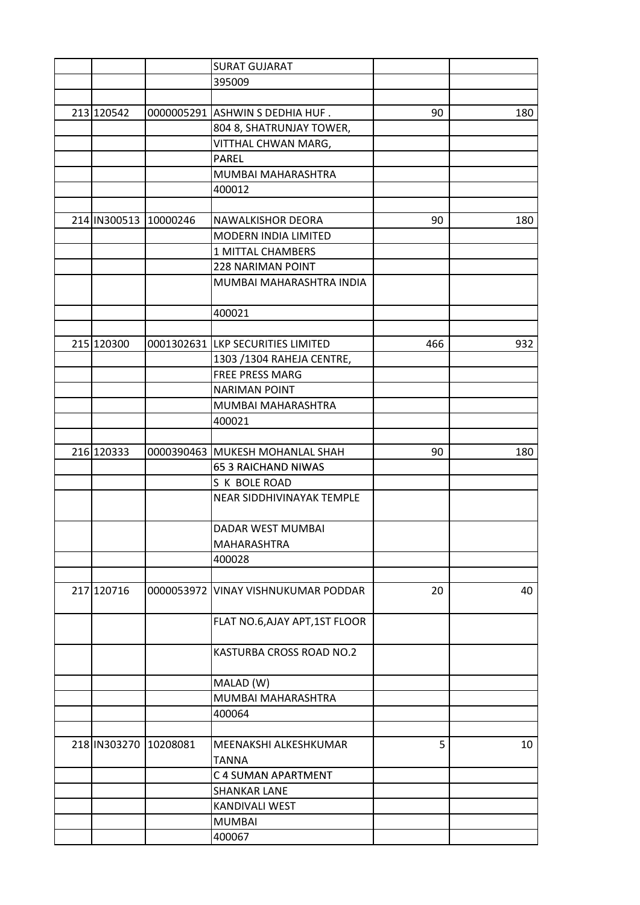|                       | <b>SURAT GUJARAT</b>                |     |     |
|-----------------------|-------------------------------------|-----|-----|
|                       | 395009                              |     |     |
|                       |                                     |     |     |
| 213 120542            | 0000005291 ASHWIN S DEDHIA HUF.     | 90  | 180 |
|                       | 804 8, SHATRUNJAY TOWER,            |     |     |
|                       | VITTHAL CHWAN MARG,                 |     |     |
|                       | <b>PAREL</b>                        |     |     |
|                       | MUMBAI MAHARASHTRA                  |     |     |
|                       | 400012                              |     |     |
|                       |                                     |     |     |
| 214 IN300513 10000246 | <b>NAWALKISHOR DEORA</b>            | 90  | 180 |
|                       | <b>MODERN INDIA LIMITED</b>         |     |     |
|                       | 1 MITTAL CHAMBERS                   |     |     |
|                       | <b>228 NARIMAN POINT</b>            |     |     |
|                       | MUMBAI MAHARASHTRA INDIA            |     |     |
|                       |                                     |     |     |
|                       | 400021                              |     |     |
|                       |                                     |     |     |
| 215 120300            | 0001302631 LKP SECURITIES LIMITED   | 466 | 932 |
|                       | 1303 / 1304 RAHEJA CENTRE,          |     |     |
|                       | <b>FREE PRESS MARG</b>              |     |     |
|                       | <b>NARIMAN POINT</b>                |     |     |
|                       | MUMBAI MAHARASHTRA                  |     |     |
|                       | 400021                              |     |     |
|                       |                                     |     |     |
|                       |                                     |     |     |
| 216 120333            | 0000390463 MUKESH MOHANLAL SHAH     | 90  | 180 |
|                       | <b>65 3 RAICHAND NIWAS</b>          |     |     |
|                       | S K BOLE ROAD                       |     |     |
|                       | NEAR SIDDHIVINAYAK TEMPLE           |     |     |
|                       | DADAR WEST MUMBAI                   |     |     |
|                       | MAHARASHTRA                         |     |     |
|                       | 400028                              |     |     |
|                       |                                     |     |     |
| 217 120716            | 0000053972 VINAY VISHNUKUMAR PODDAR | 20  | 40  |
|                       | FLAT NO.6, AJAY APT, 1ST FLOOR      |     |     |
|                       | KASTURBA CROSS ROAD NO.2            |     |     |
|                       |                                     |     |     |
|                       | MALAD (W)                           |     |     |
|                       | MUMBAI MAHARASHTRA                  |     |     |
|                       | 400064                              |     |     |
|                       |                                     |     |     |
| 218 IN303270 10208081 | MEENAKSHI ALKESHKUMAR               | 5   | 10  |
|                       | <b>TANNA</b>                        |     |     |
|                       | C 4 SUMAN APARTMENT                 |     |     |
|                       | <b>SHANKAR LANE</b>                 |     |     |
|                       | KANDIVALI WEST                      |     |     |
|                       | <b>MUMBAI</b>                       |     |     |
|                       | 400067                              |     |     |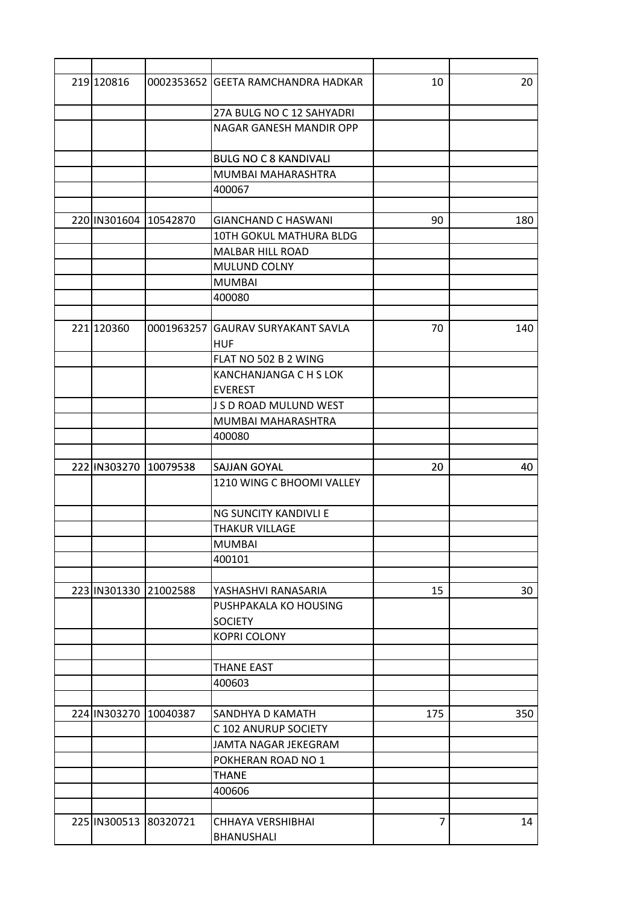| 219 120816            | 0002353652 GEETA RAMCHANDRA HADKAR              | 10  | 20  |
|-----------------------|-------------------------------------------------|-----|-----|
|                       | 27A BULG NO C 12 SAHYADRI                       |     |     |
|                       | NAGAR GANESH MANDIR OPP                         |     |     |
|                       | <b>BULG NO C 8 KANDIVALI</b>                    |     |     |
|                       | MUMBAI MAHARASHTRA                              |     |     |
|                       | 400067                                          |     |     |
|                       |                                                 |     |     |
| 220 IN301604 10542870 | <b>GIANCHAND C HASWANI</b>                      | 90  | 180 |
|                       | 10TH GOKUL MATHURA BLDG                         |     |     |
|                       | <b>MALBAR HILL ROAD</b>                         |     |     |
|                       | MULUND COLNY                                    |     |     |
|                       | <b>MUMBAI</b>                                   |     |     |
|                       | 400080                                          |     |     |
|                       |                                                 |     |     |
| 221 120360            | 0001963257 GAURAV SURYAKANT SAVLA<br><b>HUF</b> | 70  | 140 |
|                       | FLAT NO 502 B 2 WING                            |     |     |
|                       | KANCHANJANGA C H S LOK                          |     |     |
|                       | <b>EVEREST</b>                                  |     |     |
|                       | J S D ROAD MULUND WEST                          |     |     |
|                       | MUMBAI MAHARASHTRA                              |     |     |
|                       | 400080                                          |     |     |
|                       |                                                 |     |     |
| 222 IN303270 10079538 | <b>SAJJAN GOYAL</b>                             | 20  | 40  |
|                       | 1210 WING C BHOOMI VALLEY                       |     |     |
|                       | NG SUNCITY KANDIVLI E                           |     |     |
|                       | <b>THAKUR VILLAGE</b>                           |     |     |
|                       | <b>MUMBAI</b>                                   |     |     |
|                       | 400101                                          |     |     |
|                       |                                                 |     |     |
| 223 IN301330 21002588 | YASHASHVI RANASARIA                             | 15  | 30  |
|                       | PUSHPAKALA KO HOUSING                           |     |     |
|                       | <b>SOCIETY</b>                                  |     |     |
|                       | <b>KOPRI COLONY</b>                             |     |     |
|                       |                                                 |     |     |
|                       | <b>THANE EAST</b>                               |     |     |
|                       | 400603                                          |     |     |
|                       |                                                 |     |     |
| 224 IN303270 10040387 | <b>SANDHYA D KAMATH</b>                         | 175 | 350 |
|                       | C 102 ANURUP SOCIETY                            |     |     |
|                       | JAMTA NAGAR JEKEGRAM                            |     |     |
|                       | POKHERAN ROAD NO 1                              |     |     |
|                       | <b>THANE</b>                                    |     |     |
|                       | 400606                                          |     |     |
|                       |                                                 |     |     |
| 225 IN300513 80320721 | CHHAYA VERSHIBHAI                               | 7   | 14  |
|                       | BHANUSHALI                                      |     |     |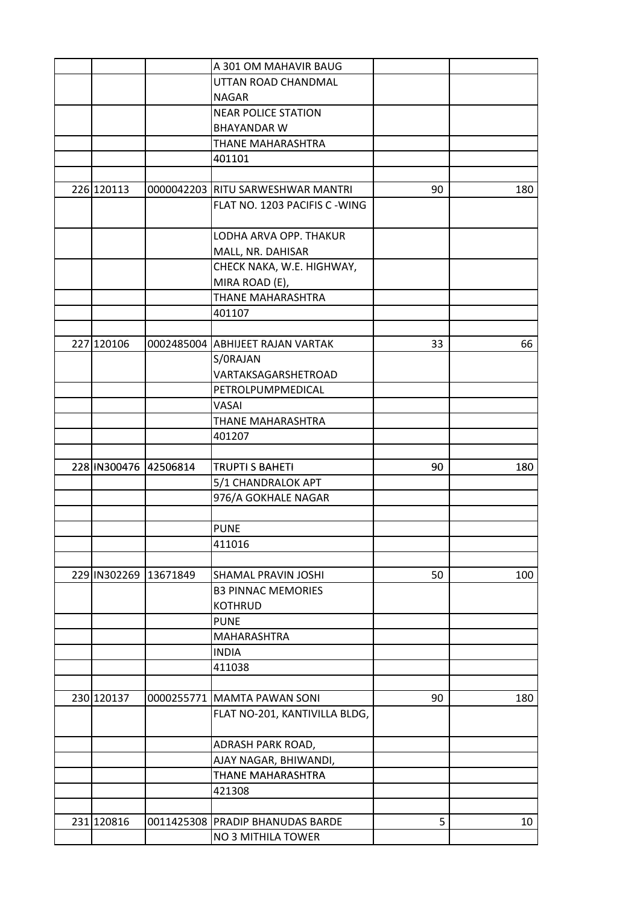|                       | A 301 OM MAHAVIR BAUG             |    |     |
|-----------------------|-----------------------------------|----|-----|
|                       | UTTAN ROAD CHANDMAL               |    |     |
|                       | <b>NAGAR</b>                      |    |     |
|                       | <b>NEAR POLICE STATION</b>        |    |     |
|                       | <b>BHAYANDAR W</b>                |    |     |
|                       | THANE MAHARASHTRA                 |    |     |
|                       | 401101                            |    |     |
|                       |                                   |    |     |
| 226 120113            | 0000042203 RITU SARWESHWAR MANTRI | 90 | 180 |
|                       | FLAT NO. 1203 PACIFIS C - WING    |    |     |
|                       | LODHA ARVA OPP. THAKUR            |    |     |
|                       | MALL, NR. DAHISAR                 |    |     |
|                       | CHECK NAKA, W.E. HIGHWAY,         |    |     |
|                       | MIRA ROAD (E),                    |    |     |
|                       | THANE MAHARASHTRA                 |    |     |
|                       | 401107                            |    |     |
|                       |                                   |    |     |
| 227 120106            | 0002485004 ABHIJEET RAJAN VARTAK  | 33 | 66  |
|                       | S/ORAJAN                          |    |     |
|                       | VARTAKSAGARSHETROAD               |    |     |
|                       | PETROLPUMPMEDICAL                 |    |     |
|                       | VASAI                             |    |     |
|                       | THANE MAHARASHTRA                 |    |     |
|                       | 401207                            |    |     |
|                       |                                   |    |     |
| 228 IN300476 42506814 | <b>TRUPTI S BAHETI</b>            | 90 | 180 |
|                       | 5/1 CHANDRALOK APT                |    |     |
|                       | 976/A GOKHALE NAGAR               |    |     |
|                       |                                   |    |     |
|                       | <b>PUNE</b>                       |    |     |
|                       | 411016                            |    |     |
|                       |                                   |    |     |
| 229 IN302269 13671849 | SHAMAL PRAVIN JOSHI               | 50 | 100 |
|                       | <b>B3 PINNAC MEMORIES</b>         |    |     |
|                       | <b>KOTHRUD</b>                    |    |     |
|                       | <b>PUNE</b>                       |    |     |
|                       | MAHARASHTRA                       |    |     |
|                       | <b>INDIA</b>                      |    |     |
|                       | 411038                            |    |     |
|                       |                                   |    |     |
| 230 120137            | 0000255771 MAMTA PAWAN SONI       | 90 | 180 |
|                       | FLAT NO-201, KANTIVILLA BLDG,     |    |     |
|                       |                                   |    |     |
|                       | ADRASH PARK ROAD,                 |    |     |
|                       | AJAY NAGAR, BHIWANDI,             |    |     |
|                       | THANE MAHARASHTRA                 |    |     |
|                       | 421308                            |    |     |
|                       |                                   |    |     |
| 231 120816            | 0011425308 PRADIP BHANUDAS BARDE  | 5  | 10  |
|                       | NO 3 MITHILA TOWER                |    |     |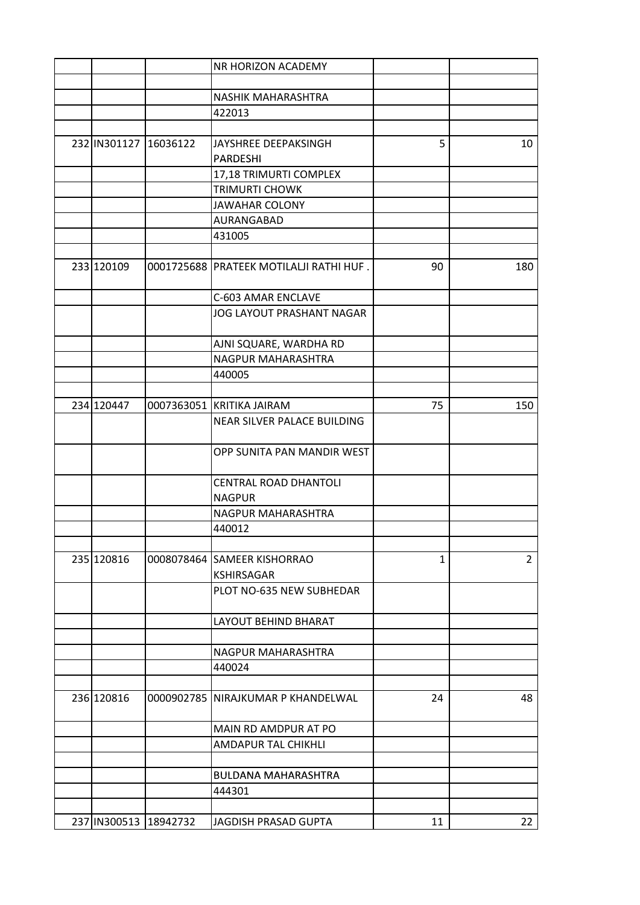|                       | NR HORIZON ACADEMY                      |              |                |
|-----------------------|-----------------------------------------|--------------|----------------|
|                       |                                         |              |                |
|                       | NASHIK MAHARASHTRA                      |              |                |
|                       | 422013                                  |              |                |
|                       |                                         |              |                |
| 232 IN301127 16036122 | JAYSHREE DEEPAKSINGH                    | 5            | 10             |
|                       | <b>PARDESHI</b>                         |              |                |
|                       | 17,18 TRIMURTI COMPLEX                  |              |                |
|                       | <b>TRIMURTI CHOWK</b>                   |              |                |
|                       | <b>JAWAHAR COLONY</b>                   |              |                |
|                       | AURANGABAD                              |              |                |
|                       | 431005                                  |              |                |
|                       |                                         |              |                |
| 233 120109            | 0001725688 PRATEEK MOTILALJI RATHI HUF. | 90           | 180            |
|                       | C-603 AMAR ENCLAVE                      |              |                |
|                       | <b>JOG LAYOUT PRASHANT NAGAR</b>        |              |                |
|                       |                                         |              |                |
|                       | AJNI SQUARE, WARDHA RD                  |              |                |
|                       | NAGPUR MAHARASHTRA                      |              |                |
|                       | 440005                                  |              |                |
|                       |                                         |              |                |
| 234 120447            | 0007363051 KRITIKA JAIRAM               | 75           | 150            |
|                       | NEAR SILVER PALACE BUILDING             |              |                |
|                       |                                         |              |                |
|                       | OPP SUNITA PAN MANDIR WEST              |              |                |
|                       |                                         |              |                |
|                       | <b>CENTRAL ROAD DHANTOLI</b>            |              |                |
|                       | <b>NAGPUR</b>                           |              |                |
|                       | NAGPUR MAHARASHTRA                      |              |                |
|                       | 440012                                  |              |                |
|                       |                                         |              |                |
| 235 120816            | 0008078464 SAMEER KISHORRAO             | $\mathbf{1}$ | $\overline{2}$ |
|                       | <b>KSHIRSAGAR</b>                       |              |                |
|                       | PLOT NO-635 NEW SUBHEDAR                |              |                |
|                       | <b>LAYOUT BEHIND BHARAT</b>             |              |                |
|                       |                                         |              |                |
|                       | NAGPUR MAHARASHTRA                      |              |                |
|                       | 440024                                  |              |                |
|                       |                                         |              |                |
| 236 120816            | 0000902785 NIRAJKUMAR P KHANDELWAL      | 24           | 48             |
|                       | MAIN RD AMDPUR AT PO                    |              |                |
|                       | <b>AMDAPUR TAL CHIKHLI</b>              |              |                |
|                       |                                         |              |                |
|                       | <b>BULDANA MAHARASHTRA</b>              |              |                |
|                       | 444301                                  |              |                |
|                       |                                         |              |                |
| 237 IN300513 18942732 | JAGDISH PRASAD GUPTA                    | 11           | 22             |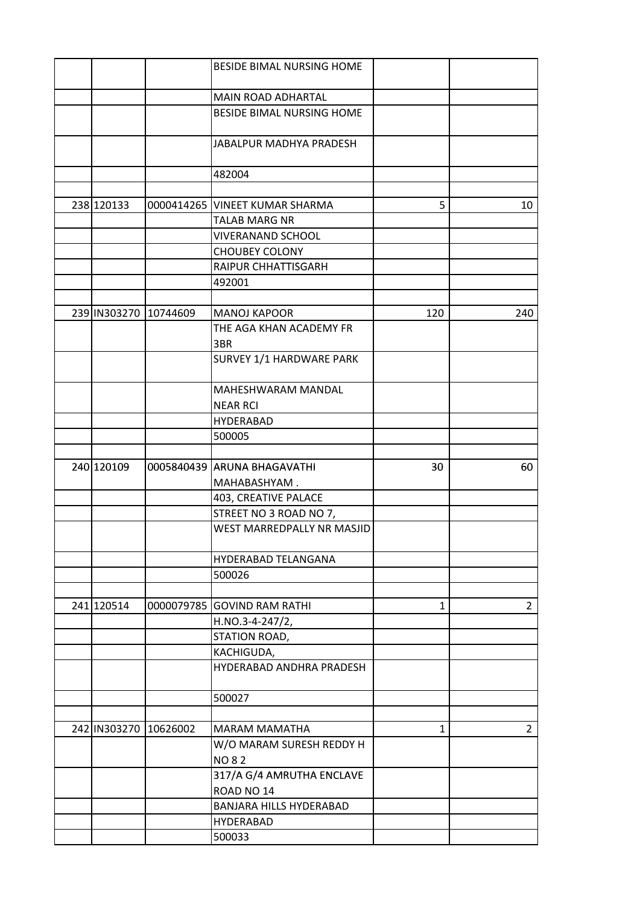|                       | BESIDE BIMAL NURSING HOME           |              |                |
|-----------------------|-------------------------------------|--------------|----------------|
|                       |                                     |              |                |
|                       | MAIN ROAD ADHARTAL                  |              |                |
|                       | BESIDE BIMAL NURSING HOME           |              |                |
|                       | JABALPUR MADHYA PRADESH             |              |                |
|                       | 482004                              |              |                |
|                       |                                     |              |                |
| 238 120133            | 0000414265 VINEET KUMAR SHARMA      | 5            | 10             |
|                       | <b>TALAB MARG NR</b>                |              |                |
|                       | <b>VIVERANAND SCHOOL</b>            |              |                |
|                       | <b>CHOUBEY COLONY</b>               |              |                |
|                       | RAIPUR CHHATTISGARH                 |              |                |
|                       | 492001                              |              |                |
|                       |                                     |              |                |
| 239 IN303270 10744609 | <b>MANOJ KAPOOR</b>                 | 120          | 240            |
|                       | THE AGA KHAN ACADEMY FR             |              |                |
|                       | 3BR                                 |              |                |
|                       | SURVEY 1/1 HARDWARE PARK            |              |                |
|                       |                                     |              |                |
|                       | MAHESHWARAM MANDAL                  |              |                |
|                       | <b>NEAR RCI</b><br><b>HYDERABAD</b> |              |                |
|                       | 500005                              |              |                |
|                       |                                     |              |                |
|                       | 0005840439 ARUNA BHAGAVATHI         | 30           |                |
|                       |                                     |              |                |
| 240 120109            |                                     |              | 60             |
|                       | MAHABASHYAM.                        |              |                |
|                       | 403, CREATIVE PALACE                |              |                |
|                       | STREET NO 3 ROAD NO 7,              |              |                |
|                       | WEST MARREDPALLY NR MASJID          |              |                |
|                       | HYDERABAD TELANGANA                 |              |                |
|                       | 500026                              |              |                |
|                       |                                     |              |                |
| 241 120514            | 0000079785 GOVIND RAM RATHI         | $\mathbf{1}$ | $\overline{2}$ |
|                       | $H.NO.3-4-247/2,$                   |              |                |
|                       | STATION ROAD,                       |              |                |
|                       | KACHIGUDA,                          |              |                |
|                       | HYDERABAD ANDHRA PRADESH            |              |                |
|                       | 500027                              |              |                |
|                       |                                     |              |                |
| 242 IN303270 10626002 | <b>MARAM MAMATHA</b>                | $\mathbf{1}$ | $\overline{2}$ |
|                       | W/O MARAM SURESH REDDY H            |              |                |
|                       | <b>NO 82</b>                        |              |                |
|                       | 317/A G/4 AMRUTHA ENCLAVE           |              |                |
|                       | ROAD NO 14                          |              |                |
|                       | BANJARA HILLS HYDERABAD             |              |                |
|                       | <b>HYDERABAD</b><br>500033          |              |                |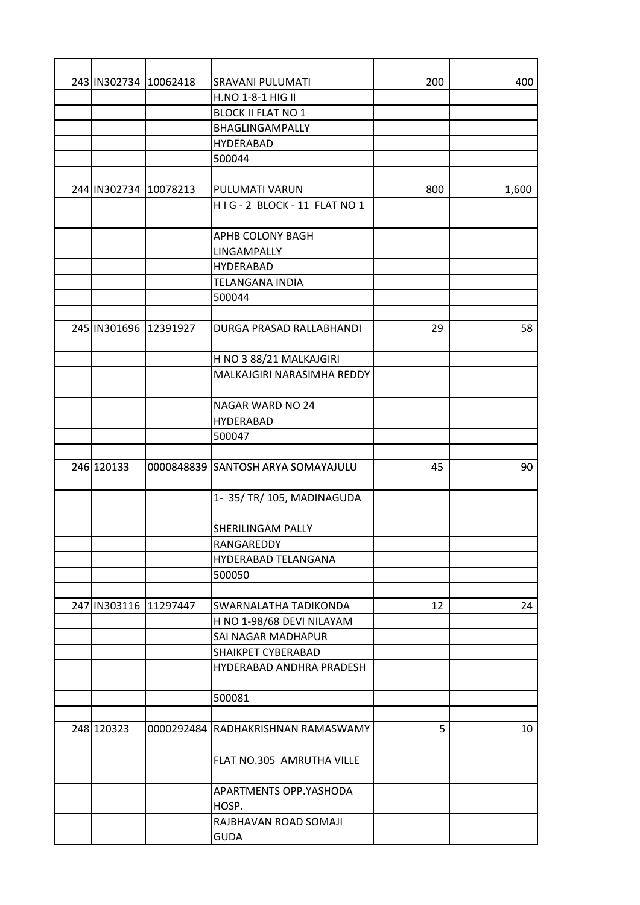| 243 IN302734 10062418 | SRAVANI PULUMATI                   | 200 | 400   |
|-----------------------|------------------------------------|-----|-------|
|                       | H.NO 1-8-1 HIG II                  |     |       |
|                       | <b>BLOCK II FLAT NO 1</b>          |     |       |
|                       | BHAGLINGAMPALLY                    |     |       |
|                       | <b>HYDERABAD</b>                   |     |       |
|                       | 500044                             |     |       |
|                       |                                    |     |       |
| 244 IN302734 10078213 | PULUMATI VARUN                     | 800 | 1,600 |
|                       | HIG-2 BLOCK-11 FLAT NO 1           |     |       |
|                       |                                    |     |       |
|                       | APHB COLONY BAGH                   |     |       |
|                       | LINGAMPALLY                        |     |       |
|                       | <b>HYDERABAD</b>                   |     |       |
|                       | <b>TELANGANA INDIA</b>             |     |       |
|                       | 500044                             |     |       |
|                       |                                    |     |       |
| 245 IN301696 12391927 | DURGA PRASAD RALLABHANDI           | 29  | 58    |
|                       |                                    |     |       |
|                       | H NO 3 88/21 MALKAJGIRI            |     |       |
|                       | MALKAJGIRI NARASIMHA REDDY         |     |       |
|                       |                                    |     |       |
|                       | NAGAR WARD NO 24                   |     |       |
|                       | <b>HYDERABAD</b>                   |     |       |
|                       | 500047                             |     |       |
|                       |                                    |     |       |
| 246 120133            | 0000848839 SANTOSH ARYA SOMAYAJULU | 45  | 90    |
|                       |                                    |     |       |
|                       | 1- 35/ TR/ 105, MADINAGUDA         |     |       |
|                       |                                    |     |       |
|                       | SHERILINGAM PALLY                  |     |       |
|                       | RANGAREDDY                         |     |       |
|                       | HYDERABAD TELANGANA                |     |       |
|                       | 500050                             |     |       |
|                       |                                    |     |       |
| 247 IN303116 11297447 | SWARNALATHA TADIKONDA              | 12  | 24    |
|                       | H NO 1-98/68 DEVI NILAYAM          |     |       |
|                       | SAI NAGAR MADHAPUR                 |     |       |
|                       | SHAIKPET CYBERABAD                 |     |       |
|                       | HYDERABAD ANDHRA PRADESH           |     |       |
|                       |                                    |     |       |
|                       | 500081                             |     |       |
|                       |                                    |     |       |
| 248 120323            | 0000292484 RADHAKRISHNAN RAMASWAMY | 5   | 10    |
|                       |                                    |     |       |
|                       | FLAT NO.305 AMRUTHA VILLE          |     |       |
|                       |                                    |     |       |
|                       | APARTMENTS OPP.YASHODA             |     |       |
|                       | HOSP.                              |     |       |
|                       | RAJBHAVAN ROAD SOMAJI              |     |       |
|                       | <b>GUDA</b>                        |     |       |
|                       |                                    |     |       |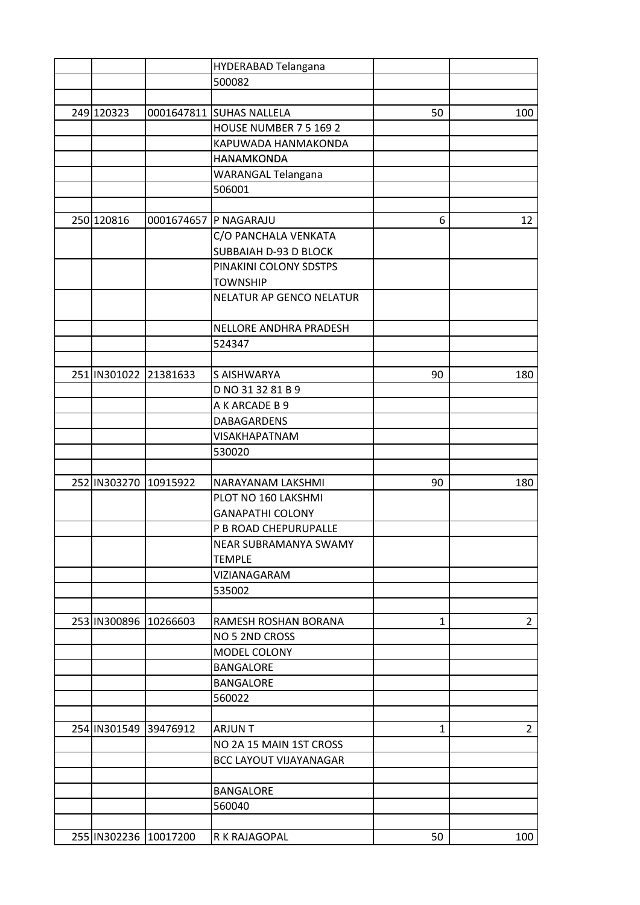|                       | HYDERABAD Telangana           |              |                |
|-----------------------|-------------------------------|--------------|----------------|
|                       | 500082                        |              |                |
|                       |                               |              |                |
| 249 120323            | 0001647811 SUHAS NALLELA      | 50           | 100            |
|                       | HOUSE NUMBER 7 5 169 2        |              |                |
|                       | KAPUWADA HANMAKONDA           |              |                |
|                       | <b>HANAMKONDA</b>             |              |                |
|                       | <b>WARANGAL Telangana</b>     |              |                |
|                       | 506001                        |              |                |
|                       |                               |              |                |
| 250 120816            | 0001674657 P NAGARAJU         | 6            | 12             |
|                       | C/O PANCHALA VENKATA          |              |                |
|                       | SUBBAIAH D-93 D BLOCK         |              |                |
|                       | PINAKINI COLONY SDSTPS        |              |                |
|                       | <b>TOWNSHIP</b>               |              |                |
|                       | NELATUR AP GENCO NELATUR      |              |                |
|                       |                               |              |                |
|                       | NELLORE ANDHRA PRADESH        |              |                |
|                       | 524347                        |              |                |
|                       |                               |              |                |
| 251 IN301022 21381633 | S AISHWARYA                   | 90           | 180            |
|                       | D NO 31 32 81 B 9             |              |                |
|                       | A K ARCADE B 9                |              |                |
|                       | DABAGARDENS                   |              |                |
|                       | VISAKHAPATNAM                 |              |                |
|                       | 530020                        |              |                |
|                       |                               |              |                |
| 252 IN303270 10915922 | <b>NARAYANAM LAKSHMI</b>      | 90           | 180            |
|                       | PLOT NO 160 LAKSHMI           |              |                |
|                       | <b>GANAPATHI COLONY</b>       |              |                |
|                       | P B ROAD CHEPURUPALLE         |              |                |
|                       | NEAR SUBRAMANYA SWAMY         |              |                |
|                       | <b>TEMPLE</b>                 |              |                |
|                       | VIZIANAGARAM                  |              |                |
|                       | 535002                        |              |                |
|                       |                               |              |                |
| 253 IN300896 10266603 | RAMESH ROSHAN BORANA          | 1            | $\overline{2}$ |
|                       | NO 5 2ND CROSS                |              |                |
|                       | MODEL COLONY                  |              |                |
|                       | <b>BANGALORE</b>              |              |                |
|                       | <b>BANGALORE</b>              |              |                |
|                       | 560022                        |              |                |
|                       |                               |              |                |
| 254 IN301549 39476912 | <b>ARJUNT</b>                 | $\mathbf{1}$ | $\overline{2}$ |
|                       | NO 2A 15 MAIN 1ST CROSS       |              |                |
|                       | <b>BCC LAYOUT VIJAYANAGAR</b> |              |                |
|                       |                               |              |                |
|                       | <b>BANGALORE</b>              |              |                |
|                       | 560040                        |              |                |
|                       |                               |              |                |
|                       |                               | 50           |                |
| 255 IN302236 10017200 | R K RAJAGOPAL                 |              | 100            |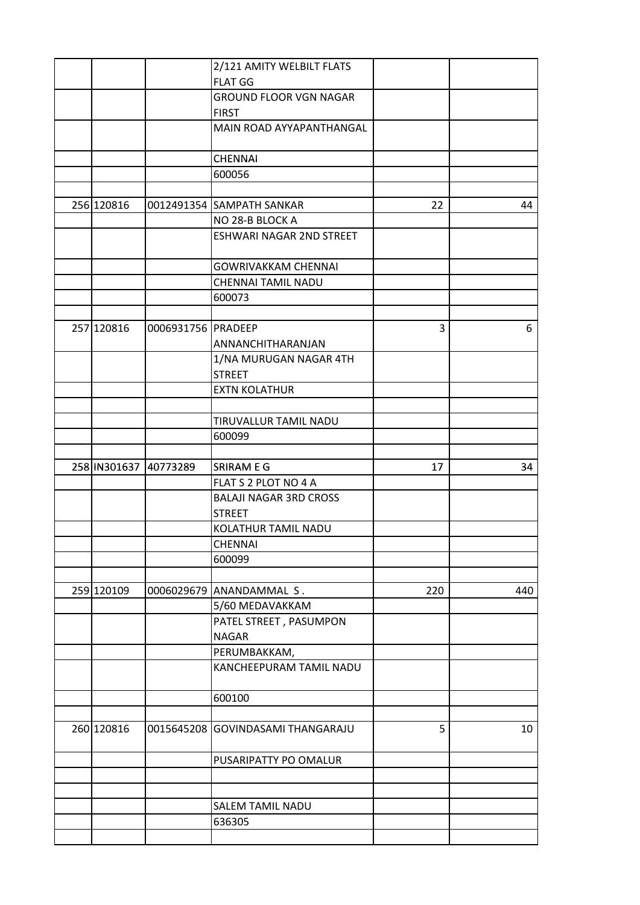|                       |                    | 2/121 AMITY WELBILT FLATS     |     |     |
|-----------------------|--------------------|-------------------------------|-----|-----|
|                       |                    | <b>FLAT GG</b>                |     |     |
|                       |                    | <b>GROUND FLOOR VGN NAGAR</b> |     |     |
|                       |                    | <b>FIRST</b>                  |     |     |
|                       |                    | MAIN ROAD AYYAPANTHANGAL      |     |     |
|                       |                    |                               |     |     |
|                       |                    | <b>CHENNAI</b>                |     |     |
|                       |                    | 600056                        |     |     |
|                       |                    |                               |     |     |
| 256 120816            |                    | 0012491354 SAMPATH SANKAR     | 22  | 44  |
|                       |                    | NO 28-B BLOCK A               |     |     |
|                       |                    | ESHWARI NAGAR 2ND STREET      |     |     |
|                       |                    |                               |     |     |
|                       |                    | <b>GOWRIVAKKAM CHENNAI</b>    |     |     |
|                       |                    | CHENNAI TAMIL NADU            |     |     |
|                       |                    | 600073                        |     |     |
|                       |                    |                               |     |     |
| 257 120816            | 0006931756 PRADEEP |                               | 3   | 6   |
|                       |                    | ANNANCHITHARANJAN             |     |     |
|                       |                    | 1/NA MURUGAN NAGAR 4TH        |     |     |
|                       |                    | <b>STREET</b>                 |     |     |
|                       |                    | <b>EXTN KOLATHUR</b>          |     |     |
|                       |                    |                               |     |     |
|                       |                    |                               |     |     |
|                       |                    | TIRUVALLUR TAMIL NADU         |     |     |
|                       |                    | 600099                        |     |     |
|                       |                    |                               |     |     |
| 258 IN301637 40773289 |                    | SRIRAM E G                    | 17  | 34  |
|                       |                    | FLAT S 2 PLOT NO 4 A          |     |     |
|                       |                    | <b>BALAJI NAGAR 3RD CROSS</b> |     |     |
|                       |                    | <b>STREET</b>                 |     |     |
|                       |                    | KOLATHUR TAMIL NADU           |     |     |
|                       |                    | <b>CHENNAI</b>                |     |     |
|                       |                    | 600099                        |     |     |
|                       |                    |                               |     |     |
| 259 120109            |                    | 0006029679 ANANDAMMAL S.      | 220 | 440 |
|                       |                    | 5/60 MEDAVAKKAM               |     |     |
|                       |                    | PATEL STREET, PASUMPON        |     |     |
|                       |                    | <b>NAGAR</b>                  |     |     |
|                       |                    | PERUMBAKKAM,                  |     |     |
|                       |                    | KANCHEEPURAM TAMIL NADU       |     |     |
|                       |                    | 600100                        |     |     |
|                       |                    |                               |     |     |
| 260 120816            | 0015645208         | <b>GOVINDASAMI THANGARAJU</b> | 5   | 10  |
|                       |                    | PUSARIPATTY PO OMALUR         |     |     |
|                       |                    |                               |     |     |
|                       |                    |                               |     |     |
|                       |                    | <b>SALEM TAMIL NADU</b>       |     |     |
|                       |                    | 636305                        |     |     |
|                       |                    |                               |     |     |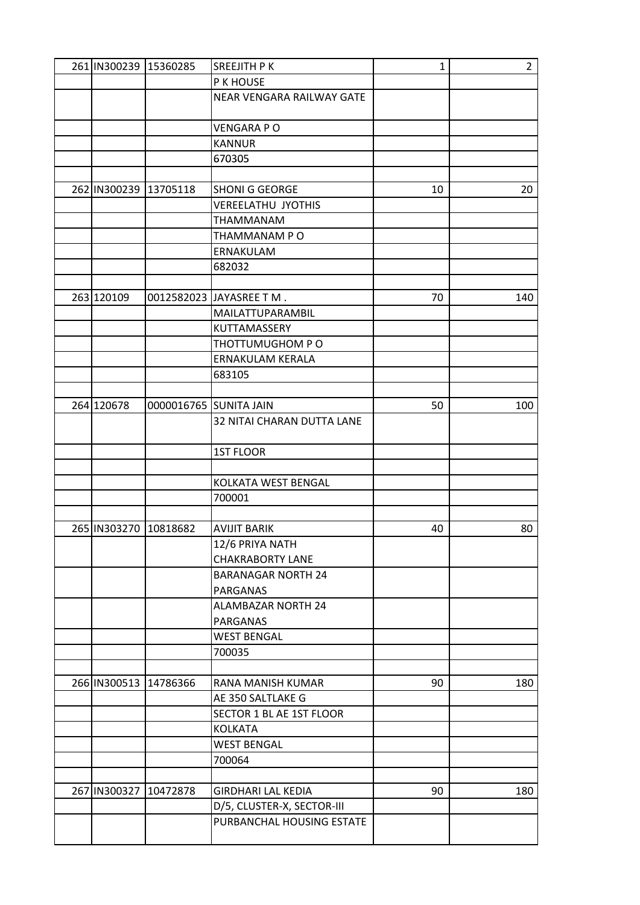| 261 IN300239 15360285 | SREEJITH P K               | 1  | $\overline{2}$ |
|-----------------------|----------------------------|----|----------------|
|                       | P K HOUSE                  |    |                |
|                       | NEAR VENGARA RAILWAY GATE  |    |                |
|                       |                            |    |                |
|                       | <b>VENGARA PO</b>          |    |                |
|                       | <b>KANNUR</b>              |    |                |
|                       | 670305                     |    |                |
|                       |                            |    |                |
| 262 IN300239 13705118 | <b>SHONI G GEORGE</b>      | 10 | 20             |
|                       | <b>VEREELATHU JYOTHIS</b>  |    |                |
|                       |                            |    |                |
|                       | THAMMANAM                  |    |                |
|                       | THAMMANAM PO               |    |                |
|                       | ERNAKULAM                  |    |                |
|                       | 682032                     |    |                |
|                       |                            |    |                |
| 263 120109            | 0012582023 JAYASREE T M.   | 70 | 140            |
|                       | MAILATTUPARAMBIL           |    |                |
|                       | KUTTAMASSERY               |    |                |
|                       | THOTTUMUGHOM PO            |    |                |
|                       | ERNAKULAM KERALA           |    |                |
|                       | 683105                     |    |                |
|                       |                            |    |                |
| 264 120678            | 0000016765 SUNITA JAIN     | 50 | 100            |
|                       | 32 NITAI CHARAN DUTTA LANE |    |                |
|                       |                            |    |                |
|                       | <b>1ST FLOOR</b>           |    |                |
|                       |                            |    |                |
|                       | KOLKATA WEST BENGAL        |    |                |
|                       | 700001                     |    |                |
|                       |                            |    |                |
|                       |                            |    |                |
| 265 IN303270 10818682 | <b>AVIJIT BARIK</b>        | 40 | 80             |
|                       | 12/6 PRIYA NATH            |    |                |
|                       | <b>CHAKRABORTY LANE</b>    |    |                |
|                       | <b>BARANAGAR NORTH 24</b>  |    |                |
|                       | <b>PARGANAS</b>            |    |                |
|                       | <b>ALAMBAZAR NORTH 24</b>  |    |                |
|                       | PARGANAS                   |    |                |
|                       | <b>WEST BENGAL</b>         |    |                |
|                       | 700035                     |    |                |
|                       |                            |    |                |
| 266 IN300513 14786366 | RANA MANISH KUMAR          | 90 | 180            |
|                       | AE 350 SALTLAKE G          |    |                |
|                       | SECTOR 1 BL AE 1ST FLOOR   |    |                |
|                       | <b>KOLKATA</b>             |    |                |
|                       | <b>WEST BENGAL</b>         |    |                |
|                       | 700064                     |    |                |
|                       |                            |    |                |
| 267 IN300327 10472878 | <b>GIRDHARI LAL KEDIA</b>  | 90 | 180            |
|                       | D/5, CLUSTER-X, SECTOR-III |    |                |
|                       |                            |    |                |
|                       | PURBANCHAL HOUSING ESTATE  |    |                |
|                       |                            |    |                |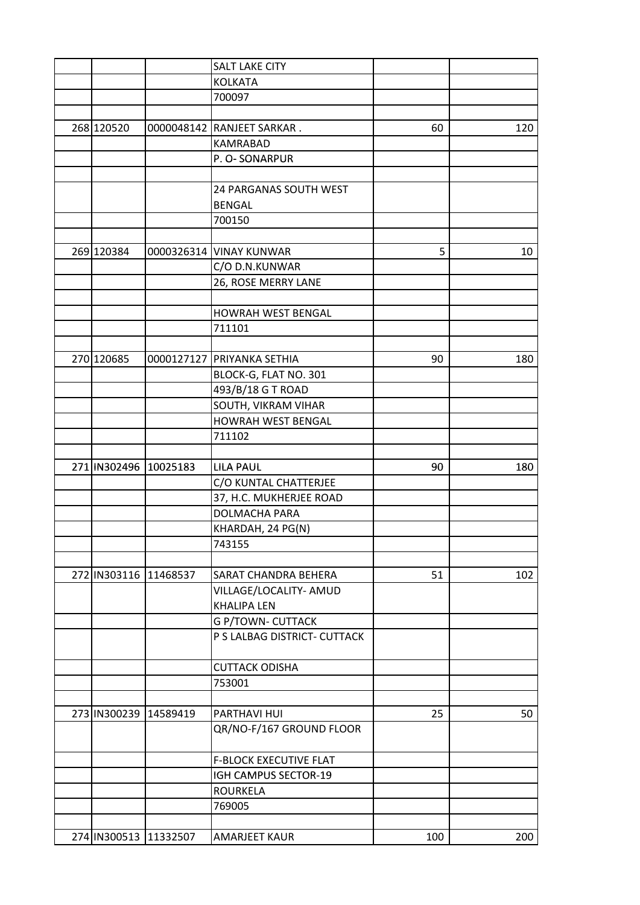|                       | <b>SALT LAKE CITY</b>         |     |     |
|-----------------------|-------------------------------|-----|-----|
|                       | <b>KOLKATA</b>                |     |     |
|                       | 700097                        |     |     |
|                       |                               |     |     |
| 268 120520            | 0000048142 RANJEET SARKAR.    | 60  | 120 |
|                       | <b>KAMRABAD</b>               |     |     |
|                       | P. O-SONARPUR                 |     |     |
|                       |                               |     |     |
|                       | 24 PARGANAS SOUTH WEST        |     |     |
|                       | <b>BENGAL</b>                 |     |     |
|                       | 700150                        |     |     |
|                       |                               |     |     |
| 269 120384            | 0000326314 VINAY KUNWAR       | 5   | 10  |
|                       | C/O D.N.KUNWAR                |     |     |
|                       | 26, ROSE MERRY LANE           |     |     |
|                       |                               |     |     |
|                       | HOWRAH WEST BENGAL            |     |     |
|                       | 711101                        |     |     |
|                       |                               |     |     |
| 270 120685            | 0000127127 PRIYANKA SETHIA    | 90  | 180 |
|                       | BLOCK-G, FLAT NO. 301         |     |     |
|                       | 493/B/18 G T ROAD             |     |     |
|                       | SOUTH, VIKRAM VIHAR           |     |     |
|                       | HOWRAH WEST BENGAL            |     |     |
|                       | 711102                        |     |     |
|                       |                               |     |     |
| 271 IN302496 10025183 | <b>LILA PAUL</b>              | 90  | 180 |
|                       | C/O KUNTAL CHATTERJEE         |     |     |
|                       | 37, H.C. MUKHERJEE ROAD       |     |     |
|                       | DOLMACHA PARA                 |     |     |
|                       | KHARDAH, 24 PG(N)             |     |     |
|                       | 743155                        |     |     |
|                       |                               |     |     |
| 272 IN303116 11468537 | <b>SARAT CHANDRA BEHERA</b>   | 51  | 102 |
|                       | VILLAGE/LOCALITY- AMUD        |     |     |
|                       | <b>KHALIPA LEN</b>            |     |     |
|                       | <b>G P/TOWN- CUTTACK</b>      |     |     |
|                       | P S LALBAG DISTRICT- CUTTACK  |     |     |
|                       |                               |     |     |
|                       | <b>CUTTACK ODISHA</b>         |     |     |
|                       | 753001                        |     |     |
|                       |                               |     |     |
| 273 IN300239 14589419 | PARTHAVI HUI                  | 25  | 50  |
|                       | QR/NO-F/167 GROUND FLOOR      |     |     |
|                       |                               |     |     |
|                       | <b>F-BLOCK EXECUTIVE FLAT</b> |     |     |
|                       | IGH CAMPUS SECTOR-19          |     |     |
|                       | <b>ROURKELA</b>               |     |     |
|                       | 769005                        |     |     |
|                       |                               |     |     |
| 274 IN300513 11332507 | <b>AMARJEET KAUR</b>          | 100 | 200 |
|                       |                               |     |     |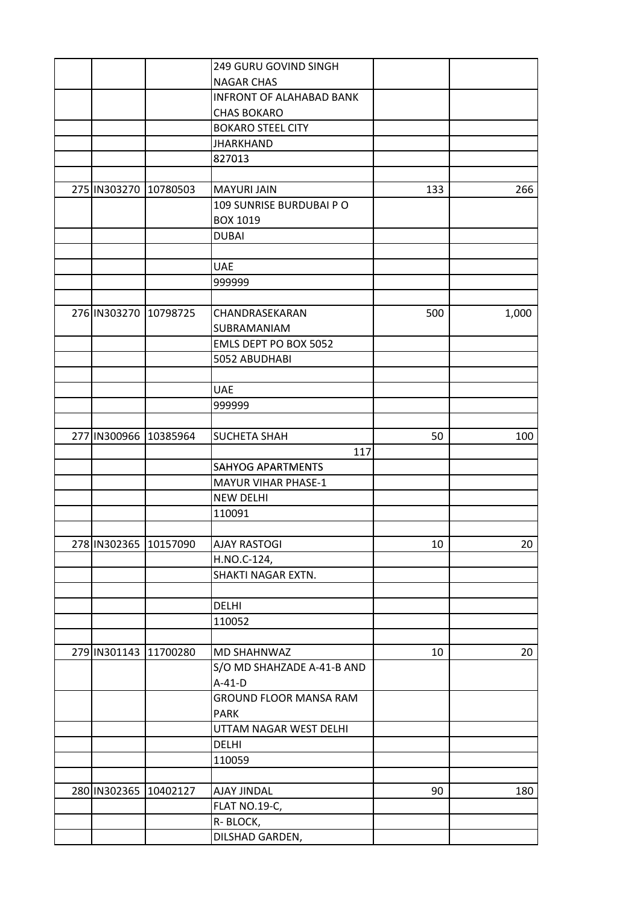|                       |                       | 249 GURU GOVIND SINGH           |     |       |
|-----------------------|-----------------------|---------------------------------|-----|-------|
|                       |                       | <b>NAGAR CHAS</b>               |     |       |
|                       |                       | <b>INFRONT OF ALAHABAD BANK</b> |     |       |
|                       |                       | <b>CHAS BOKARO</b>              |     |       |
|                       |                       | <b>BOKARO STEEL CITY</b>        |     |       |
|                       |                       | <b>JHARKHAND</b>                |     |       |
|                       |                       | 827013                          |     |       |
|                       |                       |                                 |     |       |
| 275 IN303270 10780503 |                       | <b>MAYURI JAIN</b>              | 133 | 266   |
|                       |                       | 109 SUNRISE BURDUBAI PO         |     |       |
|                       |                       | <b>BOX 1019</b>                 |     |       |
|                       |                       | <b>DUBAI</b>                    |     |       |
|                       |                       |                                 |     |       |
|                       |                       | <b>UAE</b>                      |     |       |
|                       |                       | 999999                          |     |       |
|                       |                       |                                 |     |       |
| 276 IN303270 10798725 |                       | CHANDRASEKARAN                  | 500 |       |
|                       |                       |                                 |     | 1,000 |
|                       |                       | SUBRAMANIAM                     |     |       |
|                       |                       | EMLS DEPT PO BOX 5052           |     |       |
|                       |                       | 5052 ABUDHABI                   |     |       |
|                       |                       |                                 |     |       |
|                       |                       | <b>UAE</b>                      |     |       |
|                       |                       | 999999                          |     |       |
|                       |                       |                                 |     |       |
| 277 IN300966 10385964 |                       | <b>SUCHETA SHAH</b>             | 50  | 100   |
|                       |                       | 117                             |     |       |
|                       |                       | <b>SAHYOG APARTMENTS</b>        |     |       |
|                       |                       | <b>MAYUR VIHAR PHASE-1</b>      |     |       |
|                       |                       | <b>NEW DELHI</b>                |     |       |
|                       |                       | 110091                          |     |       |
|                       |                       |                                 |     |       |
|                       | 278 IN302365 10157090 | <b>AJAY RASTOGI</b>             | 10  | 20    |
|                       |                       | H.NO.C-124,                     |     |       |
|                       |                       | SHAKTI NAGAR EXTN.              |     |       |
|                       |                       |                                 |     |       |
|                       |                       | <b>DELHI</b>                    |     |       |
|                       |                       | 110052                          |     |       |
|                       |                       |                                 |     |       |
|                       | 279 IN301143 11700280 | MD SHAHNWAZ                     | 10  | 20    |
|                       |                       | S/O MD SHAHZADE A-41-B AND      |     |       |
|                       |                       | $A-41-D$                        |     |       |
|                       |                       | <b>GROUND FLOOR MANSA RAM</b>   |     |       |
|                       |                       | <b>PARK</b>                     |     |       |
|                       |                       | UTTAM NAGAR WEST DELHI          |     |       |
|                       |                       | <b>DELHI</b>                    |     |       |
|                       |                       | 110059                          |     |       |
|                       |                       |                                 |     |       |
|                       | 280 IN302365 10402127 | AJAY JINDAL                     | 90  | 180   |
|                       |                       | <b>FLAT NO.19-C,</b>            |     |       |
|                       |                       | R-BLOCK,                        |     |       |
|                       |                       | DILSHAD GARDEN,                 |     |       |
|                       |                       |                                 |     |       |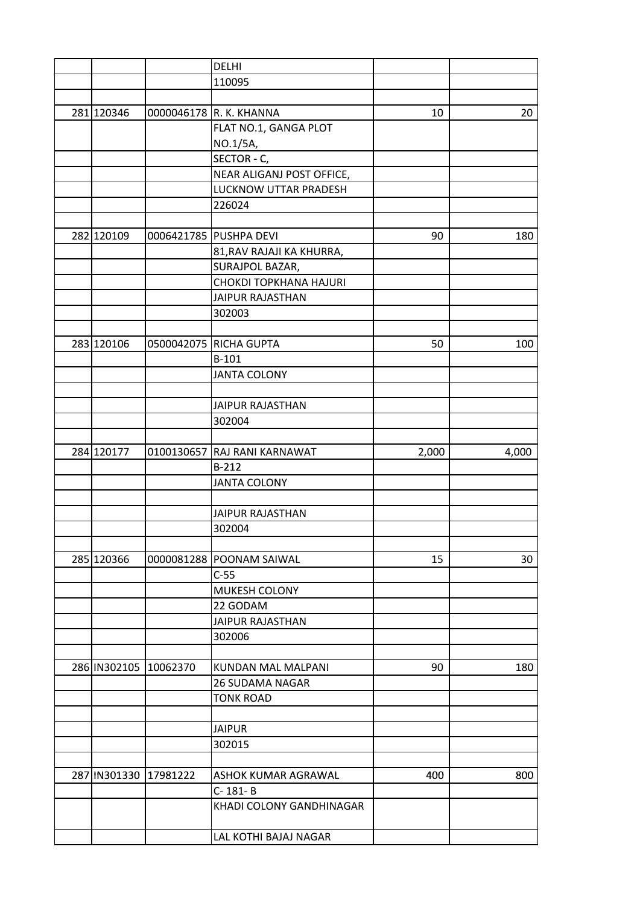|                       | <b>DELHI</b>                 |       |       |
|-----------------------|------------------------------|-------|-------|
|                       | 110095                       |       |       |
|                       |                              |       |       |
| 281 120346            | 0000046178 R. K. KHANNA      | 10    | 20    |
|                       | FLAT NO.1, GANGA PLOT        |       |       |
|                       | NO.1/5A,                     |       |       |
|                       | SECTOR - C,                  |       |       |
|                       | NEAR ALIGANJ POST OFFICE,    |       |       |
|                       | LUCKNOW UTTAR PRADESH        |       |       |
|                       | 226024                       |       |       |
|                       |                              |       |       |
| 282 120109            | 0006421785 PUSHPA DEVI       | 90    | 180   |
|                       |                              |       |       |
|                       | 81, RAV RAJAJI KA KHURRA,    |       |       |
|                       | SURAJPOL BAZAR,              |       |       |
|                       | CHOKDI TOPKHANA HAJURI       |       |       |
|                       | <b>JAIPUR RAJASTHAN</b>      |       |       |
|                       | 302003                       |       |       |
|                       |                              |       |       |
| 283 120106            | 0500042075 RICHA GUPTA       | 50    | 100   |
|                       | $B-101$                      |       |       |
|                       | <b>JANTA COLONY</b>          |       |       |
|                       |                              |       |       |
|                       | <b>JAIPUR RAJASTHAN</b>      |       |       |
|                       | 302004                       |       |       |
|                       |                              |       |       |
| 284 120177            | 0100130657 RAJ RANI KARNAWAT | 2,000 | 4,000 |
|                       | $B-212$                      |       |       |
|                       | <b>JANTA COLONY</b>          |       |       |
|                       |                              |       |       |
|                       | <b>JAIPUR RAJASTHAN</b>      |       |       |
|                       | 302004                       |       |       |
|                       |                              |       |       |
| 285 120366            | 0000081288 POONAM SAIWAL     | 15    | 30    |
|                       | $C-55$                       |       |       |
|                       | MUKESH COLONY                |       |       |
|                       | 22 GODAM                     |       |       |
|                       | <b>JAIPUR RAJASTHAN</b>      |       |       |
|                       |                              |       |       |
|                       | 302006                       |       |       |
|                       |                              |       |       |
| 286 IN302105 10062370 | KUNDAN MAL MALPANI           | 90    | 180   |
|                       | <b>26 SUDAMA NAGAR</b>       |       |       |
|                       | <b>TONK ROAD</b>             |       |       |
|                       |                              |       |       |
|                       | <b>JAIPUR</b>                |       |       |
|                       | 302015                       |       |       |
|                       |                              |       |       |
| 287 IN301330 17981222 | ASHOK KUMAR AGRAWAL          | 400   | 800   |
|                       | C-181-B                      |       |       |
|                       | KHADI COLONY GANDHINAGAR     |       |       |
|                       | LAL KOTHI BAJAJ NAGAR        |       |       |
|                       |                              |       |       |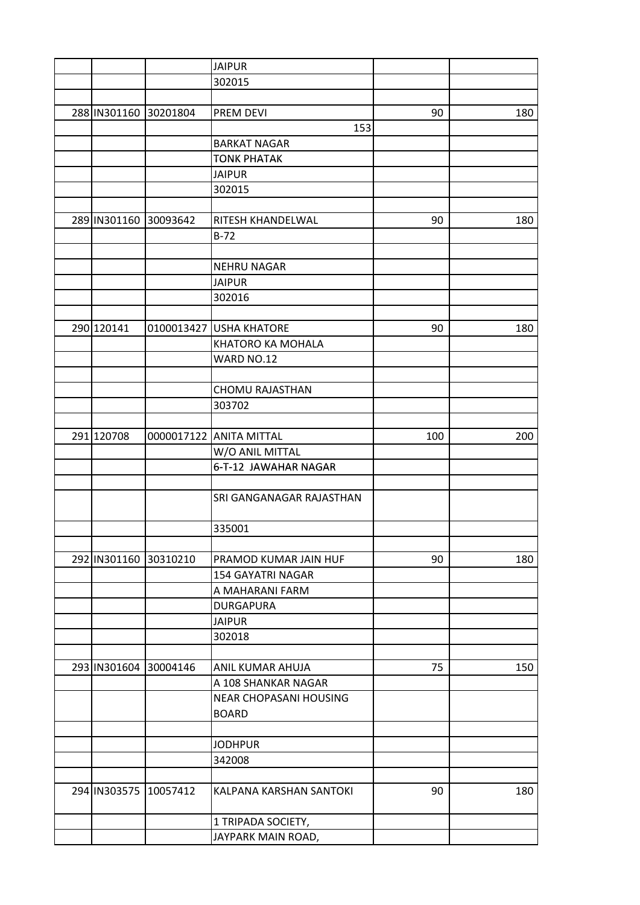|                       | <b>JAIPUR</b>                   |     |     |
|-----------------------|---------------------------------|-----|-----|
|                       | 302015                          |     |     |
|                       |                                 |     |     |
| 288 IN301160 30201804 | <b>PREM DEVI</b>                | 90  | 180 |
|                       | 153                             |     |     |
|                       | <b>BARKAT NAGAR</b>             |     |     |
|                       | <b>TONK PHATAK</b>              |     |     |
|                       | <b>JAIPUR</b>                   |     |     |
|                       | 302015                          |     |     |
|                       |                                 |     |     |
| 289 IN301160 30093642 | RITESH KHANDELWAL               | 90  | 180 |
|                       | $B-72$                          |     |     |
|                       |                                 |     |     |
|                       | <b>NEHRU NAGAR</b>              |     |     |
|                       | <b>JAIPUR</b>                   |     |     |
|                       | 302016                          |     |     |
|                       |                                 |     |     |
| 290 120141            | 0100013427 USHA KHATORE         | 90  | 180 |
|                       | KHATORO KA MOHALA               |     |     |
|                       | WARD NO.12                      |     |     |
|                       |                                 |     |     |
|                       | <b>CHOMU RAJASTHAN</b>          |     |     |
|                       | 303702                          |     |     |
|                       |                                 |     |     |
| 291 120708            | 0000017122 ANITA MITTAL         |     |     |
|                       |                                 | 100 | 200 |
|                       | W/O ANIL MITTAL                 |     |     |
|                       | 6-T-12 JAWAHAR NAGAR            |     |     |
|                       |                                 |     |     |
|                       | <b>SRI GANGANAGAR RAJASTHAN</b> |     |     |
|                       |                                 |     |     |
|                       | 335001                          |     |     |
|                       |                                 |     |     |
| 292 IN301160 30310210 | PRAMOD KUMAR JAIN HUF           | 90  | 180 |
|                       | <b>154 GAYATRI NAGAR</b>        |     |     |
|                       | A MAHARANI FARM                 |     |     |
|                       | <b>DURGAPURA</b>                |     |     |
|                       | <b>JAIPUR</b>                   |     |     |
|                       | 302018                          |     |     |
|                       |                                 |     |     |
| 293 IN301604 30004146 | <b>ANIL KUMAR AHUJA</b>         | 75  | 150 |
|                       | A 108 SHANKAR NAGAR             |     |     |
|                       | NEAR CHOPASANI HOUSING          |     |     |
|                       | <b>BOARD</b>                    |     |     |
|                       |                                 |     |     |
|                       | <b>JODHPUR</b>                  |     |     |
|                       | 342008                          |     |     |
|                       |                                 |     |     |
| 294 IN303575 10057412 | KALPANA KARSHAN SANTOKI         | 90  | 180 |
|                       |                                 |     |     |
|                       | 1 TRIPADA SOCIETY,              |     |     |
|                       | JAYPARK MAIN ROAD,              |     |     |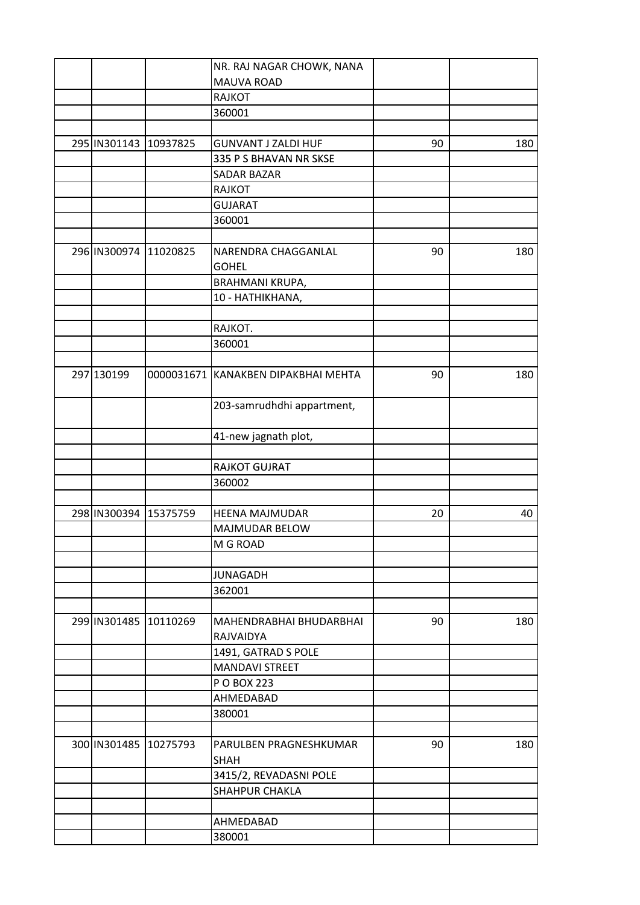|                       |                       | NR. RAJ NAGAR CHOWK, NANA           |    |     |
|-----------------------|-----------------------|-------------------------------------|----|-----|
|                       |                       | MAUVA ROAD                          |    |     |
|                       |                       | <b>RAJKOT</b>                       |    |     |
|                       |                       | 360001                              |    |     |
|                       |                       |                                     |    |     |
| 295 IN301143 10937825 |                       | <b>GUNVANT J ZALDI HUF</b>          | 90 | 180 |
|                       |                       | 335 P S BHAVAN NR SKSE              |    |     |
|                       |                       | <b>SADAR BAZAR</b>                  |    |     |
|                       |                       | <b>RAJKOT</b>                       |    |     |
|                       |                       | <b>GUJARAT</b>                      |    |     |
|                       |                       | 360001                              |    |     |
|                       |                       |                                     |    |     |
|                       | 296 IN300974 11020825 | NARENDRA CHAGGANLAL                 | 90 | 180 |
|                       |                       | <b>GOHEL</b>                        |    |     |
|                       |                       | BRAHMANI KRUPA,                     |    |     |
|                       |                       | 10 - HATHIKHANA,                    |    |     |
|                       |                       |                                     |    |     |
|                       |                       |                                     |    |     |
|                       |                       | RAJKOT.                             |    |     |
|                       |                       | 360001                              |    |     |
|                       |                       |                                     |    |     |
| 297 130199            |                       | 0000031671 KANAKBEN DIPAKBHAI MEHTA | 90 | 180 |
|                       |                       |                                     |    |     |
|                       |                       | 203-samrudhdhi appartment,          |    |     |
|                       |                       |                                     |    |     |
|                       |                       | 41-new jagnath plot,                |    |     |
|                       |                       |                                     |    |     |
|                       |                       | <b>RAJKOT GUJRAT</b>                |    |     |
|                       |                       | 360002                              |    |     |
|                       |                       |                                     |    |     |
| 298 IN300394 15375759 |                       | <b>HEENA MAJMUDAR</b>               | 20 | 40  |
|                       |                       | MAJMUDAR BELOW                      |    |     |
|                       |                       | M G ROAD                            |    |     |
|                       |                       |                                     |    |     |
|                       |                       | <b>JUNAGADH</b>                     |    |     |
|                       |                       | 362001                              |    |     |
|                       |                       |                                     |    |     |
|                       | 299 IN301485 10110269 | MAHENDRABHAI BHUDARBHAI             | 90 | 180 |
|                       |                       | RAJVAIDYA                           |    |     |
|                       |                       | 1491, GATRAD S POLE                 |    |     |
|                       |                       | <b>MANDAVI STREET</b>               |    |     |
|                       |                       | P O BOX 223                         |    |     |
|                       |                       | AHMEDABAD                           |    |     |
|                       |                       | 380001                              |    |     |
|                       |                       |                                     |    |     |
|                       | 300 IN301485 10275793 | PARULBEN PRAGNESHKUMAR              | 90 | 180 |
|                       |                       |                                     |    |     |
|                       |                       | <b>SHAH</b>                         |    |     |
|                       |                       | 3415/2, REVADASNI POLE              |    |     |
|                       |                       | <b>SHAHPUR CHAKLA</b>               |    |     |
|                       |                       |                                     |    |     |
|                       |                       | AHMEDABAD                           |    |     |
|                       |                       | 380001                              |    |     |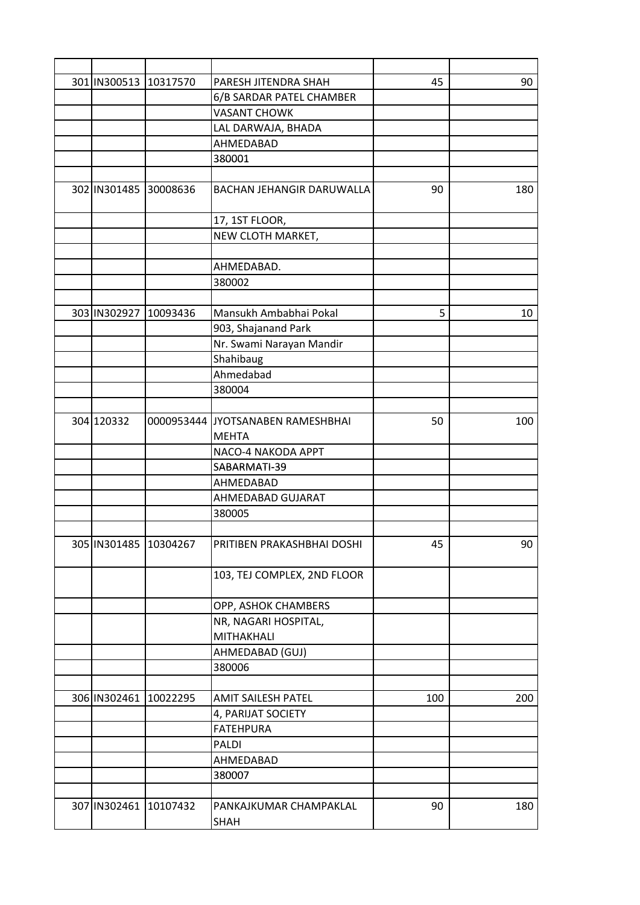| 301 IN300513 10317570 |                       | PARESH JITENDRA SHAH                  | 45  | 90  |
|-----------------------|-----------------------|---------------------------------------|-----|-----|
|                       |                       | 6/B SARDAR PATEL CHAMBER              |     |     |
|                       |                       | <b>VASANT CHOWK</b>                   |     |     |
|                       |                       | LAL DARWAJA, BHADA                    |     |     |
|                       |                       | AHMEDABAD                             |     |     |
|                       |                       | 380001                                |     |     |
|                       |                       |                                       |     |     |
| 302 IN301485 30008636 |                       | BACHAN JEHANGIR DARUWALLA             | 90  | 180 |
|                       |                       | 17, 1ST FLOOR,                        |     |     |
|                       |                       | NEW CLOTH MARKET,                     |     |     |
|                       |                       |                                       |     |     |
|                       |                       | AHMEDABAD.                            |     |     |
|                       |                       | 380002                                |     |     |
|                       |                       |                                       |     |     |
| 303 IN302927 10093436 |                       | Mansukh Ambabhai Pokal                | 5   | 10  |
|                       |                       | 903, Shajanand Park                   |     |     |
|                       |                       | Nr. Swami Narayan Mandir              |     |     |
|                       |                       | Shahibaug                             |     |     |
|                       |                       | Ahmedabad                             |     |     |
|                       |                       | 380004                                |     |     |
|                       |                       |                                       |     |     |
| 304 120332            |                       | 0000953444 JJYOTSANABEN RAMESHBHAI    | 50  | 100 |
|                       |                       | <b>MEHTA</b>                          |     |     |
|                       |                       | NACO-4 NAKODA APPT                    |     |     |
|                       |                       | SABARMATI-39                          |     |     |
|                       |                       | AHMEDABAD                             |     |     |
|                       |                       | AHMEDABAD GUJARAT                     |     |     |
|                       |                       | 380005                                |     |     |
|                       |                       |                                       |     |     |
|                       | 305 IN301485 10304267 | PRITIBEN PRAKASHBHAI DOSHI            | 45  | 90  |
|                       |                       | 103, TEJ COMPLEX, 2ND FLOOR           |     |     |
|                       |                       | OPP, ASHOK CHAMBERS                   |     |     |
|                       |                       | NR, NAGARI HOSPITAL,                  |     |     |
|                       |                       | MITHAKHALI                            |     |     |
|                       |                       | AHMEDABAD (GUJ)                       |     |     |
|                       |                       | 380006                                |     |     |
|                       |                       |                                       |     |     |
| 306 IN302461          | 10022295              | <b>AMIT SAILESH PATEL</b>             | 100 | 200 |
|                       |                       | 4, PARIJAT SOCIETY                    |     |     |
|                       |                       | <b>FATEHPURA</b>                      |     |     |
|                       |                       | PALDI                                 |     |     |
|                       |                       | AHMEDABAD                             |     |     |
|                       |                       | 380007                                |     |     |
|                       |                       |                                       |     |     |
|                       | 307 IN302461 10107432 | PANKAJKUMAR CHAMPAKLAL<br><b>SHAH</b> | 90  | 180 |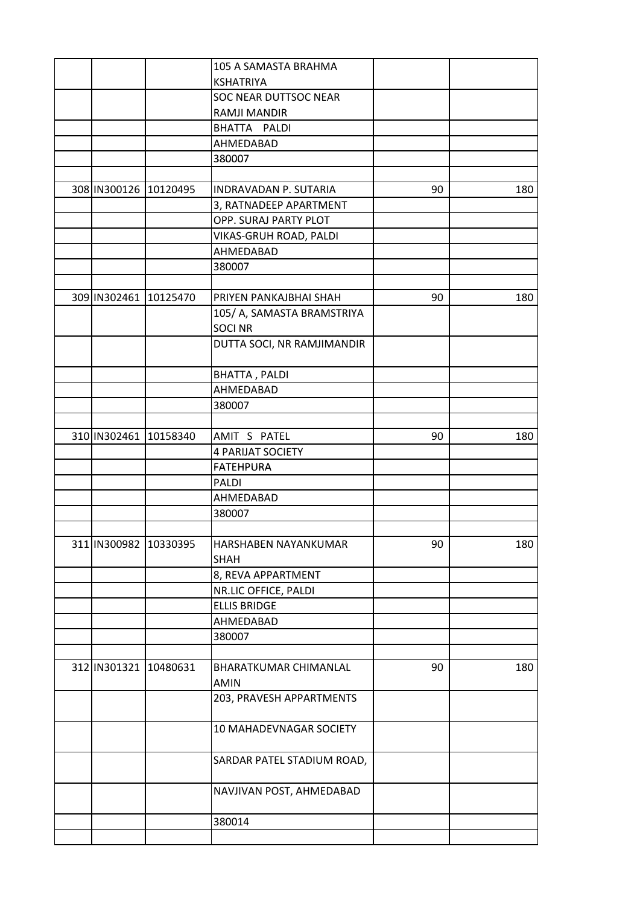|                        | 105 A SAMASTA BRAHMA          |    |     |
|------------------------|-------------------------------|----|-----|
|                        | <b>KSHATRIYA</b>              |    |     |
|                        | SOC NEAR DUTTSOC NEAR         |    |     |
|                        | RAMJI MANDIR                  |    |     |
|                        | BHATTA PALDI                  |    |     |
|                        | AHMEDABAD                     |    |     |
|                        | 380007                        |    |     |
|                        |                               |    |     |
| 308 IN300126 10120495  | <b>INDRAVADAN P. SUTARIA</b>  | 90 | 180 |
|                        | 3, RATNADEEP APARTMENT        |    |     |
|                        | OPP. SURAJ PARTY PLOT         |    |     |
|                        | VIKAS-GRUH ROAD, PALDI        |    |     |
|                        | AHMEDABAD                     |    |     |
|                        | 380007                        |    |     |
|                        |                               |    |     |
| 309 IN302461 10125470  | PRIYEN PANKAJBHAI SHAH        | 90 | 180 |
|                        | 105/ A, SAMASTA BRAMSTRIYA    |    |     |
|                        | <b>SOCI NR</b>                |    |     |
|                        | DUTTA SOCI, NR RAMJIMANDIR    |    |     |
|                        |                               |    |     |
|                        | <b>BHATTA, PALDI</b>          |    |     |
|                        | AHMEDABAD                     |    |     |
|                        | 380007                        |    |     |
|                        |                               |    |     |
| 310 IN302461 10158340  | AMIT S PATEL                  | 90 | 180 |
|                        | <b>4 PARIJAT SOCIETY</b>      |    |     |
|                        | <b>FATEHPURA</b>              |    |     |
|                        | PALDI                         |    |     |
|                        | AHMEDABAD                     |    |     |
|                        | 380007                        |    |     |
|                        |                               |    |     |
| 311 IN300982  10330395 | HARSHABEN NAYANKUMAR          | 90 | 180 |
|                        | <b>SHAH</b>                   |    |     |
|                        | 8, REVA APPARTMENT            |    |     |
|                        |                               |    |     |
|                        | NR.LIC OFFICE, PALDI          |    |     |
|                        | <b>ELLIS BRIDGE</b>           |    |     |
|                        | AHMEDABAD                     |    |     |
|                        | 380007                        |    |     |
|                        |                               |    |     |
| 312 IN301321 10480631  | BHARATKUMAR CHIMANLAL<br>AMIN | 90 | 180 |
|                        |                               |    |     |
|                        | 203, PRAVESH APPARTMENTS      |    |     |
|                        | 10 MAHADEVNAGAR SOCIETY       |    |     |
|                        | SARDAR PATEL STADIUM ROAD,    |    |     |
|                        |                               |    |     |
|                        | NAVJIVAN POST, AHMEDABAD      |    |     |
|                        | 380014                        |    |     |
|                        |                               |    |     |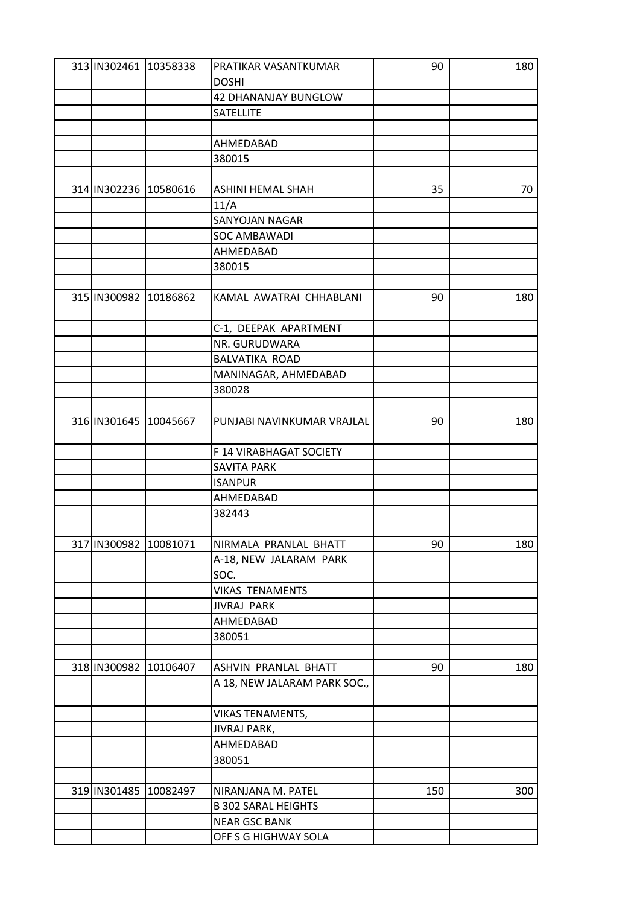| 313 IN302461 10358338  |                           | PRATIKAR VASANTKUMAR         | 90  | 180 |
|------------------------|---------------------------|------------------------------|-----|-----|
|                        |                           | <b>DOSHI</b>                 |     |     |
|                        |                           | 42 DHANANJAY BUNGLOW         |     |     |
|                        |                           | SATELLITE                    |     |     |
|                        |                           |                              |     |     |
|                        |                           | AHMEDABAD                    |     |     |
|                        |                           | 380015                       |     |     |
|                        |                           |                              |     |     |
| 314 IN302236 10580616  |                           | <b>ASHINI HEMAL SHAH</b>     | 35  | 70  |
|                        |                           | 11/A                         |     |     |
|                        |                           | SANYOJAN NAGAR               |     |     |
|                        |                           | SOC AMBAWADI                 |     |     |
|                        |                           | AHMEDABAD                    |     |     |
|                        |                           | 380015                       |     |     |
|                        |                           |                              |     |     |
|                        |                           |                              |     |     |
|                        | 315   IN300982   10186862 | KAMAL AWATRAI CHHABLANI      | 90  | 180 |
|                        |                           |                              |     |     |
|                        |                           | C-1, DEEPAK APARTMENT        |     |     |
|                        |                           | NR. GURUDWARA                |     |     |
|                        |                           | BALVATIKA ROAD               |     |     |
|                        |                           | MANINAGAR, AHMEDABAD         |     |     |
|                        |                           | 380028                       |     |     |
|                        |                           |                              |     |     |
| 316 IN301645 10045667  |                           | PUNJABI NAVINKUMAR VRAJLAL   | 90  | 180 |
|                        |                           | F 14 VIRABHAGAT SOCIETY      |     |     |
|                        |                           | <b>SAVITA PARK</b>           |     |     |
|                        |                           | <b>ISANPUR</b>               |     |     |
|                        |                           | AHMEDABAD                    |     |     |
|                        |                           | 382443                       |     |     |
|                        |                           |                              |     |     |
| 317 IN300982  10081071 |                           | NIRMALA PRANLAL BHATT        | 90  | 180 |
|                        |                           | A-18, NEW JALARAM PARK       |     |     |
|                        |                           | SOC.                         |     |     |
|                        |                           | <b>VIKAS TENAMENTS</b>       |     |     |
|                        |                           | JIVRAJ PARK                  |     |     |
|                        |                           | AHMEDABAD                    |     |     |
|                        |                           |                              |     |     |
|                        |                           | 380051                       |     |     |
|                        |                           |                              |     |     |
| 318 IN300982 10106407  |                           | ASHVIN PRANLAL BHATT         | 90  | 180 |
|                        |                           | A 18, NEW JALARAM PARK SOC., |     |     |
|                        |                           | VIKAS TENAMENTS,             |     |     |
|                        |                           | JIVRAJ PARK,                 |     |     |
|                        |                           | AHMEDABAD                    |     |     |
|                        |                           | 380051                       |     |     |
|                        |                           |                              |     |     |
|                        | 319 IN301485 10082497     | NIRANJANA M. PATEL           | 150 | 300 |
|                        |                           | <b>B 302 SARAL HEIGHTS</b>   |     |     |
|                        |                           | <b>NEAR GSC BANK</b>         |     |     |
|                        |                           | OFF S G HIGHWAY SOLA         |     |     |
|                        |                           |                              |     |     |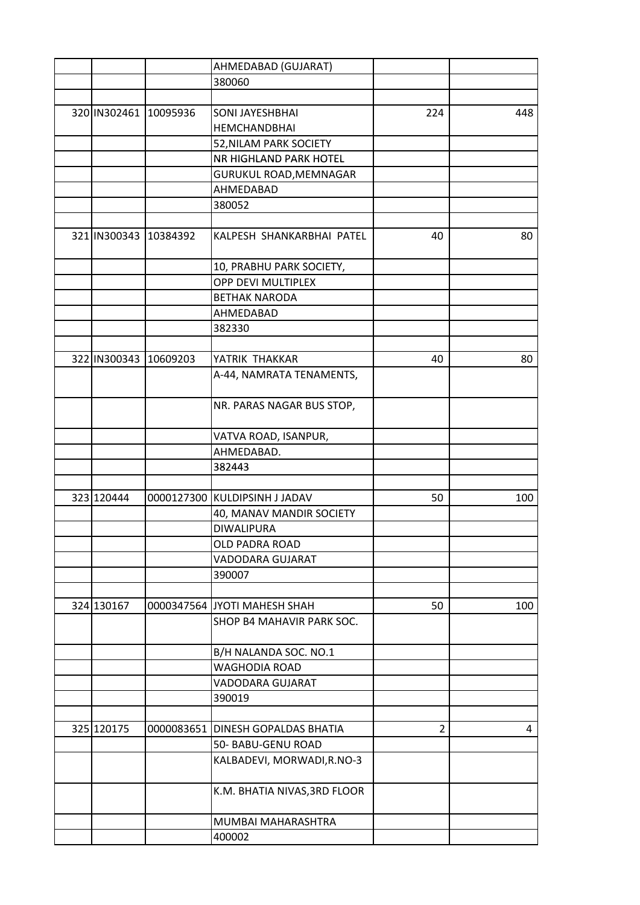|            |                       | AHMEDABAD (GUJARAT)               |                |     |
|------------|-----------------------|-----------------------------------|----------------|-----|
|            |                       | 380060                            |                |     |
|            |                       |                                   |                |     |
|            | 320 IN302461 10095936 | SONI JAYESHBHAI                   | 224            | 448 |
|            |                       | <b>HEMCHANDBHAI</b>               |                |     |
|            |                       | 52, NILAM PARK SOCIETY            |                |     |
|            |                       | NR HIGHLAND PARK HOTEL            |                |     |
|            |                       | GURUKUL ROAD, MEMNAGAR            |                |     |
|            |                       | AHMEDABAD                         |                |     |
|            |                       | 380052                            |                |     |
|            |                       |                                   |                |     |
|            | 321 IN300343 10384392 | KALPESH SHANKARBHAI PATEL         | 40             | 80  |
|            |                       | 10, PRABHU PARK SOCIETY,          |                |     |
|            |                       | OPP DEVI MULTIPLEX                |                |     |
|            |                       | <b>BETHAK NARODA</b>              |                |     |
|            |                       | AHMEDABAD                         |                |     |
|            |                       | 382330                            |                |     |
|            |                       |                                   |                |     |
|            | 322 IN300343 10609203 | YATRIK THAKKAR                    | 40             | 80  |
|            |                       | A-44, NAMRATA TENAMENTS,          |                |     |
|            |                       |                                   |                |     |
|            |                       | NR. PARAS NAGAR BUS STOP,         |                |     |
|            |                       |                                   |                |     |
|            |                       | VATVA ROAD, ISANPUR,              |                |     |
|            |                       | AHMEDABAD.                        |                |     |
|            |                       | 382443                            |                |     |
|            |                       |                                   |                |     |
| 323 120444 |                       | 0000127300 KULDIPSINH J JADAV     | 50             | 100 |
|            |                       | 40, MANAV MANDIR SOCIETY          |                |     |
|            |                       | <b>DIWALIPURA</b>                 |                |     |
|            |                       | OLD PADRA ROAD                    |                |     |
|            |                       | VADODARA GUJARAT                  |                |     |
|            |                       | 390007                            |                |     |
|            |                       |                                   |                |     |
| 324 130167 |                       | 0000347564 JYOTI MAHESH SHAH      | 50             | 100 |
|            |                       | SHOP B4 MAHAVIR PARK SOC.         |                |     |
|            |                       | B/H NALANDA SOC. NO.1             |                |     |
|            |                       | <b>WAGHODIA ROAD</b>              |                |     |
|            |                       | VADODARA GUJARAT                  |                |     |
|            |                       | 390019                            |                |     |
|            |                       |                                   |                |     |
| 325 120175 |                       | 0000083651 DINESH GOPALDAS BHATIA | $\overline{2}$ | 4   |
|            |                       | 50- BABU-GENU ROAD                |                |     |
|            |                       | KALBADEVI, MORWADI, R.NO-3        |                |     |
|            |                       | K.M. BHATIA NIVAS, 3RD FLOOR      |                |     |
|            |                       | MUMBAI MAHARASHTRA                |                |     |
|            |                       | 400002                            |                |     |
|            |                       |                                   |                |     |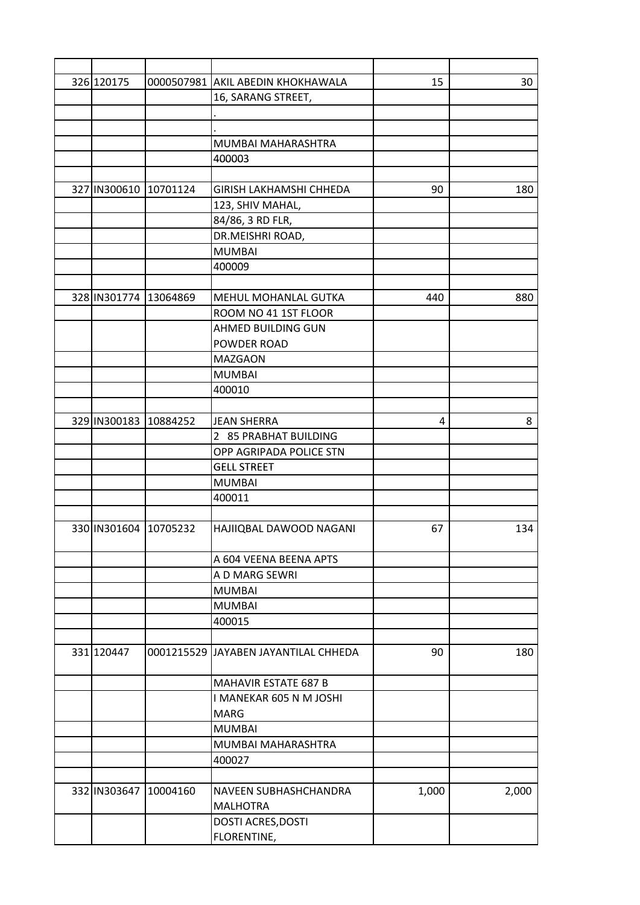| 326 120175            | 0000507981 AKIL ABEDIN KHOKHAWALA    | 15    | 30    |
|-----------------------|--------------------------------------|-------|-------|
|                       | 16, SARANG STREET,                   |       |       |
|                       |                                      |       |       |
|                       |                                      |       |       |
|                       | MUMBAI MAHARASHTRA                   |       |       |
|                       | 400003                               |       |       |
|                       |                                      |       |       |
| 327 IN300610 10701124 | <b>GIRISH LAKHAMSHI CHHEDA</b>       | 90    | 180   |
|                       | 123, SHIV MAHAL,                     |       |       |
|                       | 84/86, 3 RD FLR,                     |       |       |
|                       | DR.MEISHRI ROAD,                     |       |       |
|                       | <b>MUMBAI</b>                        |       |       |
|                       | 400009                               |       |       |
|                       |                                      |       |       |
| 328 IN301774 13064869 | MEHUL MOHANLAL GUTKA                 | 440   | 880   |
|                       | ROOM NO 41 1ST FLOOR                 |       |       |
|                       | AHMED BUILDING GUN                   |       |       |
|                       | POWDER ROAD                          |       |       |
|                       | <b>MAZGAON</b>                       |       |       |
|                       | <b>MUMBAI</b>                        |       |       |
|                       | 400010                               |       |       |
|                       |                                      |       |       |
| 329 IN300183 10884252 | <b>JEAN SHERRA</b>                   | 4     | 8     |
|                       | 2 85 PRABHAT BUILDING                |       |       |
|                       | OPP AGRIPADA POLICE STN              |       |       |
|                       | <b>GELL STREET</b>                   |       |       |
|                       | <b>MUMBAI</b>                        |       |       |
|                       | 400011                               |       |       |
|                       |                                      |       |       |
| 330 IN301604 10705232 | HAJIIQBAL DAWOOD NAGANI              | 67    | 134   |
|                       |                                      |       |       |
|                       | A 604 VEENA BEENA APTS               |       |       |
|                       | A D MARG SEWRI                       |       |       |
|                       | <b>MUMBAI</b>                        |       |       |
|                       | <b>MUMBAI</b>                        |       |       |
|                       | 400015                               |       |       |
|                       |                                      |       |       |
| 331 120447            | 0001215529 JAYABEN JAYANTILAL CHHEDA | 90    | 180   |
|                       | MAHAVIR ESTATE 687 B                 |       |       |
|                       | I MANEKAR 605 N M JOSHI              |       |       |
|                       | <b>MARG</b>                          |       |       |
|                       | <b>MUMBAI</b>                        |       |       |
|                       | MUMBAI MAHARASHTRA                   |       |       |
|                       |                                      |       |       |
|                       | 400027                               |       |       |
| 332 IN303647 10004160 | NAVEEN SUBHASHCHANDRA                |       |       |
|                       |                                      | 1,000 | 2,000 |
|                       | <b>MALHOTRA</b>                      |       |       |
|                       | <b>DOSTI ACRES, DOSTI</b>            |       |       |
|                       | FLORENTINE,                          |       |       |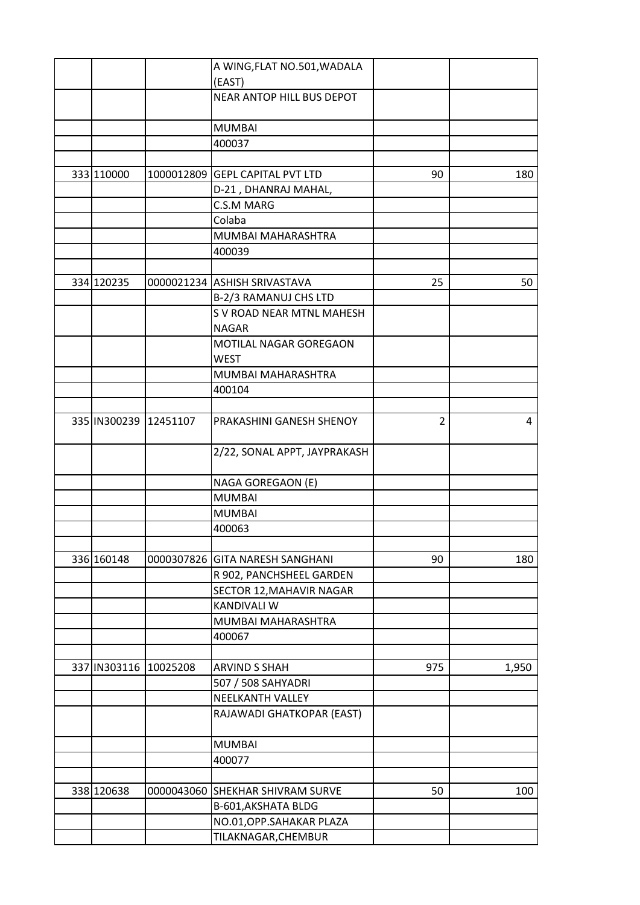|                       |                       | A WING, FLAT NO.501, WADALA     |                |       |
|-----------------------|-----------------------|---------------------------------|----------------|-------|
|                       |                       | (EAST)                          |                |       |
|                       |                       | NEAR ANTOP HILL BUS DEPOT       |                |       |
|                       |                       |                                 |                |       |
|                       |                       | <b>MUMBAI</b>                   |                |       |
|                       |                       | 400037                          |                |       |
|                       |                       |                                 |                |       |
| 333 110000            |                       | 1000012809 GEPL CAPITAL PVT LTD | 90             | 180   |
|                       |                       | D-21, DHANRAJ MAHAL,            |                |       |
|                       |                       | C.S.M MARG                      |                |       |
|                       |                       | Colaba                          |                |       |
|                       |                       | MUMBAI MAHARASHTRA              |                |       |
|                       |                       | 400039                          |                |       |
|                       |                       |                                 |                |       |
| 334 120235            |                       | 0000021234 ASHISH SRIVASTAVA    | 25             | 50    |
|                       |                       | B-2/3 RAMANUJ CHS LTD           |                |       |
|                       |                       | S V ROAD NEAR MTNL MAHESH       |                |       |
|                       |                       | <b>NAGAR</b>                    |                |       |
|                       |                       | MOTILAL NAGAR GOREGAON          |                |       |
|                       |                       | <b>WEST</b>                     |                |       |
|                       |                       | MUMBAI MAHARASHTRA              |                |       |
|                       |                       | 400104                          |                |       |
|                       |                       |                                 |                |       |
|                       | 335 IN300239 12451107 | PRAKASHINI GANESH SHENOY        | $\overline{2}$ | 4     |
|                       |                       |                                 |                |       |
|                       |                       | 2/22, SONAL APPT, JAYPRAKASH    |                |       |
|                       |                       |                                 |                |       |
|                       |                       | NAGA GOREGAON (E)               |                |       |
|                       |                       | <b>MUMBAI</b>                   |                |       |
|                       |                       | <b>MUMBAI</b>                   |                |       |
|                       |                       | 400063                          |                |       |
|                       |                       |                                 |                |       |
| 336 160148            |                       | 0000307826 GITA NARESH SANGHANI | 90             | 180   |
|                       |                       | R 902, PANCHSHEEL GARDEN        |                |       |
|                       |                       | SECTOR 12, MAHAVIR NAGAR        |                |       |
|                       |                       | <b>KANDIVALI W</b>              |                |       |
|                       |                       | MUMBAI MAHARASHTRA              |                |       |
|                       |                       | 400067                          |                |       |
|                       |                       |                                 |                |       |
| 337 IN303116 10025208 |                       | <b>ARVIND S SHAH</b>            | 975            | 1,950 |
|                       |                       | 507 / 508 SAHYADRI              |                |       |
|                       |                       | <b>NEELKANTH VALLEY</b>         |                |       |
|                       |                       | RAJAWADI GHATKOPAR (EAST)       |                |       |
|                       |                       |                                 |                |       |
|                       |                       | <b>MUMBAI</b>                   |                |       |
|                       |                       | 400077                          |                |       |
|                       |                       |                                 |                |       |
| 338 120638            | 0000043060            | <b>SHEKHAR SHIVRAM SURVE</b>    | 50             | 100   |
|                       |                       | B-601, AKSHATA BLDG             |                |       |
|                       |                       | NO.01, OPP. SAHAKAR PLAZA       |                |       |
|                       |                       | TILAKNAGAR, CHEMBUR             |                |       |
|                       |                       |                                 |                |       |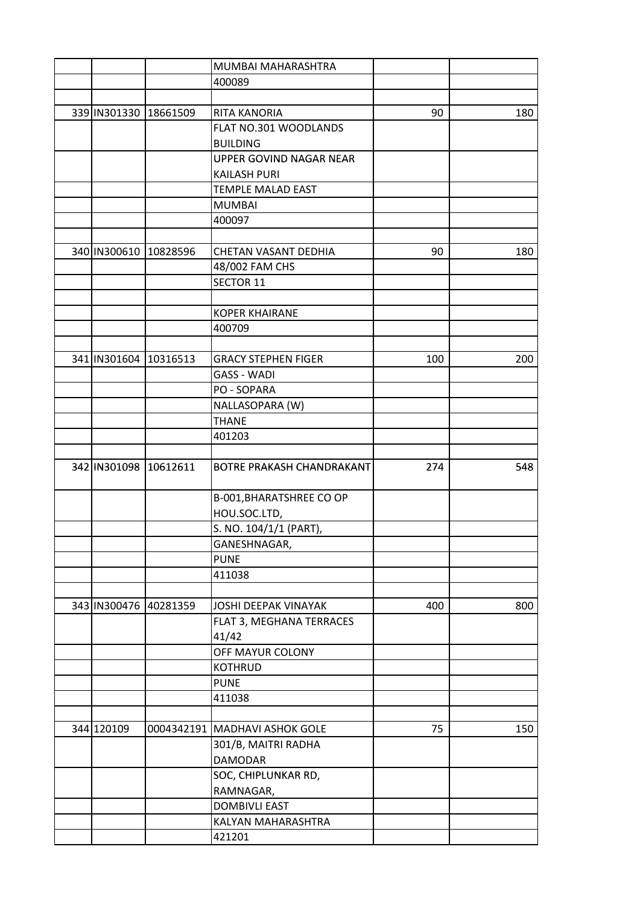|                       |          | MUMBAI MAHARASHTRA              |     |     |
|-----------------------|----------|---------------------------------|-----|-----|
|                       |          | 400089                          |     |     |
|                       |          |                                 |     |     |
| 339 IN301330 18661509 |          | <b>RITA KANORIA</b>             | 90  | 180 |
|                       |          | FLAT NO.301 WOODLANDS           |     |     |
|                       |          | <b>BUILDING</b>                 |     |     |
|                       |          | UPPER GOVIND NAGAR NEAR         |     |     |
|                       |          | <b>KAILASH PURI</b>             |     |     |
|                       |          | <b>TEMPLE MALAD EAST</b>        |     |     |
|                       |          | <b>MUMBAI</b>                   |     |     |
|                       |          | 400097                          |     |     |
|                       |          |                                 |     |     |
| 340 IN300610          | 10828596 | CHETAN VASANT DEDHIA            | 90  | 180 |
|                       |          | 48/002 FAM CHS                  |     |     |
|                       |          | <b>SECTOR 11</b>                |     |     |
|                       |          |                                 |     |     |
|                       |          | <b>KOPER KHAIRANE</b>           |     |     |
|                       |          | 400709                          |     |     |
|                       |          |                                 |     |     |
| 341 IN301604 10316513 |          | <b>GRACY STEPHEN FIGER</b>      | 100 | 200 |
|                       |          | <b>GASS - WADI</b>              |     |     |
|                       |          | PO - SOPARA                     |     |     |
|                       |          | NALLASOPARA (W)                 |     |     |
|                       |          | <b>THANE</b>                    |     |     |
|                       |          | 401203                          |     |     |
|                       |          |                                 |     |     |
| 342 IN301098 10612611 |          | BOTRE PRAKASH CHANDRAKANT       | 274 | 548 |
|                       |          |                                 |     |     |
|                       |          | B-001, BHARATSHREE CO OP        |     |     |
|                       |          | HOU.SOC.LTD,                    |     |     |
|                       |          | S. NO. 104/1/1 (PART),          |     |     |
|                       |          | GANESHNAGAR,                    |     |     |
|                       |          | <b>PUNE</b>                     |     |     |
|                       |          | 411038                          |     |     |
|                       |          |                                 |     |     |
| 343 IN300476 40281359 |          | JOSHI DEEPAK VINAYAK            | 400 | 800 |
|                       |          | FLAT 3, MEGHANA TERRACES        |     |     |
|                       |          | 41/42                           |     |     |
|                       |          | OFF MAYUR COLONY                |     |     |
|                       |          | <b>KOTHRUD</b>                  |     |     |
|                       |          | <b>PUNE</b>                     |     |     |
|                       |          | 411038                          |     |     |
|                       |          |                                 |     |     |
| 344 120109            |          | 0004342191   MADHAVI ASHOK GOLE | 75  | 150 |
|                       |          | 301/B, MAITRI RADHA             |     |     |
|                       |          | <b>DAMODAR</b>                  |     |     |
|                       |          | SOC, CHIPLUNKAR RD,             |     |     |
|                       |          | RAMNAGAR,                       |     |     |
|                       |          | <b>DOMBIVLI EAST</b>            |     |     |
|                       |          | KALYAN MAHARASHTRA              |     |     |
|                       |          | 421201                          |     |     |
|                       |          |                                 |     |     |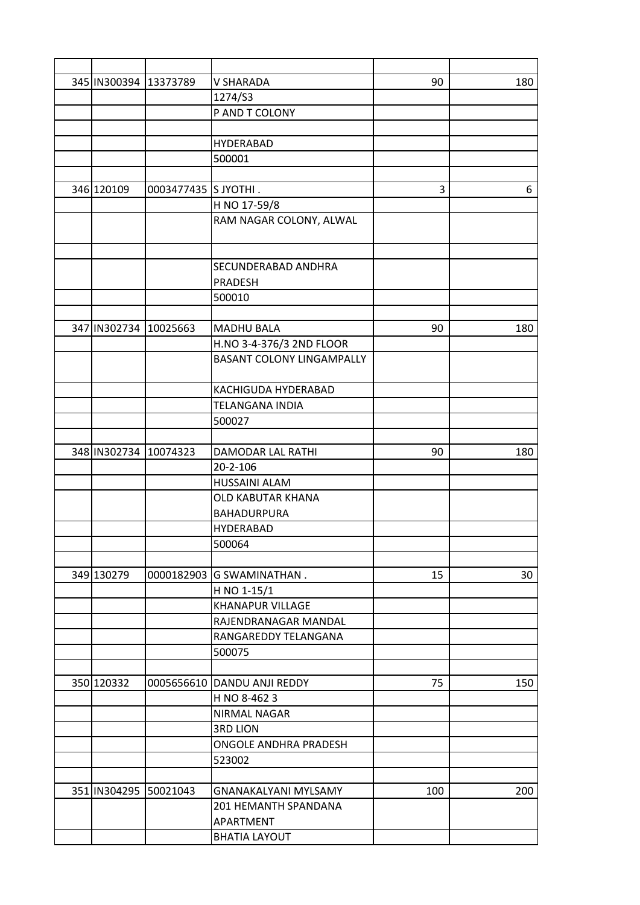| 345 IN300394 13373789 |                      | <b>V SHARADA</b>                                             | 90  | 180 |
|-----------------------|----------------------|--------------------------------------------------------------|-----|-----|
|                       |                      | 1274/S3                                                      |     |     |
|                       |                      | P AND T COLONY                                               |     |     |
|                       |                      |                                                              |     |     |
|                       |                      | <b>HYDERABAD</b>                                             |     |     |
|                       |                      | 500001                                                       |     |     |
|                       |                      |                                                              |     |     |
| 346 120109            | 0003477435 S JYOTHI. |                                                              | 3   | 6   |
|                       |                      | H NO 17-59/8                                                 |     |     |
|                       |                      | RAM NAGAR COLONY, ALWAL                                      |     |     |
|                       |                      |                                                              |     |     |
|                       |                      |                                                              |     |     |
|                       |                      | SECUNDERABAD ANDHRA                                          |     |     |
|                       |                      | <b>PRADESH</b>                                               |     |     |
|                       |                      | 500010                                                       |     |     |
|                       |                      |                                                              |     |     |
| 347 IN302734 10025663 |                      | <b>MADHU BALA</b>                                            | 90  | 180 |
|                       |                      |                                                              |     |     |
|                       |                      | H.NO 3-4-376/3 2ND FLOOR<br><b>BASANT COLONY LINGAMPALLY</b> |     |     |
|                       |                      |                                                              |     |     |
|                       |                      |                                                              |     |     |
|                       |                      | KACHIGUDA HYDERABAD                                          |     |     |
|                       |                      | <b>TELANGANA INDIA</b>                                       |     |     |
|                       |                      | 500027                                                       |     |     |
|                       |                      |                                                              |     |     |
| 348 IN302734 10074323 |                      | DAMODAR LAL RATHI                                            | 90  | 180 |
|                       |                      | 20-2-106                                                     |     |     |
|                       |                      | <b>HUSSAINI ALAM</b>                                         |     |     |
|                       |                      | <b>OLD KABUTAR KHANA</b>                                     |     |     |
|                       |                      | <b>BAHADURPURA</b>                                           |     |     |
|                       |                      | <b>HYDERABAD</b>                                             |     |     |
|                       |                      | 500064                                                       |     |     |
|                       |                      |                                                              |     |     |
| 349 130279            | 0000182903           | <b>G SWAMINATHAN.</b>                                        | 15  | 30  |
|                       |                      | H NO 1-15/1                                                  |     |     |
|                       |                      | <b>KHANAPUR VILLAGE</b>                                      |     |     |
|                       |                      | RAJENDRANAGAR MANDAL                                         |     |     |
|                       |                      | RANGAREDDY TELANGANA                                         |     |     |
|                       |                      | 500075                                                       |     |     |
|                       |                      |                                                              |     |     |
| 350 120332            | 0005656610           | DANDU ANJI REDDY                                             | 75  | 150 |
|                       |                      | H NO 8-4623                                                  |     |     |
|                       |                      | NIRMAL NAGAR                                                 |     |     |
|                       |                      | <b>3RD LION</b>                                              |     |     |
|                       |                      | ONGOLE ANDHRA PRADESH                                        |     |     |
|                       |                      | 523002                                                       |     |     |
|                       |                      |                                                              |     |     |
| 351 IN304295 50021043 |                      | <b>GNANAKALYANI MYLSAMY</b>                                  | 100 | 200 |
|                       |                      | 201 HEMANTH SPANDANA                                         |     |     |
|                       |                      | APARTMENT                                                    |     |     |
|                       |                      | <b>BHATIA LAYOUT</b>                                         |     |     |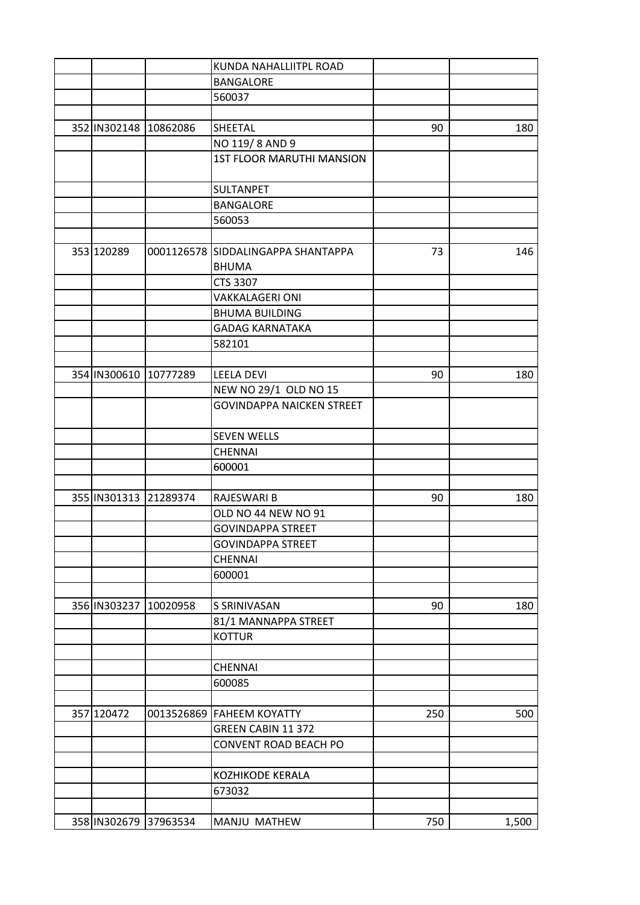|            |                       | KUNDA NAHALLIITPL ROAD             |     |       |
|------------|-----------------------|------------------------------------|-----|-------|
|            |                       | <b>BANGALORE</b>                   |     |       |
|            |                       | 560037                             |     |       |
|            |                       |                                    |     |       |
|            | 352 IN302148 10862086 | SHEETAL                            | 90  | 180   |
|            |                       | NO 119/8 AND 9                     |     |       |
|            |                       | <b>1ST FLOOR MARUTHI MANSION</b>   |     |       |
|            |                       |                                    |     |       |
|            |                       | <b>SULTANPET</b>                   |     |       |
|            |                       | <b>BANGALORE</b>                   |     |       |
|            |                       | 560053                             |     |       |
|            |                       |                                    |     |       |
| 353 120289 |                       | 0001126578 SIDDALINGAPPA SHANTAPPA | 73  | 146   |
|            |                       | <b>BHUMA</b>                       |     |       |
|            |                       | <b>CTS 3307</b>                    |     |       |
|            |                       | <b>VAKKALAGERI ONI</b>             |     |       |
|            |                       | <b>BHUMA BUILDING</b>              |     |       |
|            |                       | <b>GADAG KARNATAKA</b>             |     |       |
|            |                       | 582101                             |     |       |
|            |                       |                                    |     |       |
|            | 354 IN300610 10777289 | <b>LEELA DEVI</b>                  | 90  | 180   |
|            |                       | NEW NO 29/1 OLD NO 15              |     |       |
|            |                       | <b>GOVINDAPPA NAICKEN STREET</b>   |     |       |
|            |                       |                                    |     |       |
|            |                       | <b>SEVEN WELLS</b>                 |     |       |
|            |                       | <b>CHENNAI</b>                     |     |       |
|            |                       | 600001                             |     |       |
|            |                       |                                    |     |       |
|            | 355 IN301313 21289374 | <b>RAJESWARI B</b>                 | 90  | 180   |
|            |                       | OLD NO 44 NEW NO 91                |     |       |
|            |                       | <b>GOVINDAPPA STREET</b>           |     |       |
|            |                       | <b>GOVINDAPPA STREET</b>           |     |       |
|            |                       | <b>CHENNAI</b>                     |     |       |
|            |                       | 600001                             |     |       |
|            |                       |                                    |     |       |
|            | 356 IN303237 10020958 | S SRINIVASAN                       | 90  | 180   |
|            |                       | 81/1 MANNAPPA STREET               |     |       |
|            |                       | <b>KOTTUR</b>                      |     |       |
|            |                       |                                    |     |       |
|            |                       | <b>CHENNAI</b>                     |     |       |
|            |                       | 600085                             |     |       |
|            |                       |                                    |     |       |
| 357 120472 |                       | 0013526869 FAHEEM KOYATTY          | 250 | 500   |
|            |                       | GREEN CABIN 11 372                 |     |       |
|            |                       | CONVENT ROAD BEACH PO              |     |       |
|            |                       |                                    |     |       |
|            |                       | KOZHIKODE KERALA                   |     |       |
|            |                       | 673032                             |     |       |
|            |                       |                                    |     |       |
|            | 358 IN302679 37963534 | MANJU MATHEW                       | 750 |       |
|            |                       |                                    |     | 1,500 |